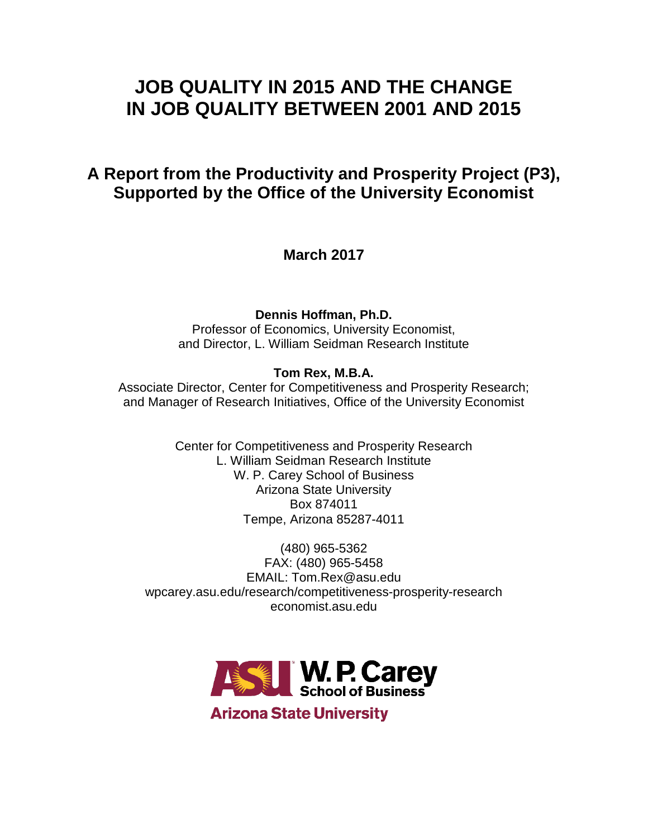# **JOB QUALITY IN 2015 AND THE CHANGE IN JOB QUALITY BETWEEN 2001 AND 2015**

# **A Report from the Productivity and Prosperity Project (P3), Supported by the Office of the University Economist**

**March 2017**

**Dennis Hoffman, Ph.D.**

Professor of Economics, University Economist, and Director, L. William Seidman Research Institute

# **Tom Rex, M.B.A.**

Associate Director, Center for Competitiveness and Prosperity Research; and Manager of Research Initiatives, Office of the University Economist

> Center for Competitiveness and Prosperity Research L. William Seidman Research Institute W. P. Carey School of Business Arizona State University Box 874011 Tempe, Arizona 85287-4011

(480) 965-5362 FAX: (480) 965-5458 EMAIL: Tom.Rex@asu.edu wpcarey.asu.edu/research/competitiveness-prosperity-research economist.asu.edu



**Arizona State University**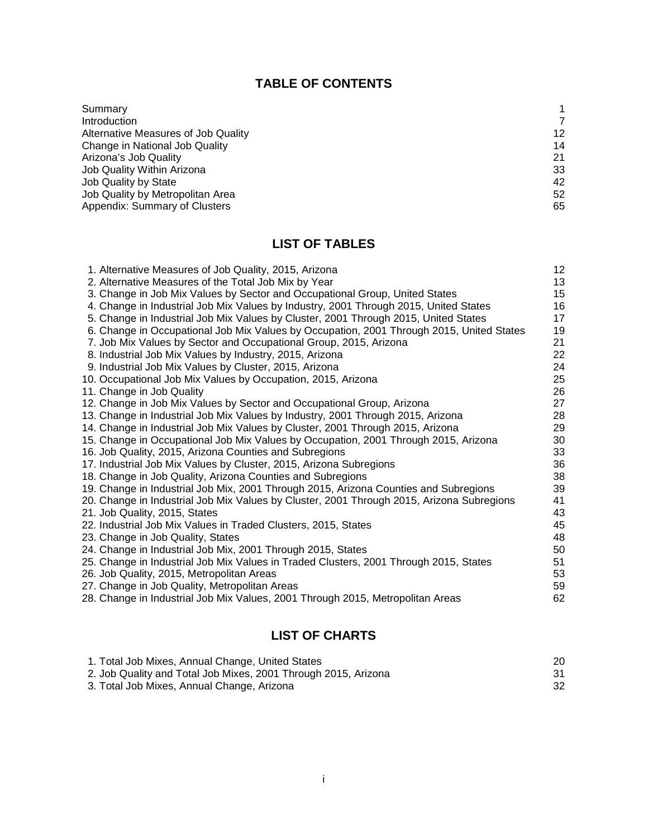# **TABLE OF CONTENTS**

| Summary                             |    |
|-------------------------------------|----|
| <b>Introduction</b>                 |    |
| Alternative Measures of Job Quality | 12 |
| Change in National Job Quality      | 14 |
| Arizona's Job Quality               | 21 |
| Job Quality Within Arizona          | 33 |
| <b>Job Quality by State</b>         | 42 |
| Job Quality by Metropolitan Area    | 52 |
| Appendix: Summary of Clusters       | 65 |

# **LIST OF TABLES**

| 1. Alternative Measures of Job Quality, 2015, Arizona                                     | 12 |
|-------------------------------------------------------------------------------------------|----|
| 2. Alternative Measures of the Total Job Mix by Year                                      | 13 |
| 3. Change in Job Mix Values by Sector and Occupational Group, United States               | 15 |
| 4. Change in Industrial Job Mix Values by Industry, 2001 Through 2015, United States      | 16 |
| 5. Change in Industrial Job Mix Values by Cluster, 2001 Through 2015, United States       | 17 |
| 6. Change in Occupational Job Mix Values by Occupation, 2001 Through 2015, United States  | 19 |
| 7. Job Mix Values by Sector and Occupational Group, 2015, Arizona                         | 21 |
| 8. Industrial Job Mix Values by Industry, 2015, Arizona                                   | 22 |
| 9. Industrial Job Mix Values by Cluster, 2015, Arizona                                    | 24 |
| 10. Occupational Job Mix Values by Occupation, 2015, Arizona                              | 25 |
| 11. Change in Job Quality                                                                 | 26 |
| 12. Change in Job Mix Values by Sector and Occupational Group, Arizona                    | 27 |
| 13. Change in Industrial Job Mix Values by Industry, 2001 Through 2015, Arizona           | 28 |
| 14. Change in Industrial Job Mix Values by Cluster, 2001 Through 2015, Arizona            | 29 |
| 15. Change in Occupational Job Mix Values by Occupation, 2001 Through 2015, Arizona       | 30 |
| 16. Job Quality, 2015, Arizona Counties and Subregions                                    | 33 |
| 17. Industrial Job Mix Values by Cluster, 2015, Arizona Subregions                        | 36 |
| 18. Change in Job Quality, Arizona Counties and Subregions                                | 38 |
| 19. Change in Industrial Job Mix, 2001 Through 2015, Arizona Counties and Subregions      | 39 |
| 20. Change in Industrial Job Mix Values by Cluster, 2001 Through 2015, Arizona Subregions | 41 |
| 21. Job Quality, 2015, States                                                             | 43 |
| 22. Industrial Job Mix Values in Traded Clusters, 2015, States                            | 45 |
| 23. Change in Job Quality, States                                                         | 48 |
| 24. Change in Industrial Job Mix, 2001 Through 2015, States                               | 50 |
| 25. Change in Industrial Job Mix Values in Traded Clusters, 2001 Through 2015, States     | 51 |
| 26. Job Quality, 2015, Metropolitan Areas                                                 | 53 |
| 27. Change in Job Quality, Metropolitan Areas                                             | 59 |
| 28. Change in Industrial Job Mix Values, 2001 Through 2015, Metropolitan Areas            | 62 |
|                                                                                           |    |

# **LIST OF CHARTS**

| 1. Total Job Mixes, Annual Change, United States               |    |
|----------------------------------------------------------------|----|
| 2. Job Quality and Total Job Mixes, 2001 Through 2015, Arizona |    |
| 3. Total Job Mixes, Annual Change, Arizona                     | 32 |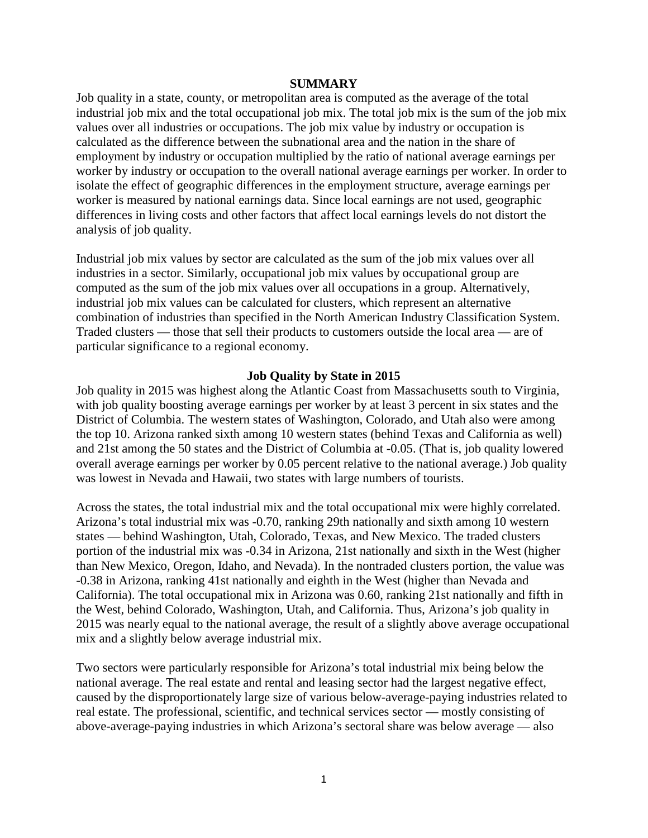#### **SUMMARY**

Job quality in a state, county, or metropolitan area is computed as the average of the total industrial job mix and the total occupational job mix. The total job mix is the sum of the job mix values over all industries or occupations. The job mix value by industry or occupation is calculated as the difference between the subnational area and the nation in the share of employment by industry or occupation multiplied by the ratio of national average earnings per worker by industry or occupation to the overall national average earnings per worker. In order to isolate the effect of geographic differences in the employment structure, average earnings per worker is measured by national earnings data. Since local earnings are not used, geographic differences in living costs and other factors that affect local earnings levels do not distort the analysis of job quality.

Industrial job mix values by sector are calculated as the sum of the job mix values over all industries in a sector. Similarly, occupational job mix values by occupational group are computed as the sum of the job mix values over all occupations in a group. Alternatively, industrial job mix values can be calculated for clusters, which represent an alternative combination of industries than specified in the North American Industry Classification System. Traded clusters — those that sell their products to customers outside the local area — are of particular significance to a regional economy.

#### **Job Quality by State in 2015**

Job quality in 2015 was highest along the Atlantic Coast from Massachusetts south to Virginia, with job quality boosting average earnings per worker by at least 3 percent in six states and the District of Columbia. The western states of Washington, Colorado, and Utah also were among the top 10. Arizona ranked sixth among 10 western states (behind Texas and California as well) and 21st among the 50 states and the District of Columbia at -0.05. (That is, job quality lowered overall average earnings per worker by 0.05 percent relative to the national average.) Job quality was lowest in Nevada and Hawaii, two states with large numbers of tourists.

Across the states, the total industrial mix and the total occupational mix were highly correlated. Arizona's total industrial mix was -0.70, ranking 29th nationally and sixth among 10 western states — behind Washington, Utah, Colorado, Texas, and New Mexico. The traded clusters portion of the industrial mix was -0.34 in Arizona, 21st nationally and sixth in the West (higher than New Mexico, Oregon, Idaho, and Nevada). In the nontraded clusters portion, the value was -0.38 in Arizona, ranking 41st nationally and eighth in the West (higher than Nevada and California). The total occupational mix in Arizona was 0.60, ranking 21st nationally and fifth in the West, behind Colorado, Washington, Utah, and California. Thus, Arizona's job quality in 2015 was nearly equal to the national average, the result of a slightly above average occupational mix and a slightly below average industrial mix.

Two sectors were particularly responsible for Arizona's total industrial mix being below the national average. The real estate and rental and leasing sector had the largest negative effect, caused by the disproportionately large size of various below-average-paying industries related to real estate. The professional, scientific, and technical services sector — mostly consisting of above-average-paying industries in which Arizona's sectoral share was below average — also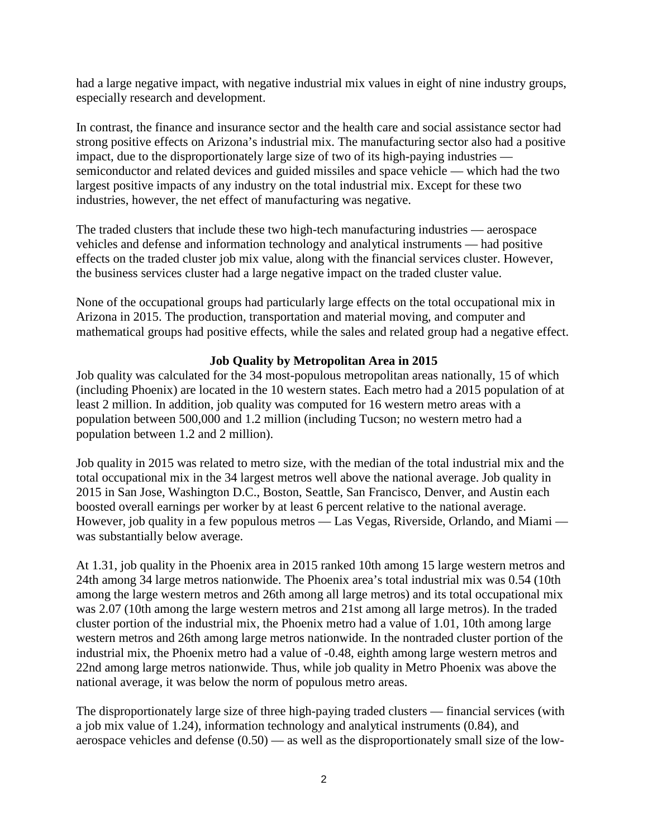had a large negative impact, with negative industrial mix values in eight of nine industry groups, especially research and development.

In contrast, the finance and insurance sector and the health care and social assistance sector had strong positive effects on Arizona's industrial mix. The manufacturing sector also had a positive impact, due to the disproportionately large size of two of its high-paying industries semiconductor and related devices and guided missiles and space vehicle — which had the two largest positive impacts of any industry on the total industrial mix. Except for these two industries, however, the net effect of manufacturing was negative.

The traded clusters that include these two high-tech manufacturing industries — aerospace vehicles and defense and information technology and analytical instruments — had positive effects on the traded cluster job mix value, along with the financial services cluster. However, the business services cluster had a large negative impact on the traded cluster value.

None of the occupational groups had particularly large effects on the total occupational mix in Arizona in 2015. The production, transportation and material moving, and computer and mathematical groups had positive effects, while the sales and related group had a negative effect.

### **Job Quality by Metropolitan Area in 2015**

Job quality was calculated for the 34 most-populous metropolitan areas nationally, 15 of which (including Phoenix) are located in the 10 western states. Each metro had a 2015 population of at least 2 million. In addition, job quality was computed for 16 western metro areas with a population between 500,000 and 1.2 million (including Tucson; no western metro had a population between 1.2 and 2 million).

Job quality in 2015 was related to metro size, with the median of the total industrial mix and the total occupational mix in the 34 largest metros well above the national average. Job quality in 2015 in San Jose, Washington D.C., Boston, Seattle, San Francisco, Denver, and Austin each boosted overall earnings per worker by at least 6 percent relative to the national average. However, job quality in a few populous metros — Las Vegas, Riverside, Orlando, and Miami was substantially below average.

At 1.31, job quality in the Phoenix area in 2015 ranked 10th among 15 large western metros and 24th among 34 large metros nationwide. The Phoenix area's total industrial mix was 0.54 (10th among the large western metros and 26th among all large metros) and its total occupational mix was 2.07 (10th among the large western metros and 21st among all large metros). In the traded cluster portion of the industrial mix, the Phoenix metro had a value of 1.01, 10th among large western metros and 26th among large metros nationwide. In the nontraded cluster portion of the industrial mix, the Phoenix metro had a value of -0.48, eighth among large western metros and 22nd among large metros nationwide. Thus, while job quality in Metro Phoenix was above the national average, it was below the norm of populous metro areas.

The disproportionately large size of three high-paying traded clusters — financial services (with a job mix value of 1.24), information technology and analytical instruments (0.84), and aerospace vehicles and defense  $(0.50)$  — as well as the disproportionately small size of the low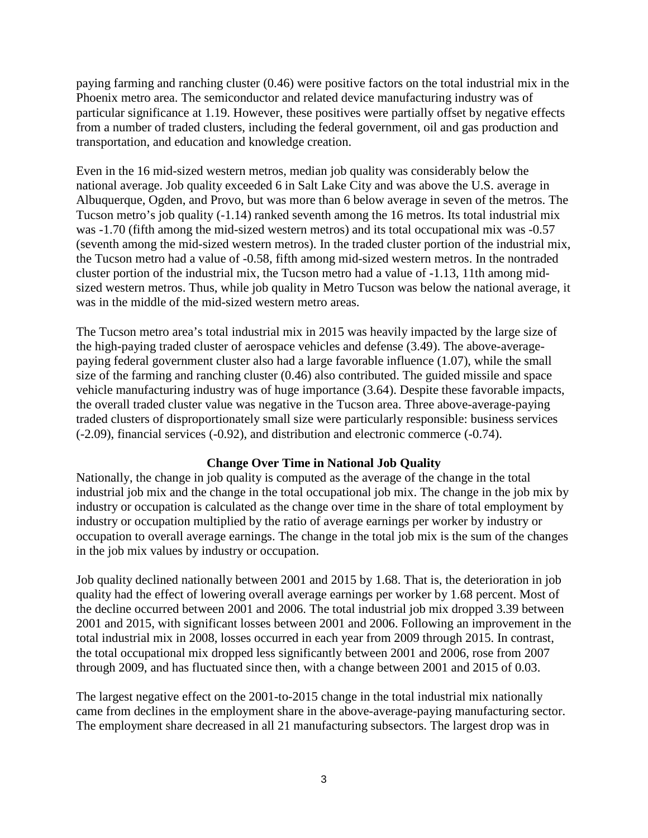paying farming and ranching cluster (0.46) were positive factors on the total industrial mix in the Phoenix metro area. The semiconductor and related device manufacturing industry was of particular significance at 1.19. However, these positives were partially offset by negative effects from a number of traded clusters, including the federal government, oil and gas production and transportation, and education and knowledge creation.

Even in the 16 mid-sized western metros, median job quality was considerably below the national average. Job quality exceeded 6 in Salt Lake City and was above the U.S. average in Albuquerque, Ogden, and Provo, but was more than 6 below average in seven of the metros. The Tucson metro's job quality (-1.14) ranked seventh among the 16 metros. Its total industrial mix was -1.70 (fifth among the mid-sized western metros) and its total occupational mix was -0.57 (seventh among the mid-sized western metros). In the traded cluster portion of the industrial mix, the Tucson metro had a value of -0.58, fifth among mid-sized western metros. In the nontraded cluster portion of the industrial mix, the Tucson metro had a value of -1.13, 11th among midsized western metros. Thus, while job quality in Metro Tucson was below the national average, it was in the middle of the mid-sized western metro areas.

The Tucson metro area's total industrial mix in 2015 was heavily impacted by the large size of the high-paying traded cluster of aerospace vehicles and defense (3.49). The above-averagepaying federal government cluster also had a large favorable influence (1.07), while the small size of the farming and ranching cluster (0.46) also contributed. The guided missile and space vehicle manufacturing industry was of huge importance (3.64). Despite these favorable impacts, the overall traded cluster value was negative in the Tucson area. Three above-average-paying traded clusters of disproportionately small size were particularly responsible: business services (-2.09), financial services (-0.92), and distribution and electronic commerce (-0.74).

#### **Change Over Time in National Job Quality**

Nationally, the change in job quality is computed as the average of the change in the total industrial job mix and the change in the total occupational job mix. The change in the job mix by industry or occupation is calculated as the change over time in the share of total employment by industry or occupation multiplied by the ratio of average earnings per worker by industry or occupation to overall average earnings. The change in the total job mix is the sum of the changes in the job mix values by industry or occupation.

Job quality declined nationally between 2001 and 2015 by 1.68. That is, the deterioration in job quality had the effect of lowering overall average earnings per worker by 1.68 percent. Most of the decline occurred between 2001 and 2006. The total industrial job mix dropped 3.39 between 2001 and 2015, with significant losses between 2001 and 2006. Following an improvement in the total industrial mix in 2008, losses occurred in each year from 2009 through 2015. In contrast, the total occupational mix dropped less significantly between 2001 and 2006, rose from 2007 through 2009, and has fluctuated since then, with a change between 2001 and 2015 of 0.03.

The largest negative effect on the 2001-to-2015 change in the total industrial mix nationally came from declines in the employment share in the above-average-paying manufacturing sector. The employment share decreased in all 21 manufacturing subsectors. The largest drop was in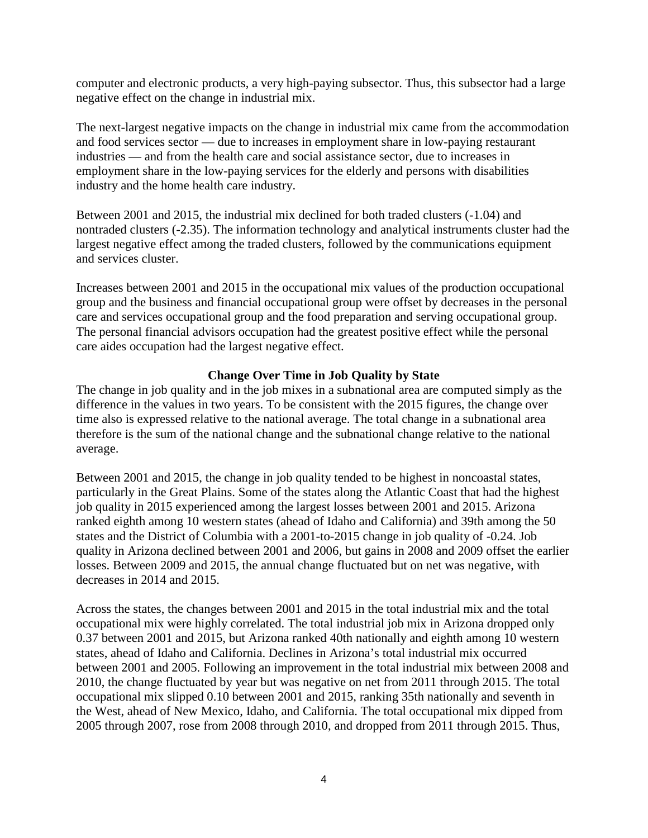computer and electronic products, a very high-paying subsector. Thus, this subsector had a large negative effect on the change in industrial mix.

The next-largest negative impacts on the change in industrial mix came from the accommodation and food services sector — due to increases in employment share in low-paying restaurant industries — and from the health care and social assistance sector, due to increases in employment share in the low-paying services for the elderly and persons with disabilities industry and the home health care industry.

Between 2001 and 2015, the industrial mix declined for both traded clusters (-1.04) and nontraded clusters (-2.35). The information technology and analytical instruments cluster had the largest negative effect among the traded clusters, followed by the communications equipment and services cluster.

Increases between 2001 and 2015 in the occupational mix values of the production occupational group and the business and financial occupational group were offset by decreases in the personal care and services occupational group and the food preparation and serving occupational group. The personal financial advisors occupation had the greatest positive effect while the personal care aides occupation had the largest negative effect.

### **Change Over Time in Job Quality by State**

The change in job quality and in the job mixes in a subnational area are computed simply as the difference in the values in two years. To be consistent with the 2015 figures, the change over time also is expressed relative to the national average. The total change in a subnational area therefore is the sum of the national change and the subnational change relative to the national average.

Between 2001 and 2015, the change in job quality tended to be highest in noncoastal states, particularly in the Great Plains. Some of the states along the Atlantic Coast that had the highest job quality in 2015 experienced among the largest losses between 2001 and 2015. Arizona ranked eighth among 10 western states (ahead of Idaho and California) and 39th among the 50 states and the District of Columbia with a 2001-to-2015 change in job quality of -0.24. Job quality in Arizona declined between 2001 and 2006, but gains in 2008 and 2009 offset the earlier losses. Between 2009 and 2015, the annual change fluctuated but on net was negative, with decreases in 2014 and 2015.

Across the states, the changes between 2001 and 2015 in the total industrial mix and the total occupational mix were highly correlated. The total industrial job mix in Arizona dropped only 0.37 between 2001 and 2015, but Arizona ranked 40th nationally and eighth among 10 western states, ahead of Idaho and California. Declines in Arizona's total industrial mix occurred between 2001 and 2005. Following an improvement in the total industrial mix between 2008 and 2010, the change fluctuated by year but was negative on net from 2011 through 2015. The total occupational mix slipped 0.10 between 2001 and 2015, ranking 35th nationally and seventh in the West, ahead of New Mexico, Idaho, and California. The total occupational mix dipped from 2005 through 2007, rose from 2008 through 2010, and dropped from 2011 through 2015. Thus,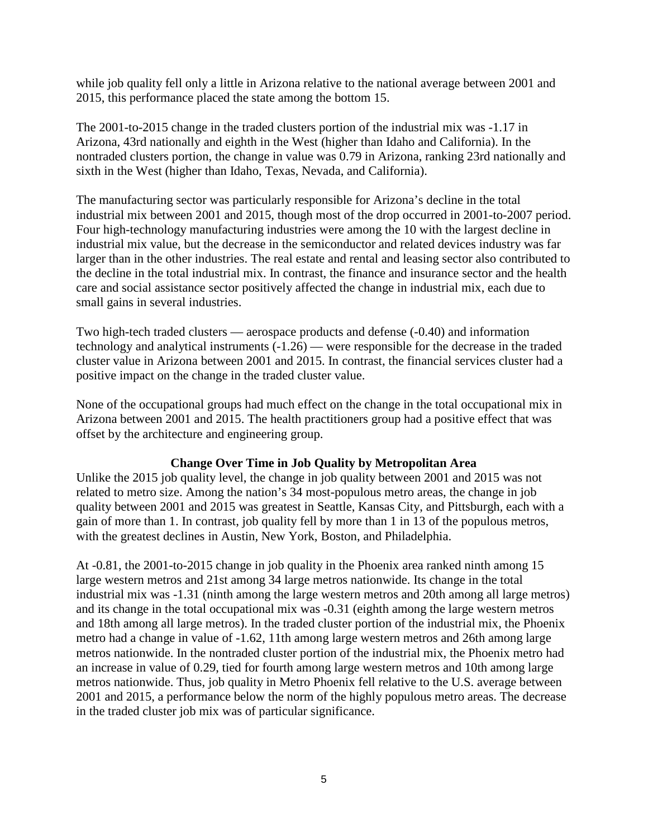while job quality fell only a little in Arizona relative to the national average between 2001 and 2015, this performance placed the state among the bottom 15.

The 2001-to-2015 change in the traded clusters portion of the industrial mix was -1.17 in Arizona, 43rd nationally and eighth in the West (higher than Idaho and California). In the nontraded clusters portion, the change in value was 0.79 in Arizona, ranking 23rd nationally and sixth in the West (higher than Idaho, Texas, Nevada, and California).

The manufacturing sector was particularly responsible for Arizona's decline in the total industrial mix between 2001 and 2015, though most of the drop occurred in 2001-to-2007 period. Four high-technology manufacturing industries were among the 10 with the largest decline in industrial mix value, but the decrease in the semiconductor and related devices industry was far larger than in the other industries. The real estate and rental and leasing sector also contributed to the decline in the total industrial mix. In contrast, the finance and insurance sector and the health care and social assistance sector positively affected the change in industrial mix, each due to small gains in several industries.

Two high-tech traded clusters — aerospace products and defense (-0.40) and information technology and analytical instruments (-1.26) — were responsible for the decrease in the traded cluster value in Arizona between 2001 and 2015. In contrast, the financial services cluster had a positive impact on the change in the traded cluster value.

None of the occupational groups had much effect on the change in the total occupational mix in Arizona between 2001 and 2015. The health practitioners group had a positive effect that was offset by the architecture and engineering group.

#### **Change Over Time in Job Quality by Metropolitan Area**

Unlike the 2015 job quality level, the change in job quality between 2001 and 2015 was not related to metro size. Among the nation's 34 most-populous metro areas, the change in job quality between 2001 and 2015 was greatest in Seattle, Kansas City, and Pittsburgh, each with a gain of more than 1. In contrast, job quality fell by more than 1 in 13 of the populous metros, with the greatest declines in Austin, New York, Boston, and Philadelphia.

At -0.81, the 2001-to-2015 change in job quality in the Phoenix area ranked ninth among 15 large western metros and 21st among 34 large metros nationwide. Its change in the total industrial mix was -1.31 (ninth among the large western metros and 20th among all large metros) and its change in the total occupational mix was -0.31 (eighth among the large western metros and 18th among all large metros). In the traded cluster portion of the industrial mix, the Phoenix metro had a change in value of -1.62, 11th among large western metros and 26th among large metros nationwide. In the nontraded cluster portion of the industrial mix, the Phoenix metro had an increase in value of 0.29, tied for fourth among large western metros and 10th among large metros nationwide. Thus, job quality in Metro Phoenix fell relative to the U.S. average between 2001 and 2015, a performance below the norm of the highly populous metro areas. The decrease in the traded cluster job mix was of particular significance.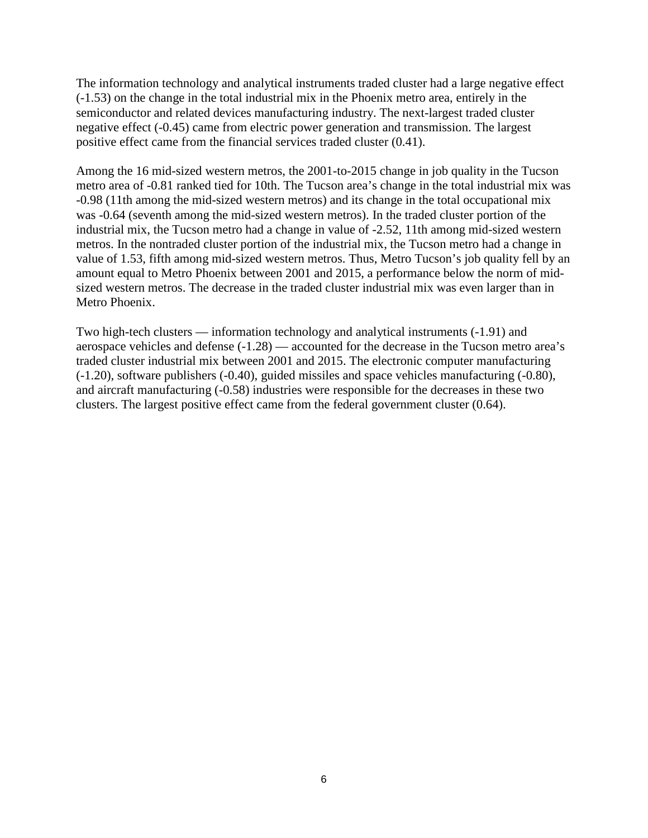The information technology and analytical instruments traded cluster had a large negative effect (-1.53) on the change in the total industrial mix in the Phoenix metro area, entirely in the semiconductor and related devices manufacturing industry. The next-largest traded cluster negative effect (-0.45) came from electric power generation and transmission. The largest positive effect came from the financial services traded cluster (0.41).

Among the 16 mid-sized western metros, the 2001-to-2015 change in job quality in the Tucson metro area of -0.81 ranked tied for 10th. The Tucson area's change in the total industrial mix was -0.98 (11th among the mid-sized western metros) and its change in the total occupational mix was -0.64 (seventh among the mid-sized western metros). In the traded cluster portion of the industrial mix, the Tucson metro had a change in value of -2.52, 11th among mid-sized western metros. In the nontraded cluster portion of the industrial mix, the Tucson metro had a change in value of 1.53, fifth among mid-sized western metros. Thus, Metro Tucson's job quality fell by an amount equal to Metro Phoenix between 2001 and 2015, a performance below the norm of midsized western metros. The decrease in the traded cluster industrial mix was even larger than in Metro Phoenix.

Two high-tech clusters — information technology and analytical instruments (-1.91) and aerospace vehicles and defense (-1.28) — accounted for the decrease in the Tucson metro area's traded cluster industrial mix between 2001 and 2015. The electronic computer manufacturing (-1.20), software publishers (-0.40), guided missiles and space vehicles manufacturing (-0.80), and aircraft manufacturing (-0.58) industries were responsible for the decreases in these two clusters. The largest positive effect came from the federal government cluster (0.64).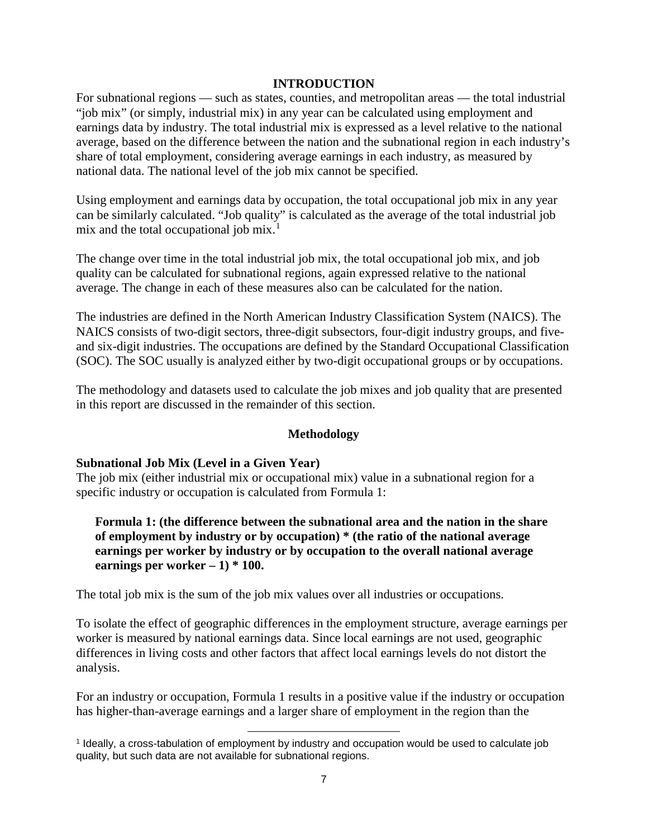#### **INTRODUCTION**

For subnational regions — such as states, counties, and metropolitan areas — the total industrial "job mix" (or simply, industrial mix) in any year can be calculated using employment and earnings data by industry. The total industrial mix is expressed as a level relative to the national average, based on the difference between the nation and the subnational region in each industry's share of total employment, considering average earnings in each industry, as measured by national data. The national level of the job mix cannot be specified.

Using employment and earnings data by occupation, the total occupational job mix in any year can be similarly calculated. "Job quality" is calculated as the average of the total industrial job mix and the total occupational job mix.<sup>[1](#page-8-0)</sup>

The change over time in the total industrial job mix, the total occupational job mix, and job quality can be calculated for subnational regions, again expressed relative to the national average. The change in each of these measures also can be calculated for the nation.

The industries are defined in the North American Industry Classification System (NAICS). The NAICS consists of two-digit sectors, three-digit subsectors, four-digit industry groups, and fiveand six-digit industries. The occupations are defined by the Standard Occupational Classification (SOC). The SOC usually is analyzed either by two-digit occupational groups or by occupations.

The methodology and datasets used to calculate the job mixes and job quality that are presented in this report are discussed in the remainder of this section.

#### **Methodology**

#### **Subnational Job Mix (Level in a Given Year)**

The job mix (either industrial mix or occupational mix) value in a subnational region for a specific industry or occupation is calculated from Formula 1:

### **Formula 1: (the difference between the subnational area and the nation in the share of employment by industry or by occupation) \* (the ratio of the national average earnings per worker by industry or by occupation to the overall national average earnings per worker**  $-1$ )  $*$  100.

The total job mix is the sum of the job mix values over all industries or occupations.

To isolate the effect of geographic differences in the employment structure, average earnings per worker is measured by national earnings data. Since local earnings are not used, geographic differences in living costs and other factors that affect local earnings levels do not distort the analysis.

For an industry or occupation, Formula 1 results in a positive value if the industry or occupation has higher-than-average earnings and a larger share of employment in the region than the

l

<span id="page-8-0"></span><sup>1</sup> Ideally, a cross-tabulation of employment by industry and occupation would be used to calculate job quality, but such data are not available for subnational regions.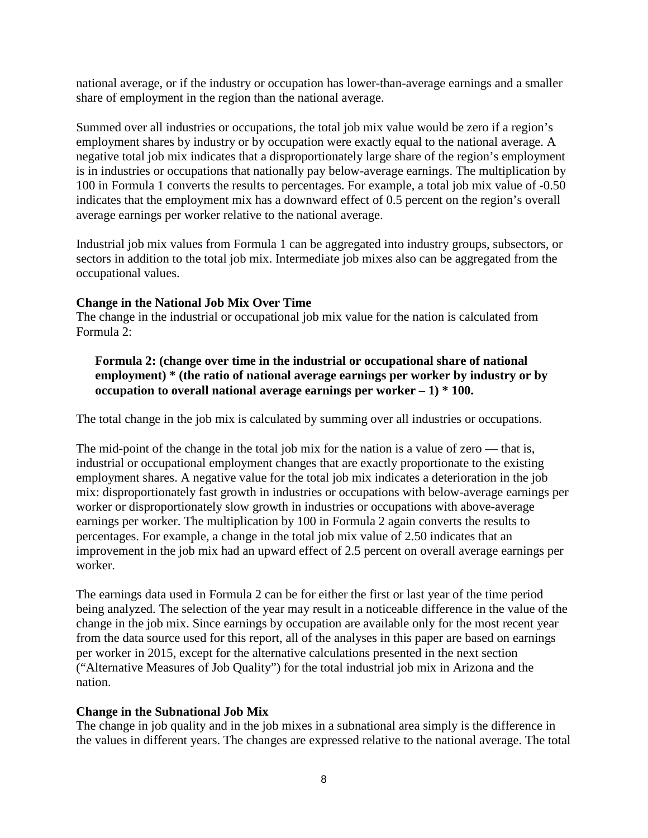national average, or if the industry or occupation has lower-than-average earnings and a smaller share of employment in the region than the national average.

Summed over all industries or occupations, the total job mix value would be zero if a region's employment shares by industry or by occupation were exactly equal to the national average. A negative total job mix indicates that a disproportionately large share of the region's employment is in industries or occupations that nationally pay below-average earnings. The multiplication by 100 in Formula 1 converts the results to percentages. For example, a total job mix value of -0.50 indicates that the employment mix has a downward effect of 0.5 percent on the region's overall average earnings per worker relative to the national average.

Industrial job mix values from Formula 1 can be aggregated into industry groups, subsectors, or sectors in addition to the total job mix. Intermediate job mixes also can be aggregated from the occupational values.

### **Change in the National Job Mix Over Time**

The change in the industrial or occupational job mix value for the nation is calculated from Formula 2:

**Formula 2: (change over time in the industrial or occupational share of national employment) \* (the ratio of national average earnings per worker by industry or by occupation to overall national average earnings per worker – 1) \* 100.**

The total change in the job mix is calculated by summing over all industries or occupations.

The mid-point of the change in the total job mix for the nation is a value of zero — that is, industrial or occupational employment changes that are exactly proportionate to the existing employment shares. A negative value for the total job mix indicates a deterioration in the job mix: disproportionately fast growth in industries or occupations with below-average earnings per worker or disproportionately slow growth in industries or occupations with above-average earnings per worker. The multiplication by 100 in Formula 2 again converts the results to percentages. For example, a change in the total job mix value of 2.50 indicates that an improvement in the job mix had an upward effect of 2.5 percent on overall average earnings per worker.

The earnings data used in Formula 2 can be for either the first or last year of the time period being analyzed. The selection of the year may result in a noticeable difference in the value of the change in the job mix. Since earnings by occupation are available only for the most recent year from the data source used for this report, all of the analyses in this paper are based on earnings per worker in 2015, except for the alternative calculations presented in the next section ("Alternative Measures of Job Quality") for the total industrial job mix in Arizona and the nation.

### **Change in the Subnational Job Mix**

The change in job quality and in the job mixes in a subnational area simply is the difference in the values in different years. The changes are expressed relative to the national average. The total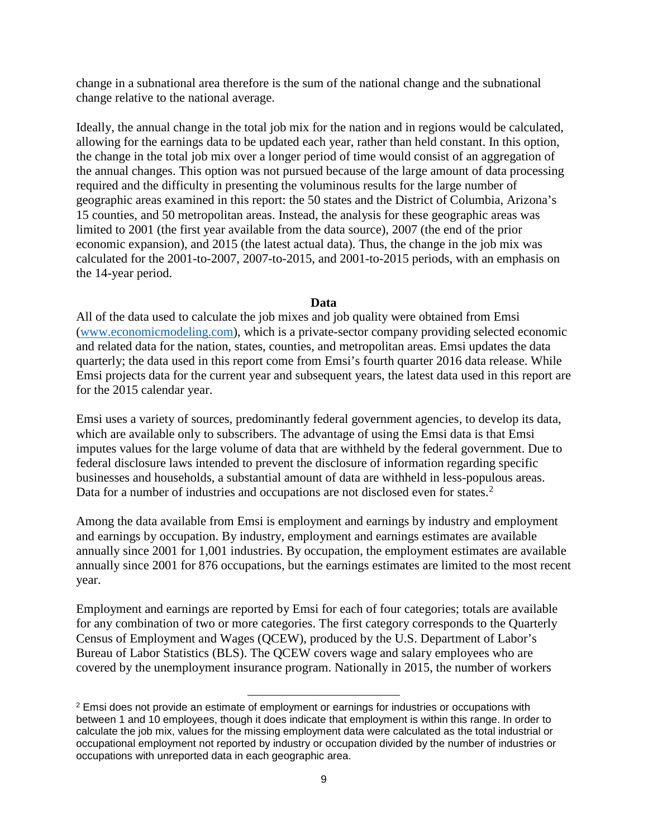change in a subnational area therefore is the sum of the national change and the subnational change relative to the national average.

Ideally, the annual change in the total job mix for the nation and in regions would be calculated, allowing for the earnings data to be updated each year, rather than held constant. In this option, the change in the total job mix over a longer period of time would consist of an aggregation of the annual changes. This option was not pursued because of the large amount of data processing required and the difficulty in presenting the voluminous results for the large number of geographic areas examined in this report: the 50 states and the District of Columbia, Arizona's 15 counties, and 50 metropolitan areas. Instead, the analysis for these geographic areas was limited to 2001 (the first year available from the data source), 2007 (the end of the prior economic expansion), and 2015 (the latest actual data). Thus, the change in the job mix was calculated for the 2001-to-2007, 2007-to-2015, and 2001-to-2015 periods, with an emphasis on the 14-year period.

#### **Data**

All of the data used to calculate the job mixes and job quality were obtained from Emsi [\(www.economicmodeling.com\)](http://www.economicmodeling.com/), which is a private-sector company providing selected economic and related data for the nation, states, counties, and metropolitan areas. Emsi updates the data quarterly; the data used in this report come from Emsi's fourth quarter 2016 data release. While Emsi projects data for the current year and subsequent years, the latest data used in this report are for the 2015 calendar year.

Emsi uses a variety of sources, predominantly federal government agencies, to develop its data, which are available only to subscribers. The advantage of using the Emsi data is that Emsi imputes values for the large volume of data that are withheld by the federal government. Due to federal disclosure laws intended to prevent the disclosure of information regarding specific businesses and households, a substantial amount of data are withheld in less-populous areas. Data for a number of industries and occupations are not disclosed even for states.<sup>[2](#page-10-0)</sup>

Among the data available from Emsi is employment and earnings by industry and employment and earnings by occupation. By industry, employment and earnings estimates are available annually since 2001 for 1,001 industries. By occupation, the employment estimates are available annually since 2001 for 876 occupations, but the earnings estimates are limited to the most recent year.

Employment and earnings are reported by Emsi for each of four categories; totals are available for any combination of two or more categories. The first category corresponds to the Quarterly Census of Employment and Wages (QCEW), produced by the U.S. Department of Labor's Bureau of Labor Statistics (BLS). The QCEW covers wage and salary employees who are covered by the unemployment insurance program. Nationally in 2015, the number of workers

 $\overline{\phantom{a}}$ 

<span id="page-10-0"></span><sup>&</sup>lt;sup>2</sup> Emsi does not provide an estimate of employment or earnings for industries or occupations with between 1 and 10 employees, though it does indicate that employment is within this range. In order to calculate the job mix, values for the missing employment data were calculated as the total industrial or occupational employment not reported by industry or occupation divided by the number of industries or occupations with unreported data in each geographic area.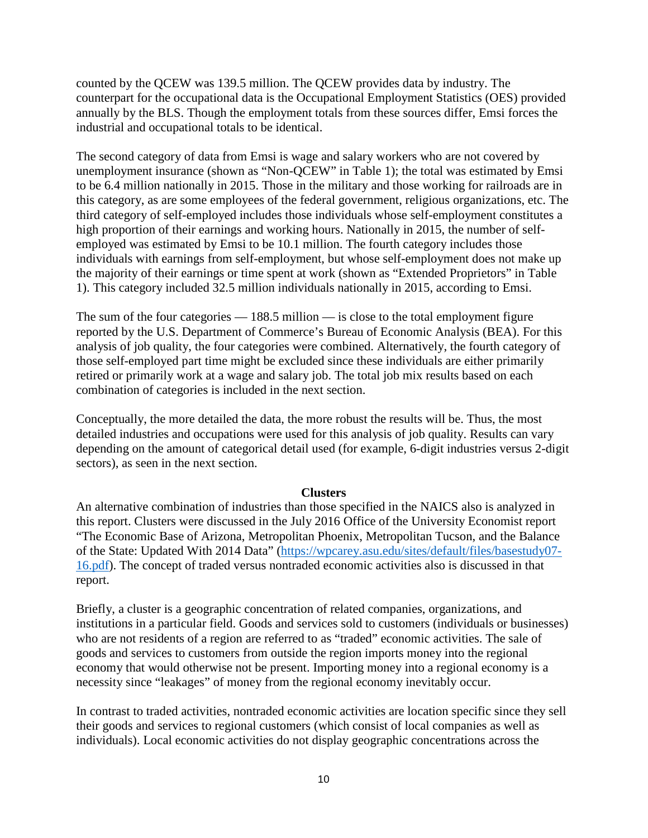counted by the QCEW was 139.5 million. The QCEW provides data by industry. The counterpart for the occupational data is the Occupational Employment Statistics (OES) provided annually by the BLS. Though the employment totals from these sources differ, Emsi forces the industrial and occupational totals to be identical.

The second category of data from Emsi is wage and salary workers who are not covered by unemployment insurance (shown as "Non-QCEW" in Table 1); the total was estimated by Emsi to be 6.4 million nationally in 2015. Those in the military and those working for railroads are in this category, as are some employees of the federal government, religious organizations, etc. The third category of self-employed includes those individuals whose self-employment constitutes a high proportion of their earnings and working hours. Nationally in 2015, the number of selfemployed was estimated by Emsi to be 10.1 million. The fourth category includes those individuals with earnings from self-employment, but whose self-employment does not make up the majority of their earnings or time spent at work (shown as "Extended Proprietors" in Table 1). This category included 32.5 million individuals nationally in 2015, according to Emsi.

The sum of the four categories — 188.5 million — is close to the total employment figure reported by the U.S. Department of Commerce's Bureau of Economic Analysis (BEA). For this analysis of job quality, the four categories were combined. Alternatively, the fourth category of those self-employed part time might be excluded since these individuals are either primarily retired or primarily work at a wage and salary job. The total job mix results based on each combination of categories is included in the next section.

Conceptually, the more detailed the data, the more robust the results will be. Thus, the most detailed industries and occupations were used for this analysis of job quality. Results can vary depending on the amount of categorical detail used (for example, 6-digit industries versus 2-digit sectors), as seen in the next section.

#### **Clusters**

An alternative combination of industries than those specified in the NAICS also is analyzed in this report. Clusters were discussed in the July 2016 Office of the University Economist report "The Economic Base of Arizona, Metropolitan Phoenix, Metropolitan Tucson, and the Balance of the State: Updated With 2014 Data" [\(https://wpcarey.asu.edu/sites/default/files/basestudy07-](https://wpcarey.asu.edu/sites/default/files/basestudy07-16.pdf) [16.pdf\)](https://wpcarey.asu.edu/sites/default/files/basestudy07-16.pdf). The concept of traded versus nontraded economic activities also is discussed in that report.

Briefly, a cluster is a geographic concentration of related companies, organizations, and institutions in a particular field. Goods and services sold to customers (individuals or businesses) who are not residents of a region are referred to as "traded" economic activities. The sale of goods and services to customers from outside the region imports money into the regional economy that would otherwise not be present. Importing money into a regional economy is a necessity since "leakages" of money from the regional economy inevitably occur.

In contrast to traded activities, nontraded economic activities are location specific since they sell their goods and services to regional customers (which consist of local companies as well as individuals). Local economic activities do not display geographic concentrations across the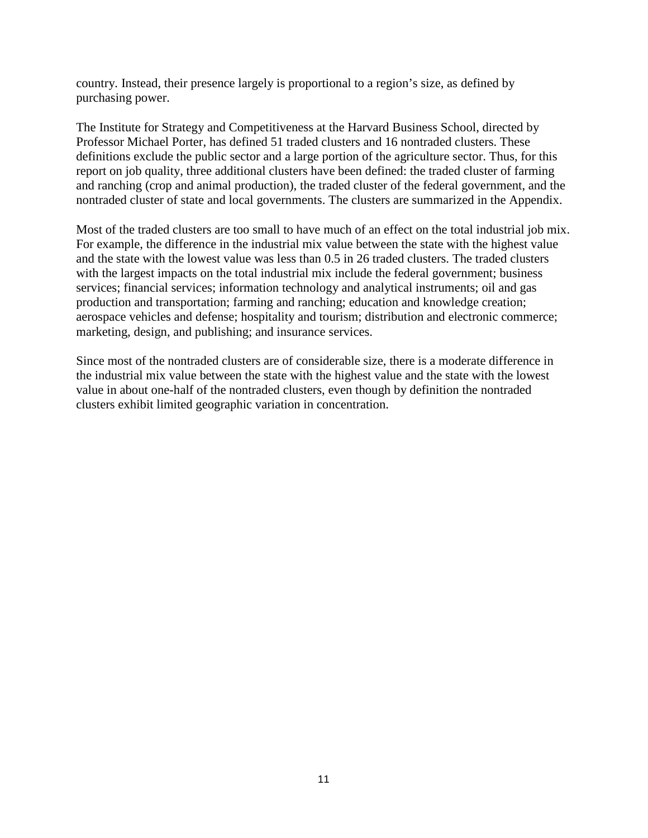country. Instead, their presence largely is proportional to a region's size, as defined by purchasing power.

The Institute for Strategy and Competitiveness at the Harvard Business School, directed by Professor Michael Porter, has defined 51 traded clusters and 16 nontraded clusters. These definitions exclude the public sector and a large portion of the agriculture sector. Thus, for this report on job quality, three additional clusters have been defined: the traded cluster of farming and ranching (crop and animal production), the traded cluster of the federal government, and the nontraded cluster of state and local governments. The clusters are summarized in the Appendix.

Most of the traded clusters are too small to have much of an effect on the total industrial job mix. For example, the difference in the industrial mix value between the state with the highest value and the state with the lowest value was less than 0.5 in 26 traded clusters. The traded clusters with the largest impacts on the total industrial mix include the federal government; business services; financial services; information technology and analytical instruments; oil and gas production and transportation; farming and ranching; education and knowledge creation; aerospace vehicles and defense; hospitality and tourism; distribution and electronic commerce; marketing, design, and publishing; and insurance services.

Since most of the nontraded clusters are of considerable size, there is a moderate difference in the industrial mix value between the state with the highest value and the state with the lowest value in about one-half of the nontraded clusters, even though by definition the nontraded clusters exhibit limited geographic variation in concentration.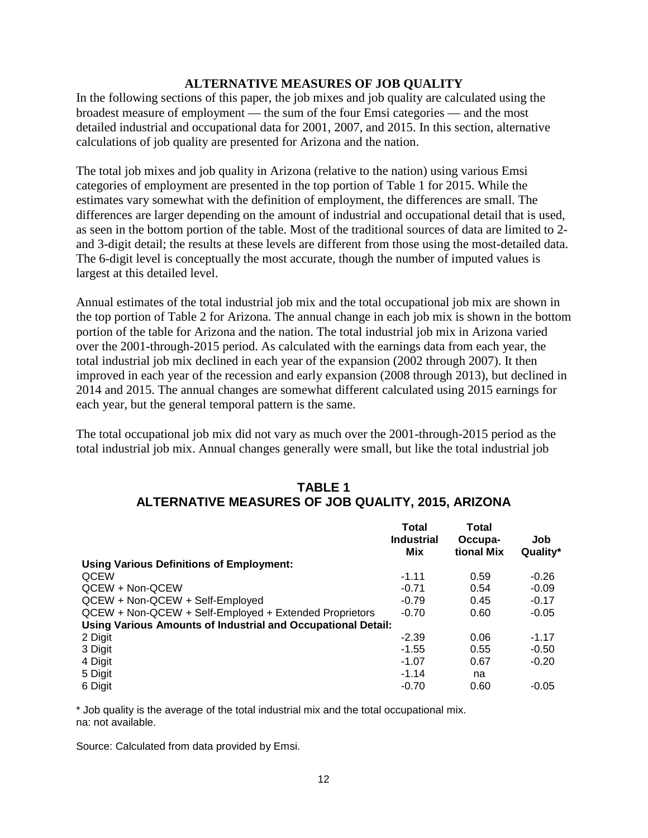#### **ALTERNATIVE MEASURES OF JOB QUALITY**

In the following sections of this paper, the job mixes and job quality are calculated using the broadest measure of employment — the sum of the four Emsi categories — and the most detailed industrial and occupational data for 2001, 2007, and 2015. In this section, alternative calculations of job quality are presented for Arizona and the nation.

The total job mixes and job quality in Arizona (relative to the nation) using various Emsi categories of employment are presented in the top portion of Table 1 for 2015. While the estimates vary somewhat with the definition of employment, the differences are small. The differences are larger depending on the amount of industrial and occupational detail that is used, as seen in the bottom portion of the table. Most of the traditional sources of data are limited to 2 and 3-digit detail; the results at these levels are different from those using the most-detailed data. The 6-digit level is conceptually the most accurate, though the number of imputed values is largest at this detailed level.

Annual estimates of the total industrial job mix and the total occupational job mix are shown in the top portion of Table 2 for Arizona. The annual change in each job mix is shown in the bottom portion of the table for Arizona and the nation. The total industrial job mix in Arizona varied over the 2001-through-2015 period. As calculated with the earnings data from each year, the total industrial job mix declined in each year of the expansion (2002 through 2007). It then improved in each year of the recession and early expansion (2008 through 2013), but declined in 2014 and 2015. The annual changes are somewhat different calculated using 2015 earnings for each year, but the general temporal pattern is the same.

The total occupational job mix did not vary as much over the 2001-through-2015 period as the total industrial job mix. Annual changes generally were small, but like the total industrial job

|                                                              | Total<br><b>Industrial</b><br>Mix | Total<br>Occupa-<br>tional Mix | Job<br>Quality* |
|--------------------------------------------------------------|-----------------------------------|--------------------------------|-----------------|
| Using Various Definitions of Employment:                     |                                   |                                |                 |
| <b>QCEW</b>                                                  | $-1.11$                           | 0.59                           | $-0.26$         |
| QCEW + Non-QCEW                                              | $-0.71$                           | 0.54                           | $-0.09$         |
| QCEW + Non-QCEW + Self-Employed                              | $-0.79$                           | 0.45                           | $-0.17$         |
| QCEW + Non-QCEW + Self-Employed + Extended Proprietors       | $-0.70$                           | 0.60                           | $-0.05$         |
| Using Various Amounts of Industrial and Occupational Detail: |                                   |                                |                 |
| 2 Digit                                                      | $-2.39$                           | 0.06                           | $-1.17$         |
| 3 Digit                                                      | $-1.55$                           | 0.55                           | $-0.50$         |
| 4 Digit                                                      | $-1.07$                           | 0.67                           | $-0.20$         |
| 5 Digit                                                      | $-1.14$                           | na                             |                 |
| 6 Digit                                                      | $-0.70$                           | 0.60                           | $-0.05$         |

# **TABLE 1 ALTERNATIVE MEASURES OF JOB QUALITY, 2015, ARIZONA**

\* Job quality is the average of the total industrial mix and the total occupational mix. na: not available.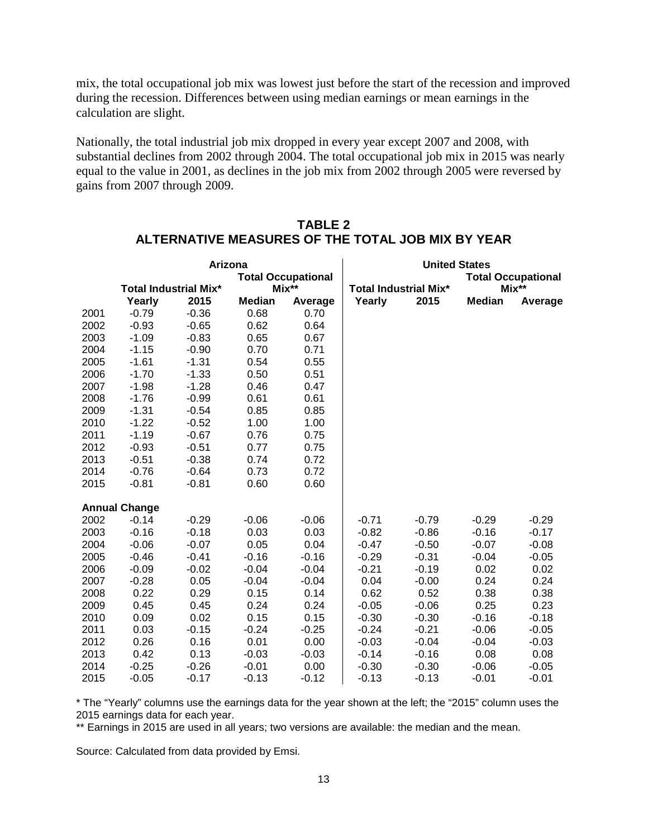mix, the total occupational job mix was lowest just before the start of the recession and improved during the recession. Differences between using median earnings or mean earnings in the calculation are slight.

Nationally, the total industrial job mix dropped in every year except 2007 and 2008, with substantial declines from 2002 through 2004. The total occupational job mix in 2015 was nearly equal to the value in 2001, as declines in the job mix from 2002 through 2005 were reversed by gains from 2007 through 2009.

|      | Arizona              |                              |               |                           |         | <b>United States</b>         |               |                           |
|------|----------------------|------------------------------|---------------|---------------------------|---------|------------------------------|---------------|---------------------------|
|      |                      |                              |               | <b>Total Occupational</b> |         |                              |               | <b>Total Occupational</b> |
|      |                      | <b>Total Industrial Mix*</b> |               | $Mix**$                   |         | <b>Total Industrial Mix*</b> |               | Mix**                     |
|      | Yearly               | 2015                         | <b>Median</b> | Average                   | Yearly  | 2015                         | <b>Median</b> | Average                   |
| 2001 | $-0.79$              | $-0.36$                      | 0.68          | 0.70                      |         |                              |               |                           |
| 2002 | $-0.93$              | $-0.65$                      | 0.62          | 0.64                      |         |                              |               |                           |
| 2003 | $-1.09$              | $-0.83$                      | 0.65          | 0.67                      |         |                              |               |                           |
| 2004 | $-1.15$              | $-0.90$                      | 0.70          | 0.71                      |         |                              |               |                           |
| 2005 | $-1.61$              | $-1.31$                      | 0.54          | 0.55                      |         |                              |               |                           |
| 2006 | $-1.70$              | $-1.33$                      | 0.50          | 0.51                      |         |                              |               |                           |
| 2007 | $-1.98$              | $-1.28$                      | 0.46          | 0.47                      |         |                              |               |                           |
| 2008 | $-1.76$              | $-0.99$                      | 0.61          | 0.61                      |         |                              |               |                           |
| 2009 | $-1.31$              | $-0.54$                      | 0.85          | 0.85                      |         |                              |               |                           |
| 2010 | $-1.22$              | $-0.52$                      | 1.00          | 1.00                      |         |                              |               |                           |
| 2011 | $-1.19$              | $-0.67$                      | 0.76          | 0.75                      |         |                              |               |                           |
| 2012 | $-0.93$              | $-0.51$                      | 0.77          | 0.75                      |         |                              |               |                           |
| 2013 | $-0.51$              | $-0.38$                      | 0.74          | 0.72                      |         |                              |               |                           |
| 2014 | $-0.76$              | $-0.64$                      | 0.73          | 0.72                      |         |                              |               |                           |
| 2015 | $-0.81$              | $-0.81$                      | 0.60          | 0.60                      |         |                              |               |                           |
|      | <b>Annual Change</b> |                              |               |                           |         |                              |               |                           |
| 2002 | $-0.14$              | $-0.29$                      | $-0.06$       | $-0.06$                   | $-0.71$ | $-0.79$                      | $-0.29$       | $-0.29$                   |
| 2003 | $-0.16$              | $-0.18$                      | 0.03          | 0.03                      | $-0.82$ | $-0.86$                      | $-0.16$       | $-0.17$                   |
| 2004 | $-0.06$              | $-0.07$                      | 0.05          | 0.04                      | $-0.47$ | $-0.50$                      | $-0.07$       | $-0.08$                   |
| 2005 | $-0.46$              | $-0.41$                      | $-0.16$       | $-0.16$                   | $-0.29$ | $-0.31$                      | $-0.04$       | $-0.05$                   |
| 2006 | $-0.09$              | $-0.02$                      | $-0.04$       | $-0.04$                   | $-0.21$ | $-0.19$                      | 0.02          | 0.02                      |
| 2007 | $-0.28$              | 0.05                         | $-0.04$       | $-0.04$                   | 0.04    | $-0.00$                      | 0.24          | 0.24                      |
| 2008 | 0.22                 | 0.29                         | 0.15          | 0.14                      | 0.62    | 0.52                         | 0.38          | 0.38                      |
| 2009 | 0.45                 | 0.45                         | 0.24          | 0.24                      | $-0.05$ | $-0.06$                      | 0.25          | 0.23                      |
| 2010 | 0.09                 | 0.02                         | 0.15          | 0.15                      | $-0.30$ | $-0.30$                      | $-0.16$       | $-0.18$                   |
| 2011 | 0.03                 | $-0.15$                      | $-0.24$       | $-0.25$                   | $-0.24$ | $-0.21$                      | $-0.06$       | $-0.05$                   |
| 2012 | 0.26                 | 0.16                         | 0.01          | 0.00                      | $-0.03$ | $-0.04$                      | $-0.04$       | $-0.03$                   |
| 2013 | 0.42                 | 0.13                         | $-0.03$       | $-0.03$                   | $-0.14$ | $-0.16$                      | 0.08          | 0.08                      |
| 2014 | $-0.25$              | $-0.26$                      | $-0.01$       | 0.00                      | $-0.30$ | $-0.30$                      | $-0.06$       | $-0.05$                   |
| 2015 | $-0.05$              | $-0.17$                      | $-0.13$       | $-0.12$                   | $-0.13$ | $-0.13$                      | $-0.01$       | $-0.01$                   |

### **TABLE 2 ALTERNATIVE MEASURES OF THE TOTAL JOB MIX BY YEAR**

\* The "Yearly" columns use the earnings data for the year shown at the left; the "2015" column uses the 2015 earnings data for each year.

\*\* Earnings in 2015 are used in all years; two versions are available: the median and the mean.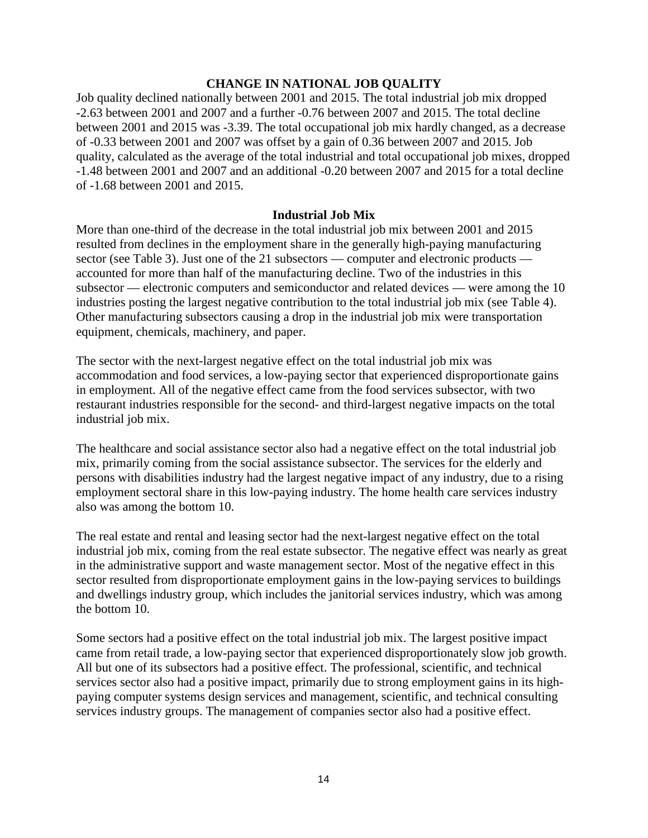#### **CHANGE IN NATIONAL JOB QUALITY**

Job quality declined nationally between 2001 and 2015. The total industrial job mix dropped -2.63 between 2001 and 2007 and a further -0.76 between 2007 and 2015. The total decline between 2001 and 2015 was -3.39. The total occupational job mix hardly changed, as a decrease of -0.33 between 2001 and 2007 was offset by a gain of 0.36 between 2007 and 2015. Job quality, calculated as the average of the total industrial and total occupational job mixes, dropped -1.48 between 2001 and 2007 and an additional -0.20 between 2007 and 2015 for a total decline of -1.68 between 2001 and 2015.

#### **Industrial Job Mix**

More than one-third of the decrease in the total industrial job mix between 2001 and 2015 resulted from declines in the employment share in the generally high-paying manufacturing sector (see Table 3). Just one of the 21 subsectors — computer and electronic products accounted for more than half of the manufacturing decline. Two of the industries in this subsector — electronic computers and semiconductor and related devices — were among the 10 industries posting the largest negative contribution to the total industrial job mix (see Table 4). Other manufacturing subsectors causing a drop in the industrial job mix were transportation equipment, chemicals, machinery, and paper.

The sector with the next-largest negative effect on the total industrial job mix was accommodation and food services, a low-paying sector that experienced disproportionate gains in employment. All of the negative effect came from the food services subsector, with two restaurant industries responsible for the second- and third-largest negative impacts on the total industrial job mix.

The healthcare and social assistance sector also had a negative effect on the total industrial job mix, primarily coming from the social assistance subsector. The services for the elderly and persons with disabilities industry had the largest negative impact of any industry, due to a rising employment sectoral share in this low-paying industry. The home health care services industry also was among the bottom 10.

The real estate and rental and leasing sector had the next-largest negative effect on the total industrial job mix, coming from the real estate subsector. The negative effect was nearly as great in the administrative support and waste management sector. Most of the negative effect in this sector resulted from disproportionate employment gains in the low-paying services to buildings and dwellings industry group, which includes the janitorial services industry, which was among the bottom 10.

Some sectors had a positive effect on the total industrial job mix. The largest positive impact came from retail trade, a low-paying sector that experienced disproportionately slow job growth. All but one of its subsectors had a positive effect. The professional, scientific, and technical services sector also had a positive impact, primarily due to strong employment gains in its highpaying computer systems design services and management, scientific, and technical consulting services industry groups. The management of companies sector also had a positive effect.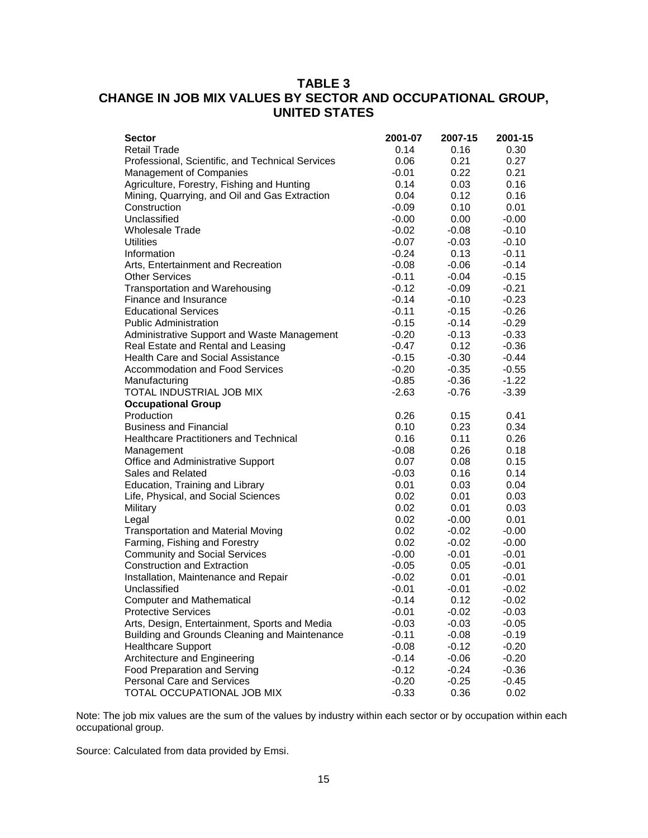# **TABLE 3 CHANGE IN JOB MIX VALUES BY SECTOR AND OCCUPATIONAL GROUP, UNITED STATES**

| 0.30<br>0.27 |
|--------------|
|              |
|              |
| 0.21         |
| 0.16         |
| 0.16         |
| 0.01         |
| $-0.00$      |
| $-0.10$      |
| $-0.10$      |
| $-0.11$      |
| $-0.14$      |
| $-0.15$      |
| $-0.21$      |
| $-0.23$      |
| $-0.26$      |
| $-0.29$      |
| $-0.33$      |
| $-0.36$      |
| $-0.44$      |
| $-0.55$      |
| $-1.22$      |
| $-3.39$      |
|              |
| 0.41         |
| 0.34         |
| 0.26         |
| 0.18         |
| 0.15         |
| 0.14         |
| 0.04         |
| 0.03         |
| 0.03         |
| 0.01         |
| $-0.00$      |
| $-0.00$      |
| $-0.01$      |
| $-0.01$      |
| $-0.01$      |
| $-0.02$      |
| $-0.02$      |
| $-0.03$      |
| $-0.05$      |
| $-0.19$      |
| $-0.20$      |
| $-0.20$      |
| $-0.36$      |
| $-0.45$      |
| 0.02         |
|              |

Note: The job mix values are the sum of the values by industry within each sector or by occupation within each occupational group.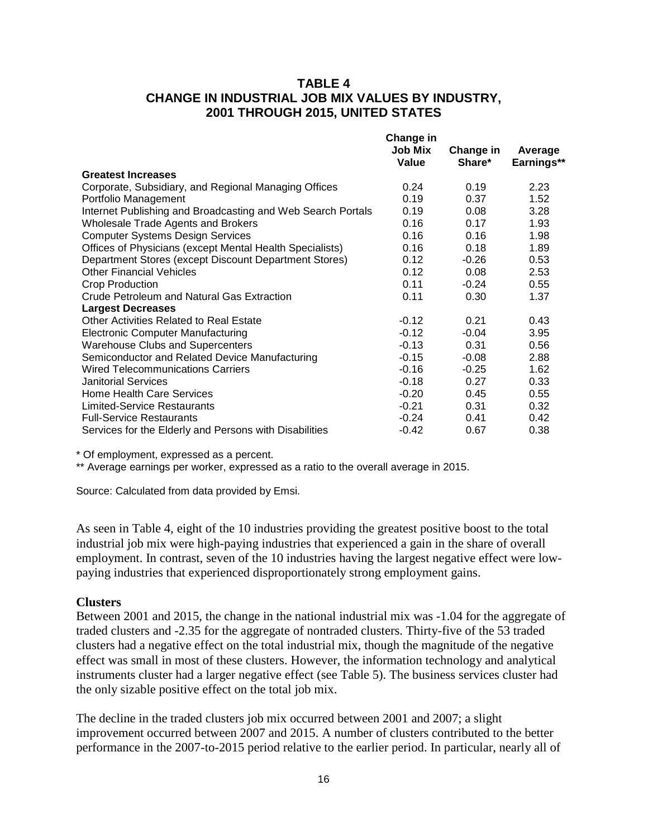### **TABLE 4 CHANGE IN INDUSTRIAL JOB MIX VALUES BY INDUSTRY, 2001 THROUGH 2015, UNITED STATES**

|                                                             | <b>Change in</b> |           |            |
|-------------------------------------------------------------|------------------|-----------|------------|
|                                                             | <b>Job Mix</b>   | Change in | Average    |
|                                                             | Value            | Share*    | Earnings** |
| <b>Greatest Increases</b>                                   |                  |           |            |
| Corporate, Subsidiary, and Regional Managing Offices        | 0.24             | 0.19      | 2.23       |
| Portfolio Management                                        | 0.19             | 0.37      | 1.52       |
| Internet Publishing and Broadcasting and Web Search Portals | 0.19             | 0.08      | 3.28       |
| <b>Wholesale Trade Agents and Brokers</b>                   | 0.16             | 0.17      | 1.93       |
| <b>Computer Systems Design Services</b>                     | 0.16             | 0.16      | 1.98       |
| Offices of Physicians (except Mental Health Specialists)    | 0.16             | 0.18      | 1.89       |
| Department Stores (except Discount Department Stores)       | 0.12             | $-0.26$   | 0.53       |
| <b>Other Financial Vehicles</b>                             | 0.12             | 0.08      | 2.53       |
| Crop Production                                             | 0.11             | $-0.24$   | 0.55       |
| Crude Petroleum and Natural Gas Extraction                  | 0.11             | 0.30      | 1.37       |
| <b>Largest Decreases</b>                                    |                  |           |            |
| Other Activities Related to Real Estate                     | $-0.12$          | 0.21      | 0.43       |
| <b>Electronic Computer Manufacturing</b>                    | $-0.12$          | $-0.04$   | 3.95       |
| <b>Warehouse Clubs and Supercenters</b>                     | $-0.13$          | 0.31      | 0.56       |
| Semiconductor and Related Device Manufacturing              | $-0.15$          | $-0.08$   | 2.88       |
| Wired Telecommunications Carriers                           | $-0.16$          | $-0.25$   | 1.62       |
| <b>Janitorial Services</b>                                  | $-0.18$          | 0.27      | 0.33       |
| <b>Home Health Care Services</b>                            | $-0.20$          | 0.45      | 0.55       |
| <b>Limited-Service Restaurants</b>                          | $-0.21$          | 0.31      | 0.32       |
| <b>Full-Service Restaurants</b>                             | $-0.24$          | 0.41      | 0.42       |
| Services for the Elderly and Persons with Disabilities      | $-0.42$          | 0.67      | 0.38       |

\* Of employment, expressed as a percent.

\*\* Average earnings per worker, expressed as a ratio to the overall average in 2015.

Source: Calculated from data provided by Emsi.

As seen in Table 4, eight of the 10 industries providing the greatest positive boost to the total industrial job mix were high-paying industries that experienced a gain in the share of overall employment. In contrast, seven of the 10 industries having the largest negative effect were lowpaying industries that experienced disproportionately strong employment gains.

#### **Clusters**

Between 2001 and 2015, the change in the national industrial mix was -1.04 for the aggregate of traded clusters and -2.35 for the aggregate of nontraded clusters. Thirty-five of the 53 traded clusters had a negative effect on the total industrial mix, though the magnitude of the negative effect was small in most of these clusters. However, the information technology and analytical instruments cluster had a larger negative effect (see Table 5). The business services cluster had the only sizable positive effect on the total job mix.

The decline in the traded clusters job mix occurred between 2001 and 2007; a slight improvement occurred between 2007 and 2015. A number of clusters contributed to the better performance in the 2007-to-2015 period relative to the earlier period. In particular, nearly all of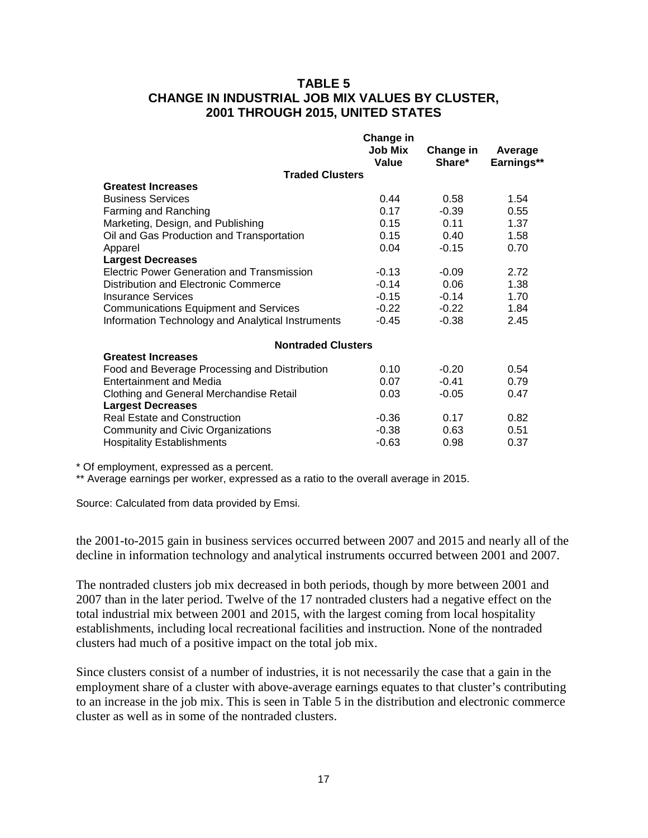### **TABLE 5 CHANGE IN INDUSTRIAL JOB MIX VALUES BY CLUSTER, 2001 THROUGH 2015, UNITED STATES**

|                                                   | Change in      |           |            |
|---------------------------------------------------|----------------|-----------|------------|
|                                                   | <b>Job Mix</b> | Change in | Average    |
|                                                   | Value          | Share*    | Earnings** |
| <b>Traded Clusters</b>                            |                |           |            |
| <b>Greatest Increases</b>                         |                |           |            |
| <b>Business Services</b>                          | 0.44           | 0.58      | 1.54       |
| Farming and Ranching                              | 0.17           | $-0.39$   | 0.55       |
| Marketing, Design, and Publishing                 | 0.15           | 0.11      | 1.37       |
| Oil and Gas Production and Transportation         | 0.15           | 0.40      | 1.58       |
| Apparel                                           | 0.04           | $-0.15$   | 0.70       |
| <b>Largest Decreases</b>                          |                |           |            |
| <b>Electric Power Generation and Transmission</b> | $-0.13$        | $-0.09$   | 2.72       |
| Distribution and Electronic Commerce              | $-0.14$        | 0.06      | 1.38       |
| <b>Insurance Services</b>                         | $-0.15$        | $-0.14$   | 1.70       |
| <b>Communications Equipment and Services</b>      | $-0.22$        | $-0.22$   | 1.84       |
| Information Technology and Analytical Instruments | $-0.45$        | $-0.38$   | 2.45       |
| <b>Nontraded Clusters</b>                         |                |           |            |
| <b>Greatest Increases</b>                         |                |           |            |
| Food and Beverage Processing and Distribution     | 0.10           | $-0.20$   | 0.54       |
| Entertainment and Media                           | 0.07           | $-0.41$   | 0.79       |
| Clothing and General Merchandise Retail           | 0.03           | $-0.05$   | 0.47       |
| <b>Largest Decreases</b>                          |                |           |            |
| <b>Real Estate and Construction</b>               | $-0.36$        | 0.17      | 0.82       |
| Community and Civic Organizations                 | $-0.38$        | 0.63      | 0.51       |
| <b>Hospitality Establishments</b>                 | $-0.63$        | 0.98      | 0.37       |
|                                                   |                |           |            |

\* Of employment, expressed as a percent.

\*\* Average earnings per worker, expressed as a ratio to the overall average in 2015.

Source: Calculated from data provided by Emsi.

the 2001-to-2015 gain in business services occurred between 2007 and 2015 and nearly all of the decline in information technology and analytical instruments occurred between 2001 and 2007.

The nontraded clusters job mix decreased in both periods, though by more between 2001 and 2007 than in the later period. Twelve of the 17 nontraded clusters had a negative effect on the total industrial mix between 2001 and 2015, with the largest coming from local hospitality establishments, including local recreational facilities and instruction. None of the nontraded clusters had much of a positive impact on the total job mix.

Since clusters consist of a number of industries, it is not necessarily the case that a gain in the employment share of a cluster with above-average earnings equates to that cluster's contributing to an increase in the job mix. This is seen in Table 5 in the distribution and electronic commerce cluster as well as in some of the nontraded clusters.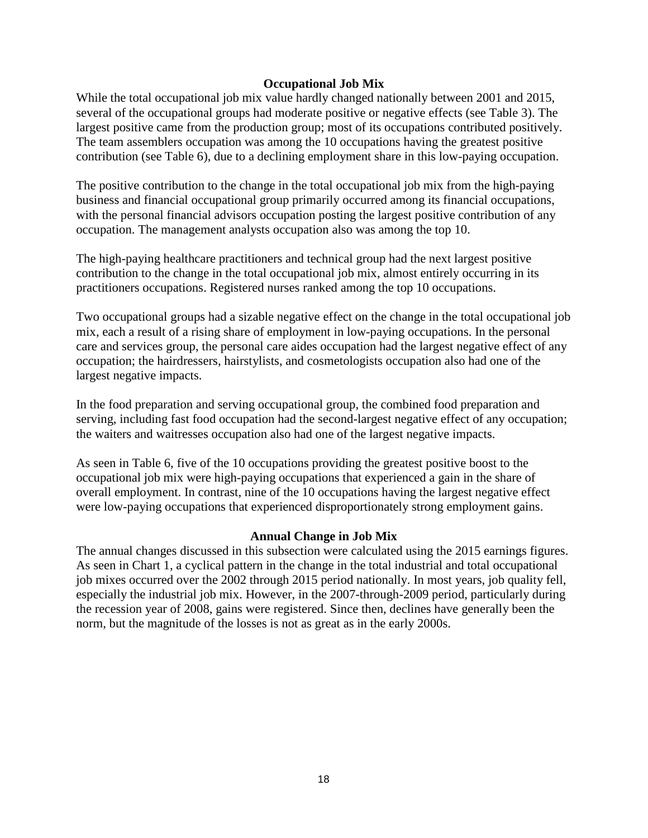#### **Occupational Job Mix**

While the total occupational job mix value hardly changed nationally between 2001 and 2015, several of the occupational groups had moderate positive or negative effects (see Table 3). The largest positive came from the production group; most of its occupations contributed positively. The team assemblers occupation was among the 10 occupations having the greatest positive contribution (see Table 6), due to a declining employment share in this low-paying occupation.

The positive contribution to the change in the total occupational job mix from the high-paying business and financial occupational group primarily occurred among its financial occupations, with the personal financial advisors occupation posting the largest positive contribution of any occupation. The management analysts occupation also was among the top 10.

The high-paying healthcare practitioners and technical group had the next largest positive contribution to the change in the total occupational job mix, almost entirely occurring in its practitioners occupations. Registered nurses ranked among the top 10 occupations.

Two occupational groups had a sizable negative effect on the change in the total occupational job mix, each a result of a rising share of employment in low-paying occupations. In the personal care and services group, the personal care aides occupation had the largest negative effect of any occupation; the hairdressers, hairstylists, and cosmetologists occupation also had one of the largest negative impacts.

In the food preparation and serving occupational group, the combined food preparation and serving, including fast food occupation had the second-largest negative effect of any occupation; the waiters and waitresses occupation also had one of the largest negative impacts.

As seen in Table 6, five of the 10 occupations providing the greatest positive boost to the occupational job mix were high-paying occupations that experienced a gain in the share of overall employment. In contrast, nine of the 10 occupations having the largest negative effect were low-paying occupations that experienced disproportionately strong employment gains.

#### **Annual Change in Job Mix**

The annual changes discussed in this subsection were calculated using the 2015 earnings figures. As seen in Chart 1, a cyclical pattern in the change in the total industrial and total occupational job mixes occurred over the 2002 through 2015 period nationally. In most years, job quality fell, especially the industrial job mix. However, in the 2007-through-2009 period, particularly during the recession year of 2008, gains were registered. Since then, declines have generally been the norm, but the magnitude of the losses is not as great as in the early 2000s.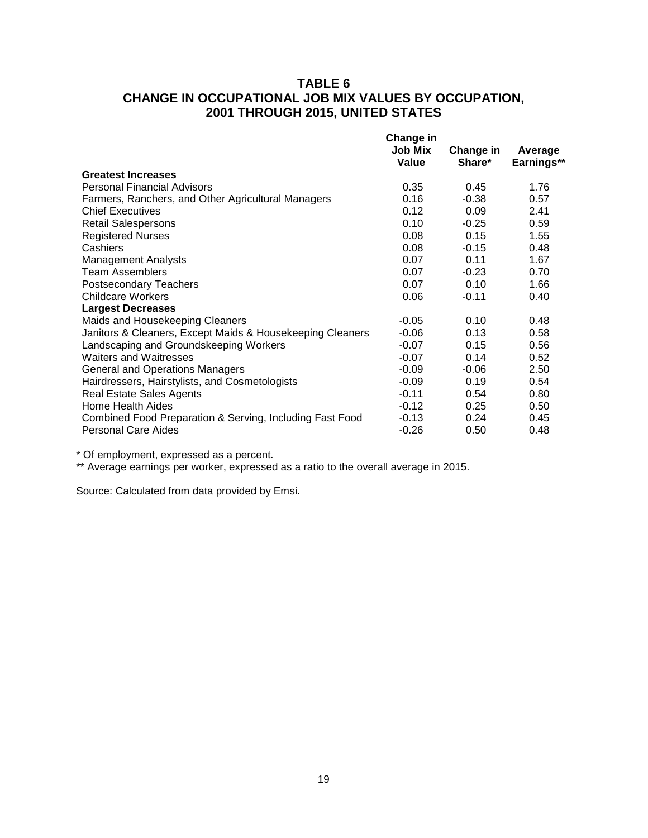### **TABLE 6 CHANGE IN OCCUPATIONAL JOB MIX VALUES BY OCCUPATION, 2001 THROUGH 2015, UNITED STATES**

|                                                           | Change in<br><b>Job Mix</b><br>Value | Change in<br>Share* | Average<br>Earnings** |
|-----------------------------------------------------------|--------------------------------------|---------------------|-----------------------|
| <b>Greatest Increases</b>                                 |                                      |                     |                       |
| <b>Personal Financial Advisors</b>                        | 0.35                                 | 0.45                | 1.76                  |
| Farmers, Ranchers, and Other Agricultural Managers        | 0.16                                 | $-0.38$             | 0.57                  |
| <b>Chief Executives</b>                                   | 0.12                                 | 0.09                | 2.41                  |
| <b>Retail Salespersons</b>                                | 0.10                                 | $-0.25$             | 0.59                  |
| <b>Registered Nurses</b>                                  | 0.08                                 | 0.15                | 1.55                  |
| Cashiers                                                  | 0.08                                 | $-0.15$             | 0.48                  |
| Management Analysts                                       | 0.07                                 | 0.11                | 1.67                  |
| Team Assemblers                                           | 0.07                                 | $-0.23$             | 0.70                  |
| <b>Postsecondary Teachers</b>                             | 0.07                                 | 0.10                | 1.66                  |
| <b>Childcare Workers</b>                                  | 0.06                                 | $-0.11$             | 0.40                  |
| <b>Largest Decreases</b>                                  |                                      |                     |                       |
| Maids and Housekeeping Cleaners                           | $-0.05$                              | 0.10                | 0.48                  |
| Janitors & Cleaners, Except Maids & Housekeeping Cleaners | $-0.06$                              | 0.13                | 0.58                  |
| Landscaping and Groundskeeping Workers                    | $-0.07$                              | 0.15                | 0.56                  |
| Waiters and Waitresses                                    | $-0.07$                              | 0.14                | 0.52                  |
| <b>General and Operations Managers</b>                    | $-0.09$                              | $-0.06$             | 2.50                  |
| Hairdressers, Hairstylists, and Cosmetologists            | $-0.09$                              | 0.19                | 0.54                  |
| <b>Real Estate Sales Agents</b>                           | $-0.11$                              | 0.54                | 0.80                  |
| Home Health Aides                                         | $-0.12$                              | 0.25                | 0.50                  |
| Combined Food Preparation & Serving, Including Fast Food  | $-0.13$                              | 0.24                | 0.45                  |
| <b>Personal Care Aides</b>                                | $-0.26$                              | 0.50                | 0.48                  |

\* Of employment, expressed as a percent.

\*\* Average earnings per worker, expressed as a ratio to the overall average in 2015.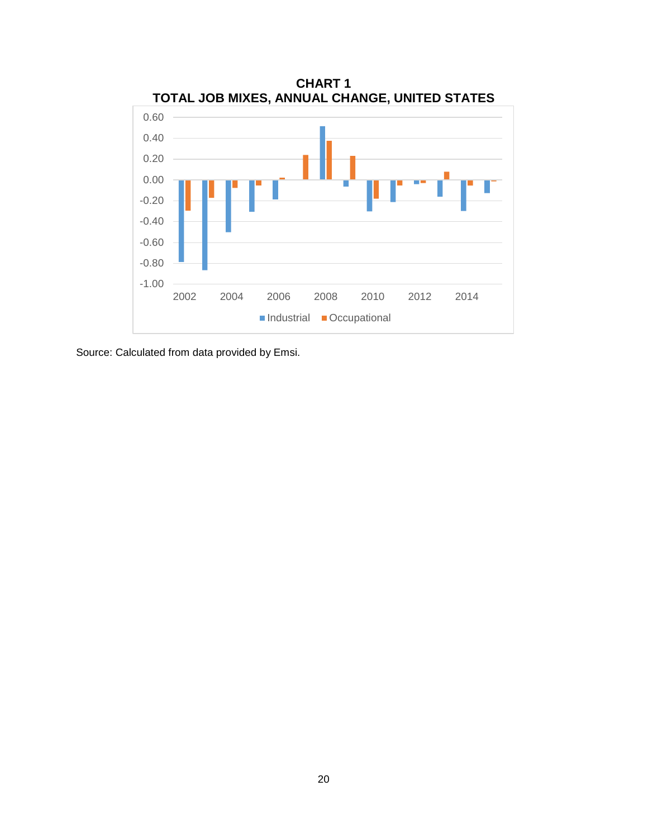

Source: Calculated from data provided by Emsi.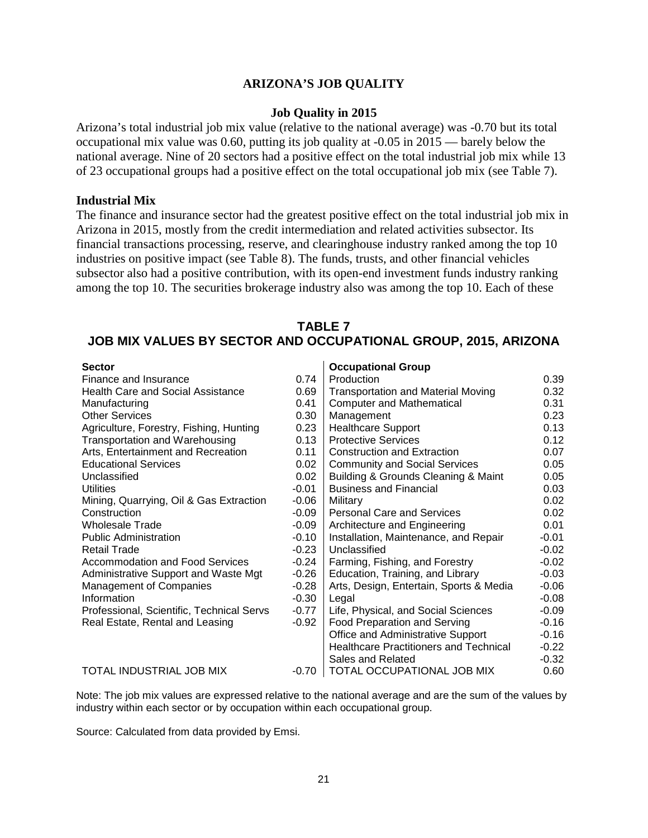#### **ARIZONA'S JOB QUALITY**

#### **Job Quality in 2015**

Arizona's total industrial job mix value (relative to the national average) was -0.70 but its total occupational mix value was 0.60, putting its job quality at -0.05 in 2015 — barely below the national average. Nine of 20 sectors had a positive effect on the total industrial job mix while 13 of 23 occupational groups had a positive effect on the total occupational job mix (see Table 7).

#### **Industrial Mix**

The finance and insurance sector had the greatest positive effect on the total industrial job mix in Arizona in 2015, mostly from the credit intermediation and related activities subsector. Its financial transactions processing, reserve, and clearinghouse industry ranked among the top 10 industries on positive impact (see Table 8). The funds, trusts, and other financial vehicles subsector also had a positive contribution, with its open-end investment funds industry ranking among the top 10. The securities brokerage industry also was among the top 10. Each of these

### **TABLE 7 JOB MIX VALUES BY SECTOR AND OCCUPATIONAL GROUP, 2015, ARIZONA**

| <b>Sector</b>                             |         | <b>Occupational Group</b>                     |         |
|-------------------------------------------|---------|-----------------------------------------------|---------|
| Finance and Insurance                     | 0.74    | Production                                    | 0.39    |
| Health Care and Social Assistance         | 0.69    | <b>Transportation and Material Moving</b>     | 0.32    |
| Manufacturing                             | 0.41    | <b>Computer and Mathematical</b>              | 0.31    |
| <b>Other Services</b>                     | 0.30    | Management                                    | 0.23    |
| Agriculture, Forestry, Fishing, Hunting   | 0.23    | <b>Healthcare Support</b>                     | 0.13    |
| <b>Transportation and Warehousing</b>     | 0.13    | <b>Protective Services</b>                    | 0.12    |
| Arts, Entertainment and Recreation        | 0.11    | <b>Construction and Extraction</b>            | 0.07    |
| <b>Educational Services</b>               | 0.02    | <b>Community and Social Services</b>          | 0.05    |
| Unclassified                              | 0.02    | Building & Grounds Cleaning & Maint           | 0.05    |
| <b>Utilities</b>                          | $-0.01$ | <b>Business and Financial</b>                 | 0.03    |
| Mining, Quarrying, Oil & Gas Extraction   | $-0.06$ | Military                                      | 0.02    |
| Construction                              | $-0.09$ | <b>Personal Care and Services</b>             | 0.02    |
| <b>Wholesale Trade</b>                    | $-0.09$ | Architecture and Engineering                  | 0.01    |
| <b>Public Administration</b>              | $-0.10$ | Installation, Maintenance, and Repair         | $-0.01$ |
| <b>Retail Trade</b>                       | $-0.23$ | Unclassified                                  | $-0.02$ |
| Accommodation and Food Services           | $-0.24$ | Farming, Fishing, and Forestry                | $-0.02$ |
| Administrative Support and Waste Mgt      | $-0.26$ | Education, Training, and Library              | $-0.03$ |
| <b>Management of Companies</b>            | $-0.28$ | Arts, Design, Entertain, Sports & Media       | $-0.06$ |
| Information                               | $-0.30$ | Legal                                         | $-0.08$ |
| Professional, Scientific, Technical Servs | $-0.77$ | Life, Physical, and Social Sciences           | $-0.09$ |
| Real Estate, Rental and Leasing           | $-0.92$ | Food Preparation and Serving                  | $-0.16$ |
|                                           |         | Office and Administrative Support             | $-0.16$ |
|                                           |         | <b>Healthcare Practitioners and Technical</b> | $-0.22$ |
|                                           |         | Sales and Related                             | $-0.32$ |
| TOTAL INDUSTRIAL JOB MIX                  | -0.70   | TOTAL OCCUPATIONAL JOB MIX                    | 0.60    |

Note: The job mix values are expressed relative to the national average and are the sum of the values by industry within each sector or by occupation within each occupational group.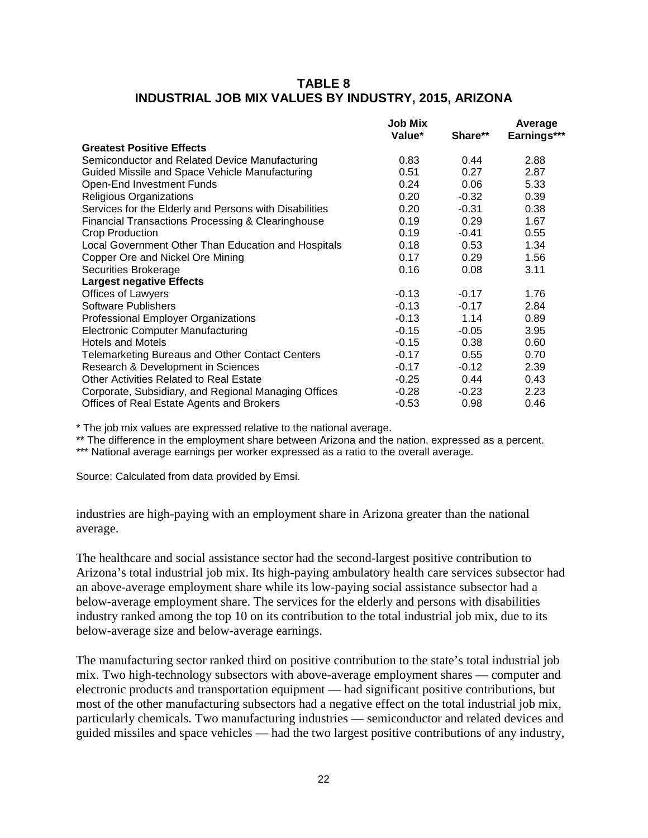### **TABLE 8 INDUSTRIAL JOB MIX VALUES BY INDUSTRY, 2015, ARIZONA**

|                                                        | <b>Job Mix</b><br>Value* | Share** | Average<br>Earnings*** |
|--------------------------------------------------------|--------------------------|---------|------------------------|
| <b>Greatest Positive Effects</b>                       |                          |         |                        |
| Semiconductor and Related Device Manufacturing         | 0.83                     | 0.44    | 2.88                   |
| Guided Missile and Space Vehicle Manufacturing         | 0.51                     | 0.27    | 2.87                   |
| Open-End Investment Funds                              | 0.24                     | 0.06    | 5.33                   |
| Religious Organizations                                | 0.20                     | $-0.32$ | 0.39                   |
| Services for the Elderly and Persons with Disabilities | 0.20                     | $-0.31$ | 0.38                   |
| Financial Transactions Processing & Clearinghouse      | 0.19                     | 0.29    | 1.67                   |
| Crop Production                                        | 0.19                     | -0.41   | 0.55                   |
| Local Government Other Than Education and Hospitals    | 0.18                     | 0.53    | 1.34                   |
| Copper Ore and Nickel Ore Mining                       | 0.17                     | 0.29    | 1.56                   |
| Securities Brokerage                                   | 0.16                     | 0.08    | 3.11                   |
| <b>Largest negative Effects</b>                        |                          |         |                        |
| Offices of Lawyers                                     | $-0.13$                  | $-0.17$ | 1.76                   |
| Software Publishers                                    | $-0.13$                  | $-0.17$ | 2.84                   |
| Professional Employer Organizations                    | $-0.13$                  | 1.14    | 0.89                   |
| <b>Electronic Computer Manufacturing</b>               | $-0.15$                  | $-0.05$ | 3.95                   |
| <b>Hotels and Motels</b>                               | $-0.15$                  | 0.38    | 0.60                   |
| Telemarketing Bureaus and Other Contact Centers        | $-0.17$                  | 0.55    | 0.70                   |
| Research & Development in Sciences                     | $-0.17$                  | $-0.12$ | 2.39                   |
| <b>Other Activities Related to Real Estate</b>         | $-0.25$                  | 0.44    | 0.43                   |
| Corporate, Subsidiary, and Regional Managing Offices   | $-0.28$                  | $-0.23$ | 2.23                   |
| Offices of Real Estate Agents and Brokers              | $-0.53$                  | 0.98    | 0.46                   |

\* The job mix values are expressed relative to the national average.

\*\* The difference in the employment share between Arizona and the nation, expressed as a percent.

\*\*\* National average earnings per worker expressed as a ratio to the overall average.

Source: Calculated from data provided by Emsi.

industries are high-paying with an employment share in Arizona greater than the national average.

The healthcare and social assistance sector had the second-largest positive contribution to Arizona's total industrial job mix. Its high-paying ambulatory health care services subsector had an above-average employment share while its low-paying social assistance subsector had a below-average employment share. The services for the elderly and persons with disabilities industry ranked among the top 10 on its contribution to the total industrial job mix, due to its below-average size and below-average earnings.

The manufacturing sector ranked third on positive contribution to the state's total industrial job mix. Two high-technology subsectors with above-average employment shares — computer and electronic products and transportation equipment — had significant positive contributions, but most of the other manufacturing subsectors had a negative effect on the total industrial job mix, particularly chemicals. Two manufacturing industries — semiconductor and related devices and guided missiles and space vehicles — had the two largest positive contributions of any industry,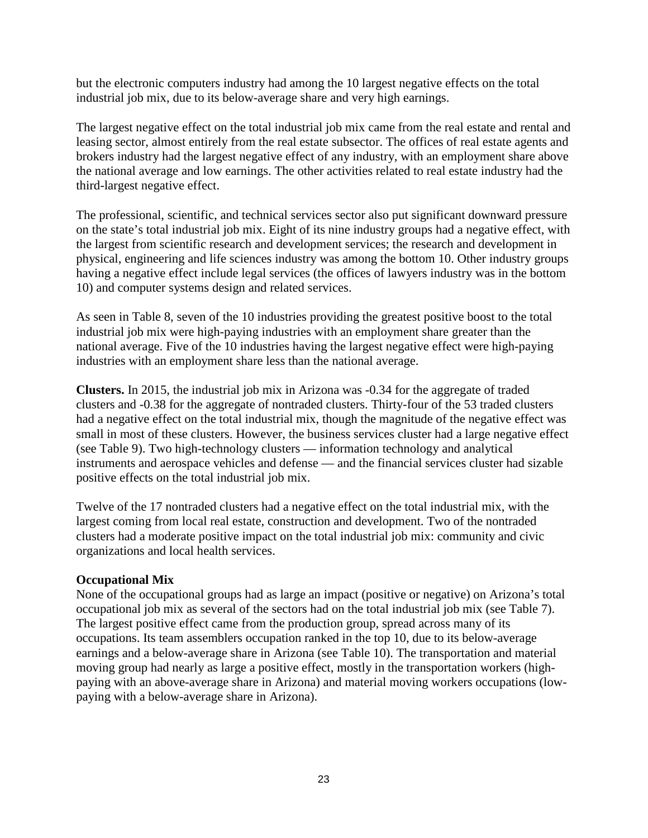but the electronic computers industry had among the 10 largest negative effects on the total industrial job mix, due to its below-average share and very high earnings.

The largest negative effect on the total industrial job mix came from the real estate and rental and leasing sector, almost entirely from the real estate subsector. The offices of real estate agents and brokers industry had the largest negative effect of any industry, with an employment share above the national average and low earnings. The other activities related to real estate industry had the third-largest negative effect.

The professional, scientific, and technical services sector also put significant downward pressure on the state's total industrial job mix. Eight of its nine industry groups had a negative effect, with the largest from scientific research and development services; the research and development in physical, engineering and life sciences industry was among the bottom 10. Other industry groups having a negative effect include legal services (the offices of lawyers industry was in the bottom 10) and computer systems design and related services.

As seen in Table 8, seven of the 10 industries providing the greatest positive boost to the total industrial job mix were high-paying industries with an employment share greater than the national average. Five of the 10 industries having the largest negative effect were high-paying industries with an employment share less than the national average.

**Clusters.** In 2015, the industrial job mix in Arizona was -0.34 for the aggregate of traded clusters and -0.38 for the aggregate of nontraded clusters. Thirty-four of the 53 traded clusters had a negative effect on the total industrial mix, though the magnitude of the negative effect was small in most of these clusters. However, the business services cluster had a large negative effect (see Table 9). Two high-technology clusters — information technology and analytical instruments and aerospace vehicles and defense — and the financial services cluster had sizable positive effects on the total industrial job mix.

Twelve of the 17 nontraded clusters had a negative effect on the total industrial mix, with the largest coming from local real estate, construction and development. Two of the nontraded clusters had a moderate positive impact on the total industrial job mix: community and civic organizations and local health services.

### **Occupational Mix**

None of the occupational groups had as large an impact (positive or negative) on Arizona's total occupational job mix as several of the sectors had on the total industrial job mix (see Table 7). The largest positive effect came from the production group, spread across many of its occupations. Its team assemblers occupation ranked in the top 10, due to its below-average earnings and a below-average share in Arizona (see Table 10). The transportation and material moving group had nearly as large a positive effect, mostly in the transportation workers (highpaying with an above-average share in Arizona) and material moving workers occupations (lowpaying with a below-average share in Arizona).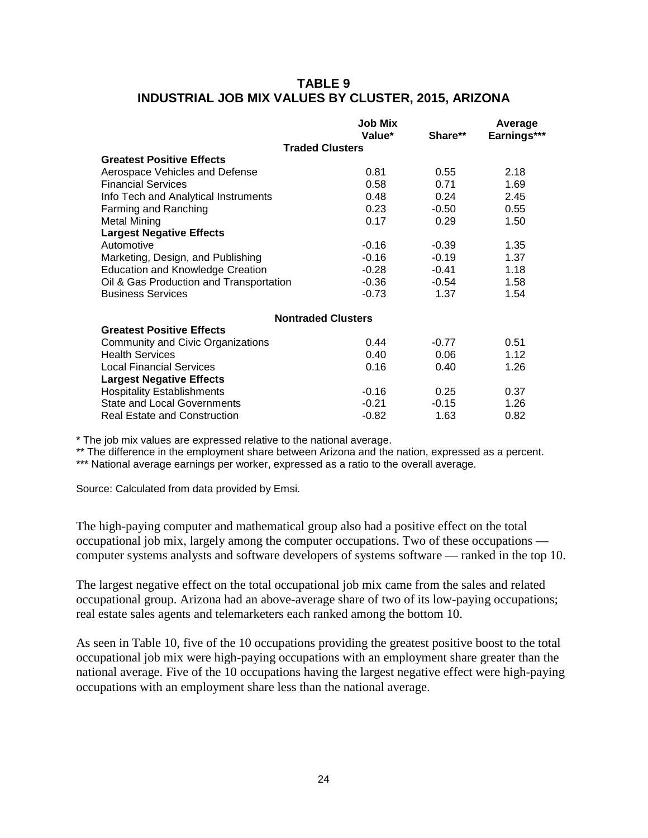### **TABLE 9 INDUSTRIAL JOB MIX VALUES BY CLUSTER, 2015, ARIZONA**

|                                         | <b>Job Mix</b><br>Value*  | Share** | Average<br>Earnings*** |
|-----------------------------------------|---------------------------|---------|------------------------|
|                                         | <b>Traded Clusters</b>    |         |                        |
| <b>Greatest Positive Effects</b>        |                           |         |                        |
| Aerospace Vehicles and Defense          | 0.81                      | 0.55    | 2.18                   |
| <b>Financial Services</b>               | 0.58                      | 0.71    | 1.69                   |
| Info Tech and Analytical Instruments    | 0.48                      | 0.24    | 2.45                   |
| Farming and Ranching                    | 0.23                      | $-0.50$ | 0.55                   |
| Metal Mining                            | 0.17                      | 0.29    | 1.50                   |
| <b>Largest Negative Effects</b>         |                           |         |                        |
| Automotive                              | $-0.16$                   | $-0.39$ | 1.35                   |
| Marketing, Design, and Publishing       | $-0.16$                   | $-0.19$ | 1.37                   |
| <b>Education and Knowledge Creation</b> | $-0.28$                   | $-0.41$ | 1.18                   |
| Oil & Gas Production and Transportation | $-0.36$                   | -0.54   | 1.58                   |
| <b>Business Services</b>                | $-0.73$                   | 1.37    | 1.54                   |
|                                         | <b>Nontraded Clusters</b> |         |                        |
| <b>Greatest Positive Effects</b>        |                           |         |                        |
| Community and Civic Organizations       | 0.44                      | $-0.77$ | 0.51                   |
| <b>Health Services</b>                  | 0.40                      | 0.06    | 1.12                   |
| <b>Local Financial Services</b>         | 0.16                      | 0.40    | 1.26                   |
| <b>Largest Negative Effects</b>         |                           |         |                        |
| <b>Hospitality Establishments</b>       | $-0.16$                   | 0.25    | 0.37                   |
| <b>State and Local Governments</b>      | $-0.21$                   | $-0.15$ | 1.26                   |
| <b>Real Estate and Construction</b>     | $-0.82$                   | 1.63    | 0.82                   |

\* The job mix values are expressed relative to the national average.

\*\* The difference in the employment share between Arizona and the nation, expressed as a percent.

\*\*\* National average earnings per worker, expressed as a ratio to the overall average.

Source: Calculated from data provided by Emsi.

The high-paying computer and mathematical group also had a positive effect on the total occupational job mix, largely among the computer occupations. Two of these occupations computer systems analysts and software developers of systems software — ranked in the top 10.

The largest negative effect on the total occupational job mix came from the sales and related occupational group. Arizona had an above-average share of two of its low-paying occupations; real estate sales agents and telemarketers each ranked among the bottom 10.

As seen in Table 10, five of the 10 occupations providing the greatest positive boost to the total occupational job mix were high-paying occupations with an employment share greater than the national average. Five of the 10 occupations having the largest negative effect were high-paying occupations with an employment share less than the national average.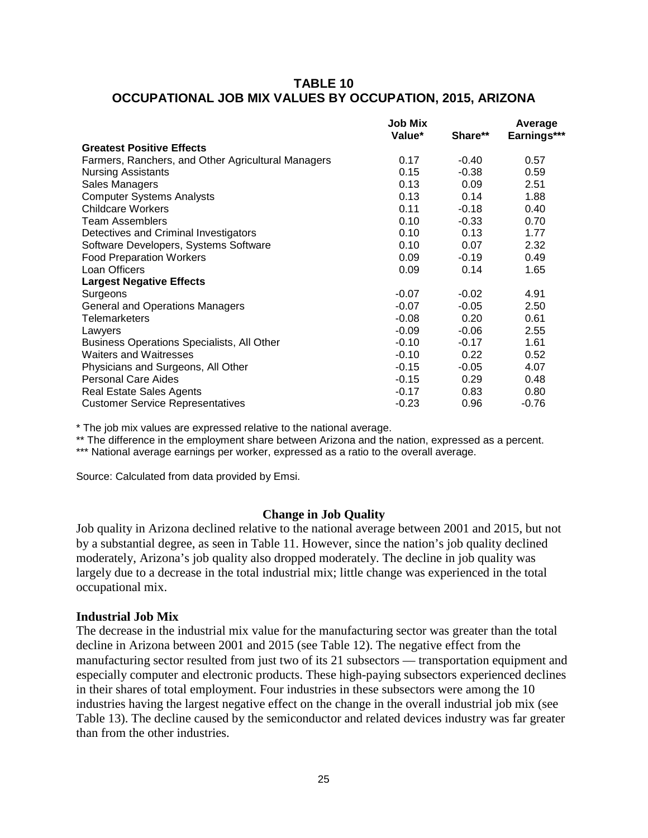#### **TABLE 10 OCCUPATIONAL JOB MIX VALUES BY OCCUPATION, 2015, ARIZONA**

|                                                    | Job Mix<br>Value* | Share** | Average<br>Earnings*** |
|----------------------------------------------------|-------------------|---------|------------------------|
| <b>Greatest Positive Effects</b>                   |                   |         |                        |
| Farmers, Ranchers, and Other Agricultural Managers | 0.17              | $-0.40$ | 0.57                   |
| <b>Nursing Assistants</b>                          | 0.15              | $-0.38$ | 0.59                   |
| Sales Managers                                     | 0.13              | 0.09    | 2.51                   |
| <b>Computer Systems Analysts</b>                   | 0.13              | 0.14    | 1.88                   |
| <b>Childcare Workers</b>                           | 0.11              | $-0.18$ | 0.40                   |
| <b>Team Assemblers</b>                             | 0.10              | $-0.33$ | 0.70                   |
| Detectives and Criminal Investigators              | 0.10              | 0.13    | 1.77                   |
| Software Developers, Systems Software              | 0.10              | 0.07    | 2.32                   |
| <b>Food Preparation Workers</b>                    | 0.09              | $-0.19$ | 0.49                   |
| Loan Officers                                      | 0.09              | 0.14    | 1.65                   |
| <b>Largest Negative Effects</b>                    |                   |         |                        |
| Surgeons                                           | $-0.07$           | $-0.02$ | 4.91                   |
| <b>General and Operations Managers</b>             | $-0.07$           | $-0.05$ | 2.50                   |
| Telemarketers                                      | $-0.08$           | 0.20    | 0.61                   |
| Lawyers                                            | $-0.09$           | $-0.06$ | 2.55                   |
| Business Operations Specialists, All Other         | $-0.10$           | $-0.17$ | 1.61                   |
| Waiters and Waitresses                             | $-0.10$           | 0.22    | 0.52                   |
| Physicians and Surgeons, All Other                 | $-0.15$           | $-0.05$ | 4.07                   |
| <b>Personal Care Aides</b>                         | $-0.15$           | 0.29    | 0.48                   |
| <b>Real Estate Sales Agents</b>                    | $-0.17$           | 0.83    | 0.80                   |
| <b>Customer Service Representatives</b>            | $-0.23$           | 0.96    | $-0.76$                |

\* The job mix values are expressed relative to the national average.

\*\* The difference in the employment share between Arizona and the nation, expressed as a percent.

\*\*\* National average earnings per worker, expressed as a ratio to the overall average.

Source: Calculated from data provided by Emsi.

#### **Change in Job Quality**

Job quality in Arizona declined relative to the national average between 2001 and 2015, but not by a substantial degree, as seen in Table 11. However, since the nation's job quality declined moderately, Arizona's job quality also dropped moderately. The decline in job quality was largely due to a decrease in the total industrial mix; little change was experienced in the total occupational mix.

#### **Industrial Job Mix**

The decrease in the industrial mix value for the manufacturing sector was greater than the total decline in Arizona between 2001 and 2015 (see Table 12). The negative effect from the manufacturing sector resulted from just two of its 21 subsectors — transportation equipment and especially computer and electronic products. These high-paying subsectors experienced declines in their shares of total employment. Four industries in these subsectors were among the 10 industries having the largest negative effect on the change in the overall industrial job mix (see Table 13). The decline caused by the semiconductor and related devices industry was far greater than from the other industries.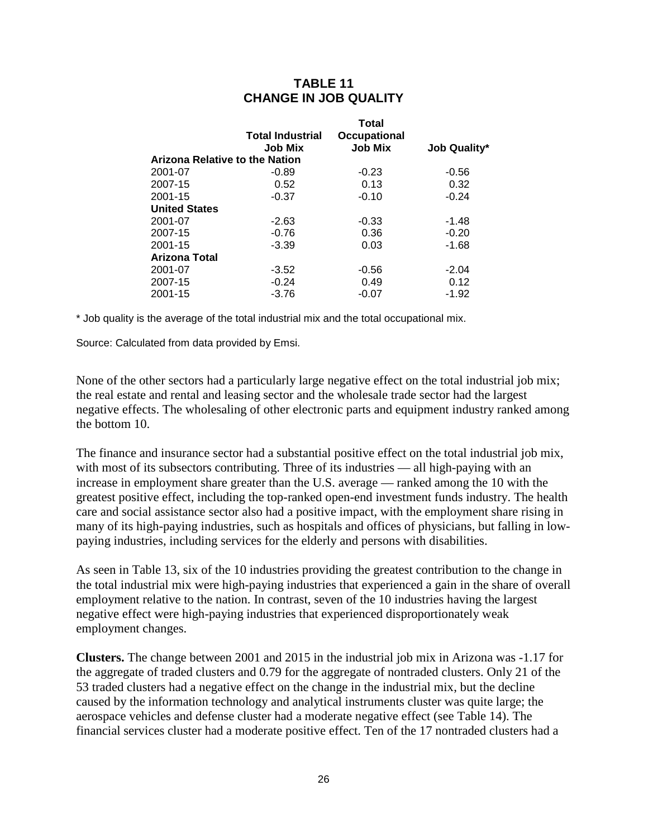### **TABLE 11 CHANGE IN JOB QUALITY**

|                      |                                           | Total                          |                     |
|----------------------|-------------------------------------------|--------------------------------|---------------------|
|                      | <b>Total Industrial</b><br><b>Job Mix</b> | Occupational<br><b>Job Mix</b> | <b>Job Quality*</b> |
|                      |                                           |                                |                     |
|                      | Arizona Relative to the Nation            |                                |                     |
| 2001-07              | -0.89                                     | $-0.23$                        | $-0.56$             |
| 2007-15              | 0.52                                      | 0.13                           | 0.32                |
| 2001-15              | $-0.37$                                   | $-0.10$                        | $-0.24$             |
| <b>United States</b> |                                           |                                |                     |
| 2001-07              | $-2.63$                                   | $-0.33$                        | $-1.48$             |
| 2007-15              | $-0.76$                                   | 0.36                           | $-0.20$             |
| 2001-15              | $-3.39$                                   | 0.03                           | $-1.68$             |
| <b>Arizona Total</b> |                                           |                                |                     |
| 2001-07              | $-3.52$                                   | $-0.56$                        | $-2.04$             |
| 2007-15              | $-0.24$                                   | 0.49                           | 0.12                |
| 2001-15              | $-3.76$                                   | $-0.07$                        | $-1.92$             |
|                      |                                           |                                |                     |

\* Job quality is the average of the total industrial mix and the total occupational mix.

Source: Calculated from data provided by Emsi.

None of the other sectors had a particularly large negative effect on the total industrial job mix; the real estate and rental and leasing sector and the wholesale trade sector had the largest negative effects. The wholesaling of other electronic parts and equipment industry ranked among the bottom 10.

The finance and insurance sector had a substantial positive effect on the total industrial job mix, with most of its subsectors contributing. Three of its industries — all high-paying with an increase in employment share greater than the U.S. average — ranked among the 10 with the greatest positive effect, including the top-ranked open-end investment funds industry. The health care and social assistance sector also had a positive impact, with the employment share rising in many of its high-paying industries, such as hospitals and offices of physicians, but falling in lowpaying industries, including services for the elderly and persons with disabilities.

As seen in Table 13, six of the 10 industries providing the greatest contribution to the change in the total industrial mix were high-paying industries that experienced a gain in the share of overall employment relative to the nation. In contrast, seven of the 10 industries having the largest negative effect were high-paying industries that experienced disproportionately weak employment changes.

**Clusters.** The change between 2001 and 2015 in the industrial job mix in Arizona was -1.17 for the aggregate of traded clusters and 0.79 for the aggregate of nontraded clusters. Only 21 of the 53 traded clusters had a negative effect on the change in the industrial mix, but the decline caused by the information technology and analytical instruments cluster was quite large; the aerospace vehicles and defense cluster had a moderate negative effect (see Table 14). The financial services cluster had a moderate positive effect. Ten of the 17 nontraded clusters had a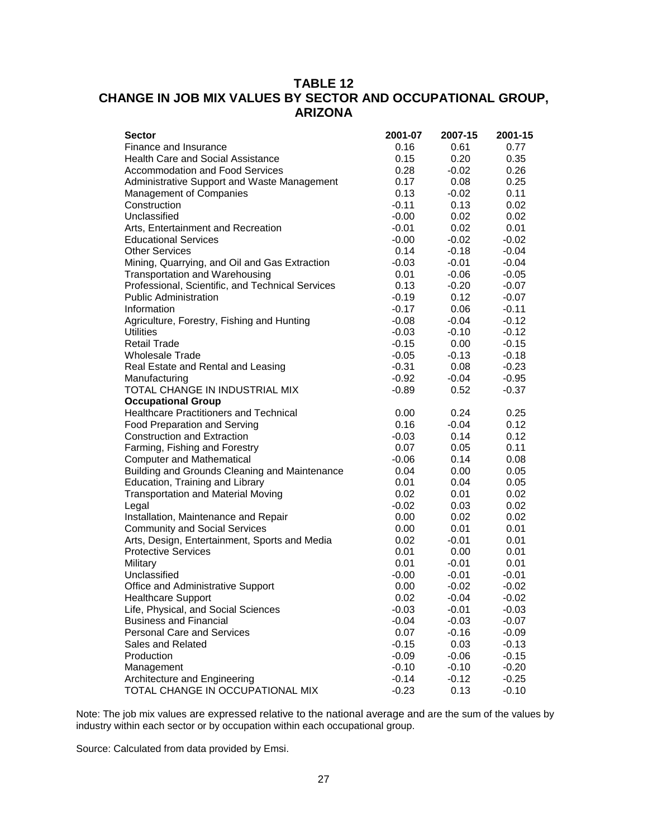# **TABLE 12 CHANGE IN JOB MIX VALUES BY SECTOR AND OCCUPATIONAL GROUP, ARIZONA**

| <b>Sector</b>                                    | 2001-07 | 2007-15 | 2001-15 |
|--------------------------------------------------|---------|---------|---------|
| Finance and Insurance                            | 0.16    | 0.61    | 0.77    |
| <b>Health Care and Social Assistance</b>         | 0.15    | 0.20    | 0.35    |
| <b>Accommodation and Food Services</b>           | 0.28    | $-0.02$ | 0.26    |
| Administrative Support and Waste Management      | 0.17    | 0.08    | 0.25    |
| Management of Companies                          | 0.13    | $-0.02$ | 0.11    |
| Construction                                     | $-0.11$ | 0.13    | 0.02    |
| Unclassified                                     | $-0.00$ | 0.02    | 0.02    |
| Arts, Entertainment and Recreation               | $-0.01$ | 0.02    | 0.01    |
| <b>Educational Services</b>                      | $-0.00$ | $-0.02$ | $-0.02$ |
| <b>Other Services</b>                            | 0.14    | $-0.18$ | $-0.04$ |
| Mining, Quarrying, and Oil and Gas Extraction    | $-0.03$ | $-0.01$ | $-0.04$ |
| Transportation and Warehousing                   | 0.01    | $-0.06$ | $-0.05$ |
| Professional, Scientific, and Technical Services | 0.13    | $-0.20$ | $-0.07$ |
| <b>Public Administration</b>                     | $-0.19$ | 0.12    | $-0.07$ |
| Information                                      | $-0.17$ | 0.06    | $-0.11$ |
| Agriculture, Forestry, Fishing and Hunting       | $-0.08$ | $-0.04$ | $-0.12$ |
| <b>Utilities</b>                                 | $-0.03$ | $-0.10$ | $-0.12$ |
| <b>Retail Trade</b>                              | $-0.15$ | 0.00    | $-0.15$ |
| <b>Wholesale Trade</b>                           | $-0.05$ | $-0.13$ | $-0.18$ |
| Real Estate and Rental and Leasing               | $-0.31$ | 0.08    | $-0.23$ |
| Manufacturing                                    | $-0.92$ | $-0.04$ | $-0.95$ |
| TOTAL CHANGE IN INDUSTRIAL MIX                   | $-0.89$ | 0.52    | $-0.37$ |
| <b>Occupational Group</b>                        |         |         |         |
| <b>Healthcare Practitioners and Technical</b>    | 0.00    | 0.24    | 0.25    |
| Food Preparation and Serving                     | 0.16    | $-0.04$ | 0.12    |
| <b>Construction and Extraction</b>               | $-0.03$ | 0.14    | 0.12    |
| Farming, Fishing and Forestry                    | 0.07    | 0.05    | 0.11    |
| <b>Computer and Mathematical</b>                 | $-0.06$ | 0.14    | 0.08    |
| Building and Grounds Cleaning and Maintenance    | 0.04    | 0.00    | 0.05    |
| Education, Training and Library                  | 0.01    | 0.04    | 0.05    |
| <b>Transportation and Material Moving</b>        | 0.02    | 0.01    | 0.02    |
| Legal                                            | $-0.02$ | 0.03    | 0.02    |
| Installation, Maintenance and Repair             | 0.00    | 0.02    | 0.02    |
| <b>Community and Social Services</b>             | 0.00    | 0.01    | 0.01    |
| Arts, Design, Entertainment, Sports and Media    | 0.02    | $-0.01$ | 0.01    |
| <b>Protective Services</b>                       | 0.01    | 0.00    | 0.01    |
| Military                                         | 0.01    | $-0.01$ | 0.01    |
| Unclassified                                     | $-0.00$ | $-0.01$ | $-0.01$ |
| Office and Administrative Support                | 0.00    | $-0.02$ | $-0.02$ |
| <b>Healthcare Support</b>                        | 0.02    | $-0.04$ | $-0.02$ |
| Life, Physical, and Social Sciences              | $-0.03$ | $-0.01$ | $-0.03$ |
| <b>Business and Financial</b>                    | $-0.04$ | $-0.03$ | $-0.07$ |
| Personal Care and Services                       | 0.07    | $-0.16$ | $-0.09$ |
| Sales and Related                                | $-0.15$ | 0.03    | $-0.13$ |
| Production                                       | $-0.09$ | $-0.06$ | $-0.15$ |
| Management                                       | $-0.10$ | $-0.10$ | $-0.20$ |
| Architecture and Engineering                     | $-0.14$ | $-0.12$ | $-0.25$ |
| TOTAL CHANGE IN OCCUPATIONAL MIX                 | $-0.23$ | 0.13    | $-0.10$ |

Note: The job mix values are expressed relative to the national average and are the sum of the values by industry within each sector or by occupation within each occupational group.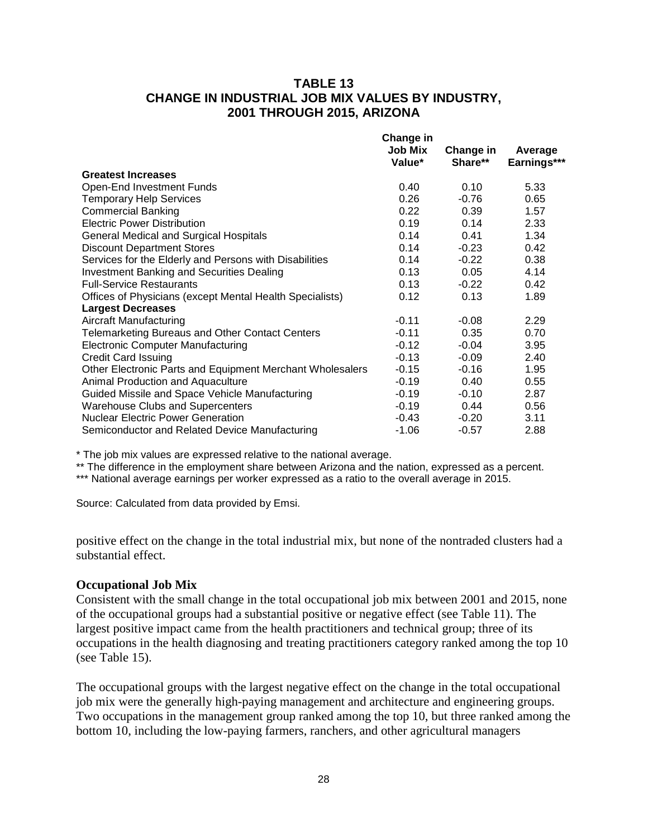### **TABLE 13 CHANGE IN INDUSTRIAL JOB MIX VALUES BY INDUSTRY, 2001 THROUGH 2015, ARIZONA**

|                                                           | <b>Change in</b><br><b>Job Mix</b><br>Value* | Change in<br>Share** | Average<br>Earnings*** |
|-----------------------------------------------------------|----------------------------------------------|----------------------|------------------------|
| <b>Greatest Increases</b>                                 |                                              |                      |                        |
| Open-End Investment Funds                                 | 0.40                                         | 0.10                 | 5.33                   |
| <b>Temporary Help Services</b>                            | 0.26                                         | $-0.76$              | 0.65                   |
| <b>Commercial Banking</b>                                 | 0.22                                         | 0.39                 | 1.57                   |
| <b>Electric Power Distribution</b>                        | 0.19                                         | 0.14                 | 2.33                   |
| <b>General Medical and Surgical Hospitals</b>             | 0.14                                         | 0.41                 | 1.34                   |
| <b>Discount Department Stores</b>                         | 0.14                                         | $-0.23$              | 0.42                   |
| Services for the Elderly and Persons with Disabilities    | 0.14                                         | $-0.22$              | 0.38                   |
| <b>Investment Banking and Securities Dealing</b>          | 0.13                                         | 0.05                 | 4.14                   |
| <b>Full-Service Restaurants</b>                           | 0.13                                         | $-0.22$              | 0.42                   |
| Offices of Physicians (except Mental Health Specialists)  | 0.12                                         | 0.13                 | 1.89                   |
| <b>Largest Decreases</b>                                  |                                              |                      |                        |
| <b>Aircraft Manufacturing</b>                             | $-0.11$                                      | $-0.08$              | 2.29                   |
| <b>Telemarketing Bureaus and Other Contact Centers</b>    | $-0.11$                                      | 0.35                 | 0.70                   |
| <b>Electronic Computer Manufacturing</b>                  | $-0.12$                                      | $-0.04$              | 3.95                   |
| <b>Credit Card Issuing</b>                                | $-0.13$                                      | $-0.09$              | 2.40                   |
| Other Electronic Parts and Equipment Merchant Wholesalers | $-0.15$                                      | $-0.16$              | 1.95                   |
| Animal Production and Aquaculture                         | $-0.19$                                      | 0.40                 | 0.55                   |
| Guided Missile and Space Vehicle Manufacturing            | $-0.19$                                      | $-0.10$              | 2.87                   |
| <b>Warehouse Clubs and Supercenters</b>                   | $-0.19$                                      | 0.44                 | 0.56                   |
| <b>Nuclear Electric Power Generation</b>                  | $-0.43$                                      | $-0.20$              | 3.11                   |
| Semiconductor and Related Device Manufacturing            | $-1.06$                                      | $-0.57$              | 2.88                   |

\* The job mix values are expressed relative to the national average.

\*\* The difference in the employment share between Arizona and the nation, expressed as a percent.

\*\*\* National average earnings per worker expressed as a ratio to the overall average in 2015.

Source: Calculated from data provided by Emsi.

positive effect on the change in the total industrial mix, but none of the nontraded clusters had a substantial effect.

#### **Occupational Job Mix**

Consistent with the small change in the total occupational job mix between 2001 and 2015, none of the occupational groups had a substantial positive or negative effect (see Table 11). The largest positive impact came from the health practitioners and technical group; three of its occupations in the health diagnosing and treating practitioners category ranked among the top 10 (see Table 15).

The occupational groups with the largest negative effect on the change in the total occupational job mix were the generally high-paying management and architecture and engineering groups. Two occupations in the management group ranked among the top 10, but three ranked among the bottom 10, including the low-paying farmers, ranchers, and other agricultural managers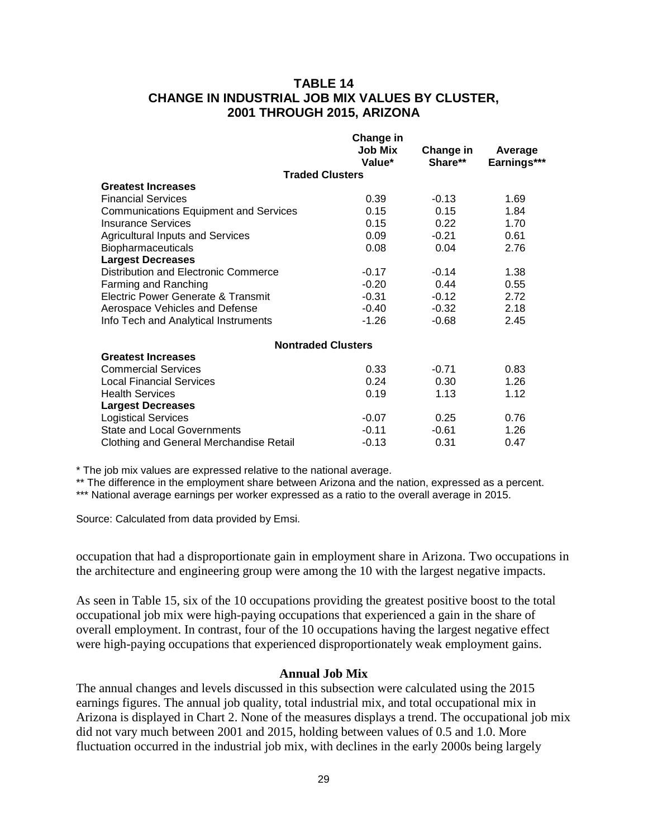### **TABLE 14 CHANGE IN INDUSTRIAL JOB MIX VALUES BY CLUSTER, 2001 THROUGH 2015, ARIZONA**

|                                              | <b>Change in</b> |           |             |
|----------------------------------------------|------------------|-----------|-------------|
|                                              | <b>Job Mix</b>   | Change in | Average     |
|                                              | Value*           | Share**   | Earnings*** |
| <b>Traded Clusters</b>                       |                  |           |             |
| <b>Greatest Increases</b>                    |                  |           |             |
| <b>Financial Services</b>                    | 0.39             | $-0.13$   | 1.69        |
| <b>Communications Equipment and Services</b> | 0.15             | 0.15      | 1.84        |
| <b>Insurance Services</b>                    | 0.15             | 0.22      | 1.70        |
| <b>Agricultural Inputs and Services</b>      | 0.09             | $-0.21$   | 0.61        |
| <b>Biopharmaceuticals</b>                    | 0.08             | 0.04      | 2.76        |
| <b>Largest Decreases</b>                     |                  |           |             |
| Distribution and Electronic Commerce         | $-0.17$          | $-0.14$   | 1.38        |
| Farming and Ranching                         | $-0.20$          | 0.44      | 0.55        |
| Electric Power Generate & Transmit           | $-0.31$          | $-0.12$   | 2.72        |
| Aerospace Vehicles and Defense               | $-0.40$          | $-0.32$   | 2.18        |
| Info Tech and Analytical Instruments         | $-1.26$          | $-0.68$   | 2.45        |
| <b>Nontraded Clusters</b>                    |                  |           |             |
| <b>Greatest Increases</b>                    |                  |           |             |
| <b>Commercial Services</b>                   | 0.33             | $-0.71$   | 0.83        |
| <b>Local Financial Services</b>              | 0.24             | 0.30      | 1.26        |
| <b>Health Services</b>                       | 0.19             | 1.13      | 1.12        |
| <b>Largest Decreases</b>                     |                  |           |             |
| <b>Logistical Services</b>                   | $-0.07$          | 0.25      | 0.76        |
| <b>State and Local Governments</b>           | $-0.11$          | $-0.61$   | 1.26        |
| Clothing and General Merchandise Retail      | $-0.13$          | 0.31      | 0.47        |
|                                              |                  |           |             |

\* The job mix values are expressed relative to the national average.

\*\* The difference in the employment share between Arizona and the nation, expressed as a percent.

\*\*\* National average earnings per worker expressed as a ratio to the overall average in 2015.

Source: Calculated from data provided by Emsi.

occupation that had a disproportionate gain in employment share in Arizona. Two occupations in the architecture and engineering group were among the 10 with the largest negative impacts.

As seen in Table 15, six of the 10 occupations providing the greatest positive boost to the total occupational job mix were high-paying occupations that experienced a gain in the share of overall employment. In contrast, four of the 10 occupations having the largest negative effect were high-paying occupations that experienced disproportionately weak employment gains.

#### **Annual Job Mix**

The annual changes and levels discussed in this subsection were calculated using the 2015 earnings figures. The annual job quality, total industrial mix, and total occupational mix in Arizona is displayed in Chart 2. None of the measures displays a trend. The occupational job mix did not vary much between 2001 and 2015, holding between values of 0.5 and 1.0. More fluctuation occurred in the industrial job mix, with declines in the early 2000s being largely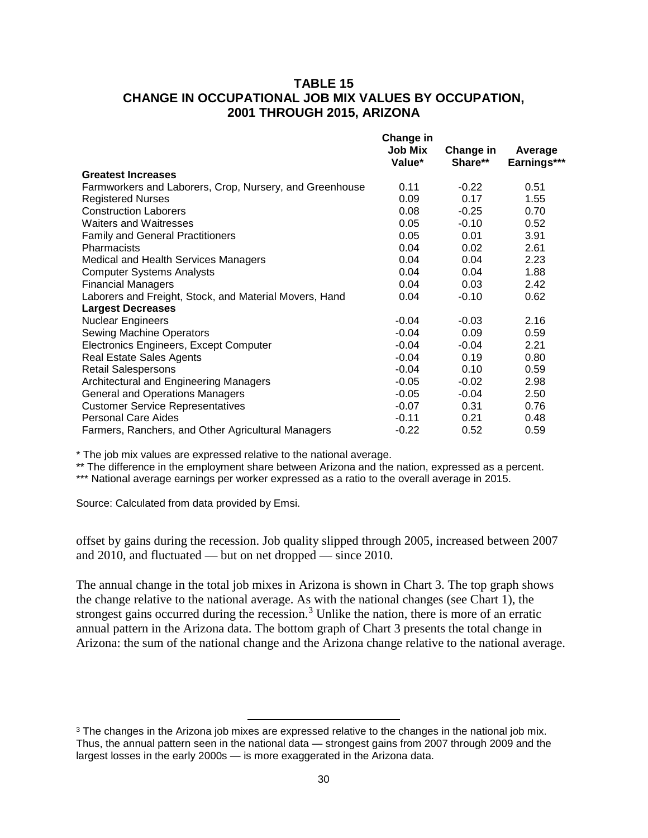### **TABLE 15 CHANGE IN OCCUPATIONAL JOB MIX VALUES BY OCCUPATION, 2001 THROUGH 2015, ARIZONA**

|                                                         | <b>Change in</b><br><b>Job Mix</b><br>Value* | Change in<br>Share** | Average<br>Earnings*** |
|---------------------------------------------------------|----------------------------------------------|----------------------|------------------------|
| <b>Greatest Increases</b>                               |                                              |                      |                        |
| Farmworkers and Laborers, Crop, Nursery, and Greenhouse | 0.11                                         | $-0.22$              | 0.51                   |
| <b>Registered Nurses</b>                                | 0.09                                         | 0.17                 | 1.55                   |
| <b>Construction Laborers</b>                            | 0.08                                         | $-0.25$              | 0.70                   |
| <b>Waiters and Waitresses</b>                           | 0.05                                         | $-0.10$              | 0.52                   |
| <b>Family and General Practitioners</b>                 | 0.05                                         | 0.01                 | 3.91                   |
| <b>Pharmacists</b>                                      | 0.04                                         | 0.02                 | 2.61                   |
| Medical and Health Services Managers                    | 0.04                                         | 0.04                 | 2.23                   |
| <b>Computer Systems Analysts</b>                        | 0.04                                         | 0.04                 | 1.88                   |
| <b>Financial Managers</b>                               | 0.04                                         | 0.03                 | 2.42                   |
| Laborers and Freight, Stock, and Material Movers, Hand  | 0.04                                         | $-0.10$              | 0.62                   |
| <b>Largest Decreases</b>                                |                                              |                      |                        |
| <b>Nuclear Engineers</b>                                | $-0.04$                                      | $-0.03$              | 2.16                   |
| Sewing Machine Operators                                | $-0.04$                                      | 0.09                 | 0.59                   |
| Electronics Engineers, Except Computer                  | $-0.04$                                      | $-0.04$              | 2.21                   |
| <b>Real Estate Sales Agents</b>                         | $-0.04$                                      | 0.19                 | 0.80                   |
| <b>Retail Salespersons</b>                              | $-0.04$                                      | 0.10                 | 0.59                   |
| Architectural and Engineering Managers                  | $-0.05$                                      | $-0.02$              | 2.98                   |
| <b>General and Operations Managers</b>                  | $-0.05$                                      | $-0.04$              | 2.50                   |
| <b>Customer Service Representatives</b>                 | $-0.07$                                      | 0.31                 | 0.76                   |
| <b>Personal Care Aides</b>                              | $-0.11$                                      | 0.21                 | 0.48                   |
| Farmers, Ranchers, and Other Agricultural Managers      | $-0.22$                                      | 0.52                 | 0.59                   |

\* The job mix values are expressed relative to the national average.

 $\overline{\phantom{a}}$ 

\*\* The difference in the employment share between Arizona and the nation, expressed as a percent.

\*\*\* National average earnings per worker expressed as a ratio to the overall average in 2015.

Source: Calculated from data provided by Emsi.

offset by gains during the recession. Job quality slipped through 2005, increased between 2007 and 2010, and fluctuated — but on net dropped — since 2010.

The annual change in the total job mixes in Arizona is shown in Chart 3. The top graph shows the change relative to the national average. As with the national changes (see Chart 1), the strongest gains occurred during the recession.<sup>[3](#page-31-0)</sup> Unlike the nation, there is more of an erratic annual pattern in the Arizona data. The bottom graph of Chart 3 presents the total change in Arizona: the sum of the national change and the Arizona change relative to the national average.

<span id="page-31-0"></span><sup>&</sup>lt;sup>3</sup> The changes in the Arizona job mixes are expressed relative to the changes in the national job mix. Thus, the annual pattern seen in the national data — strongest gains from 2007 through 2009 and the largest losses in the early 2000s — is more exaggerated in the Arizona data.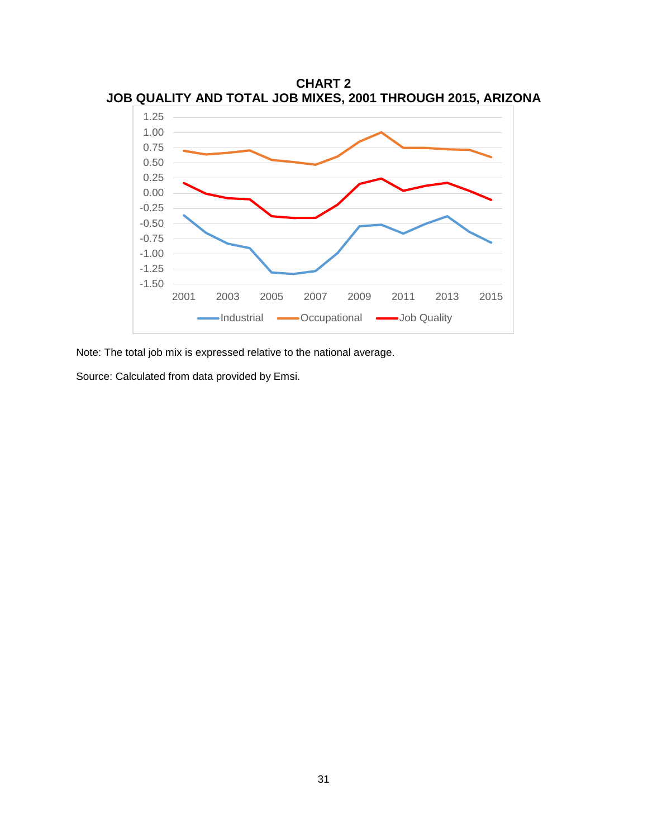

**CHART 2 JOB QUALITY AND TOTAL JOB MIXES, 2001 THROUGH 2015, ARIZONA**

Note: The total job mix is expressed relative to the national average.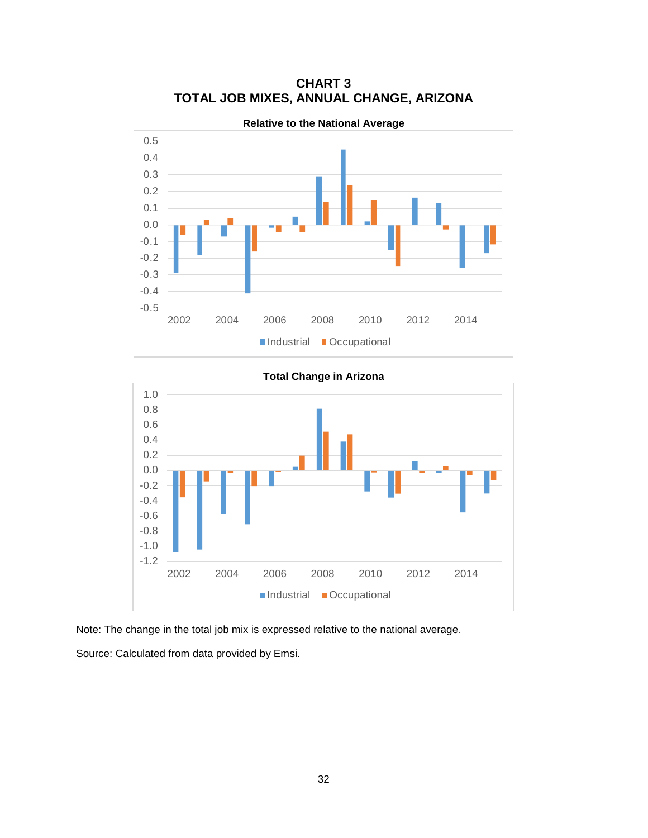

**CHART 3 TOTAL JOB MIXES, ANNUAL CHANGE, ARIZONA**

-1.2 -1.0 -0.8 -0.6 -0.4 -0.2 0.0 0.2 0.4 0.6 0.8 1.0 2002 2004 2006 2008 2010 2012 2014 Industrial Occupational

**Total Change in Arizona**

Note: The change in the total job mix is expressed relative to the national average.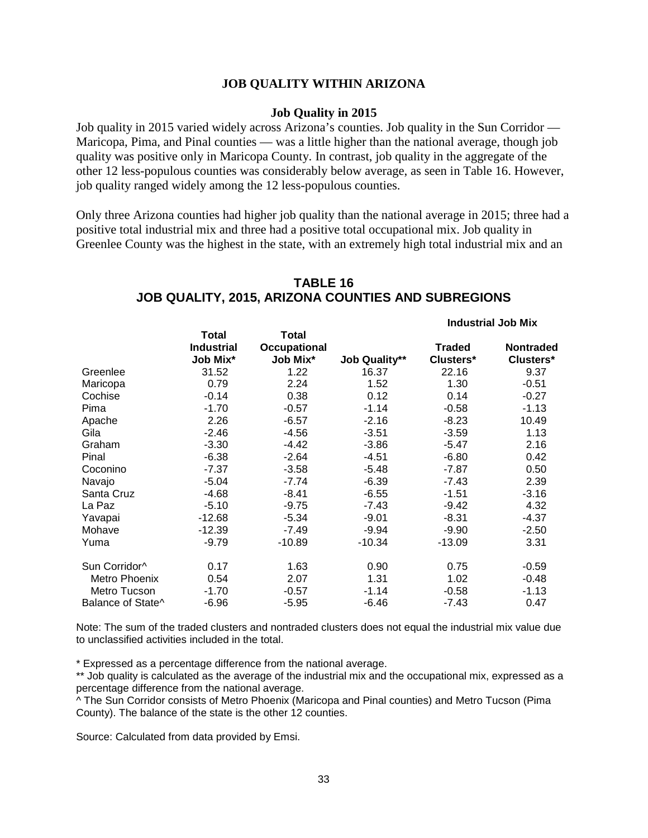#### **JOB QUALITY WITHIN ARIZONA**

#### **Job Quality in 2015**

Job quality in 2015 varied widely across Arizona's counties. Job quality in the Sun Corridor — Maricopa, Pima, and Pinal counties — was a little higher than the national average, though job quality was positive only in Maricopa County. In contrast, job quality in the aggregate of the other 12 less-populous counties was considerably below average, as seen in Table 16. However, job quality ranged widely among the 12 less-populous counties.

Only three Arizona counties had higher job quality than the national average in 2015; three had a positive total industrial mix and three had a positive total occupational mix. Job quality in Greenlee County was the highest in the state, with an extremely high total industrial mix and an

|                   |                   |                     |                      | <b>Industrial Job Mix</b> |                  |  |
|-------------------|-------------------|---------------------|----------------------|---------------------------|------------------|--|
|                   | <b>Total</b>      | Total               |                      |                           |                  |  |
|                   | <b>Industrial</b> | <b>Occupational</b> |                      | <b>Traded</b>             | <b>Nontraded</b> |  |
|                   | Job Mix*          | Job Mix*            | <b>Job Quality**</b> | Clusters*                 | Clusters*        |  |
| Greenlee          | 31.52             | 1.22                | 16.37                | 22.16                     | 9.37             |  |
| Maricopa          | 0.79              | 2.24                | 1.52                 | 1.30                      | $-0.51$          |  |
| Cochise           | $-0.14$           | 0.38                | 0.12                 | 0.14                      | $-0.27$          |  |
| Pima              | $-1.70$           | $-0.57$             | $-1.14$              | $-0.58$                   | $-1.13$          |  |
| Apache            | 2.26              | $-6.57$             | $-2.16$              | $-8.23$                   | 10.49            |  |
| Gila              | $-2.46$           | -4.56               | $-3.51$              | $-3.59$                   | 1.13             |  |
| Graham            | $-3.30$           | $-4.42$             | $-3.86$              | $-5.47$                   | 2.16             |  |
| Pinal             | $-6.38$           | $-2.64$             | $-4.51$              | $-6.80$                   | 0.42             |  |
| Coconino          | $-7.37$           | $-3.58$             | $-5.48$              | $-7.87$                   | 0.50             |  |
| Navajo            | $-5.04$           | $-7.74$             | $-6.39$              | $-7.43$                   | 2.39             |  |
| Santa Cruz        | $-4.68$           | $-8.41$             | $-6.55$              | $-1.51$                   | $-3.16$          |  |
| La Paz            | $-5.10$           | $-9.75$             | $-7.43$              | $-9.42$                   | 4.32             |  |
| Yavapai           | $-12.68$          | $-5.34$             | $-9.01$              | $-8.31$                   | $-4.37$          |  |
| Mohave            | $-12.39$          | $-7.49$             | $-9.94$              | $-9.90$                   | $-2.50$          |  |
| Yuma              | $-9.79$           | $-10.89$            | $-10.34$             | $-13.09$                  | 3.31             |  |
| Sun Corridor^     | 0.17              | 1.63                | 0.90                 | 0.75                      | $-0.59$          |  |
| Metro Phoenix     | 0.54              | 2.07                | 1.31                 | 1.02                      | $-0.48$          |  |
| Metro Tucson      | $-1.70$           | $-0.57$             | $-1.14$              | $-0.58$                   | $-1.13$          |  |
| Balance of State^ | $-6.96$           | $-5.95$             | $-6.46$              | $-7.43$                   | 0.47             |  |

## **TABLE 16 JOB QUALITY, 2015, ARIZONA COUNTIES AND SUBREGIONS**

Note: The sum of the traded clusters and nontraded clusters does not equal the industrial mix value due to unclassified activities included in the total.

\* Expressed as a percentage difference from the national average.

\*\* Job quality is calculated as the average of the industrial mix and the occupational mix, expressed as a percentage difference from the national average.

^ The Sun Corridor consists of Metro Phoenix (Maricopa and Pinal counties) and Metro Tucson (Pima County). The balance of the state is the other 12 counties.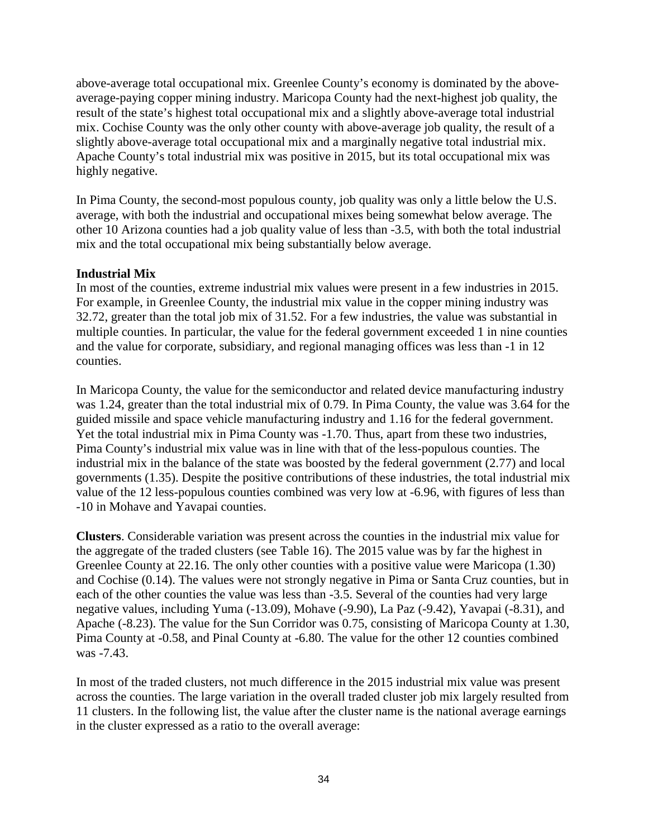above-average total occupational mix. Greenlee County's economy is dominated by the aboveaverage-paying copper mining industry. Maricopa County had the next-highest job quality, the result of the state's highest total occupational mix and a slightly above-average total industrial mix. Cochise County was the only other county with above-average job quality, the result of a slightly above-average total occupational mix and a marginally negative total industrial mix. Apache County's total industrial mix was positive in 2015, but its total occupational mix was highly negative.

In Pima County, the second-most populous county, job quality was only a little below the U.S. average, with both the industrial and occupational mixes being somewhat below average. The other 10 Arizona counties had a job quality value of less than -3.5, with both the total industrial mix and the total occupational mix being substantially below average.

#### **Industrial Mix**

In most of the counties, extreme industrial mix values were present in a few industries in 2015. For example, in Greenlee County, the industrial mix value in the copper mining industry was 32.72, greater than the total job mix of 31.52. For a few industries, the value was substantial in multiple counties. In particular, the value for the federal government exceeded 1 in nine counties and the value for corporate, subsidiary, and regional managing offices was less than -1 in 12 counties.

In Maricopa County, the value for the semiconductor and related device manufacturing industry was 1.24, greater than the total industrial mix of 0.79. In Pima County, the value was 3.64 for the guided missile and space vehicle manufacturing industry and 1.16 for the federal government. Yet the total industrial mix in Pima County was -1.70. Thus, apart from these two industries, Pima County's industrial mix value was in line with that of the less-populous counties. The industrial mix in the balance of the state was boosted by the federal government (2.77) and local governments (1.35). Despite the positive contributions of these industries, the total industrial mix value of the 12 less-populous counties combined was very low at -6.96, with figures of less than -10 in Mohave and Yavapai counties.

**Clusters**. Considerable variation was present across the counties in the industrial mix value for the aggregate of the traded clusters (see Table 16). The 2015 value was by far the highest in Greenlee County at 22.16. The only other counties with a positive value were Maricopa (1.30) and Cochise (0.14). The values were not strongly negative in Pima or Santa Cruz counties, but in each of the other counties the value was less than -3.5. Several of the counties had very large negative values, including Yuma (-13.09), Mohave (-9.90), La Paz (-9.42), Yavapai (-8.31), and Apache (-8.23). The value for the Sun Corridor was 0.75, consisting of Maricopa County at 1.30, Pima County at -0.58, and Pinal County at -6.80. The value for the other 12 counties combined was -7.43.

In most of the traded clusters, not much difference in the 2015 industrial mix value was present across the counties. The large variation in the overall traded cluster job mix largely resulted from 11 clusters. In the following list, the value after the cluster name is the national average earnings in the cluster expressed as a ratio to the overall average: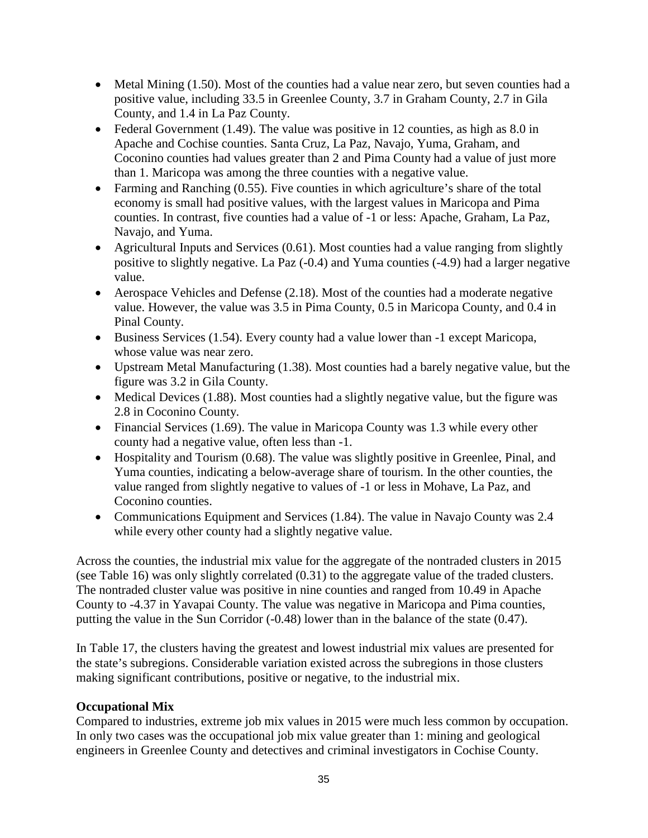- Metal Mining (1.50). Most of the counties had a value near zero, but seven counties had a positive value, including 33.5 in Greenlee County, 3.7 in Graham County, 2.7 in Gila County, and 1.4 in La Paz County.
- Federal Government (1.49). The value was positive in 12 counties, as high as  $8.0$  in Apache and Cochise counties. Santa Cruz, La Paz, Navajo, Yuma, Graham, and Coconino counties had values greater than 2 and Pima County had a value of just more than 1. Maricopa was among the three counties with a negative value.
- Farming and Ranching (0.55). Five counties in which agriculture's share of the total economy is small had positive values, with the largest values in Maricopa and Pima counties. In contrast, five counties had a value of -1 or less: Apache, Graham, La Paz, Navajo, and Yuma.
- Agricultural Inputs and Services (0.61). Most counties had a value ranging from slightly positive to slightly negative. La Paz (-0.4) and Yuma counties (-4.9) had a larger negative value.
- Aerospace Vehicles and Defense (2.18). Most of the counties had a moderate negative value. However, the value was 3.5 in Pima County, 0.5 in Maricopa County, and 0.4 in Pinal County.
- Business Services (1.54). Every county had a value lower than -1 except Maricopa, whose value was near zero.
- Upstream Metal Manufacturing (1.38). Most counties had a barely negative value, but the figure was 3.2 in Gila County.
- Medical Devices (1.88). Most counties had a slightly negative value, but the figure was 2.8 in Coconino County.
- Financial Services (1.69). The value in Maricopa County was 1.3 while every other county had a negative value, often less than -1.
- Hospitality and Tourism (0.68). The value was slightly positive in Greenlee, Pinal, and Yuma counties, indicating a below-average share of tourism. In the other counties, the value ranged from slightly negative to values of -1 or less in Mohave, La Paz, and Coconino counties.
- Communications Equipment and Services (1.84). The value in Navajo County was 2.4 while every other county had a slightly negative value.

Across the counties, the industrial mix value for the aggregate of the nontraded clusters in 2015 (see Table 16) was only slightly correlated (0.31) to the aggregate value of the traded clusters. The nontraded cluster value was positive in nine counties and ranged from 10.49 in Apache County to -4.37 in Yavapai County. The value was negative in Maricopa and Pima counties, putting the value in the Sun Corridor (-0.48) lower than in the balance of the state (0.47).

In Table 17, the clusters having the greatest and lowest industrial mix values are presented for the state's subregions. Considerable variation existed across the subregions in those clusters making significant contributions, positive or negative, to the industrial mix.

### **Occupational Mix**

Compared to industries, extreme job mix values in 2015 were much less common by occupation. In only two cases was the occupational job mix value greater than 1: mining and geological engineers in Greenlee County and detectives and criminal investigators in Cochise County.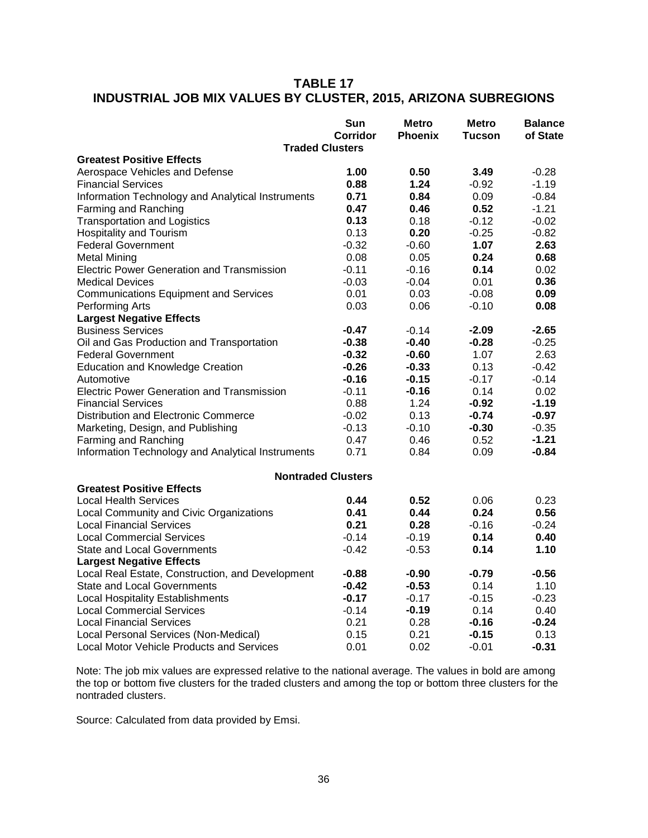### **TABLE 17 INDUSTRIAL JOB MIX VALUES BY CLUSTER, 2015, ARIZONA SUBREGIONS**

|                                                   | Sun<br>Corridor | <b>Metro</b><br><b>Phoenix</b> | <b>Metro</b><br><b>Tucson</b> | <b>Balance</b><br>of State |
|---------------------------------------------------|-----------------|--------------------------------|-------------------------------|----------------------------|
| <b>Traded Clusters</b>                            |                 |                                |                               |                            |
| <b>Greatest Positive Effects</b>                  |                 |                                |                               |                            |
| Aerospace Vehicles and Defense                    | 1.00            | 0.50                           | 3.49                          | $-0.28$                    |
| <b>Financial Services</b>                         | 0.88            | 1.24                           | $-0.92$                       | $-1.19$                    |
| Information Technology and Analytical Instruments | 0.71            | 0.84                           | 0.09                          | $-0.84$                    |
| Farming and Ranching                              | 0.47            | 0.46                           | 0.52                          | $-1.21$                    |
| <b>Transportation and Logistics</b>               | 0.13            | 0.18                           | $-0.12$                       | $-0.02$                    |
| <b>Hospitality and Tourism</b>                    | 0.13            | 0.20                           | $-0.25$                       | $-0.82$                    |
| <b>Federal Government</b>                         | $-0.32$         | $-0.60$                        | 1.07                          | 2.63                       |
| <b>Metal Mining</b>                               | 0.08            | 0.05                           | 0.24                          | 0.68                       |
| Electric Power Generation and Transmission        | $-0.11$         | $-0.16$                        | 0.14                          | 0.02                       |
| <b>Medical Devices</b>                            | $-0.03$         | $-0.04$                        | 0.01                          | 0.36                       |
| <b>Communications Equipment and Services</b>      | 0.01            | 0.03                           | $-0.08$                       | 0.09                       |
| Performing Arts                                   | 0.03            | 0.06                           | $-0.10$                       | 0.08                       |
| <b>Largest Negative Effects</b>                   |                 |                                |                               |                            |
| <b>Business Services</b>                          | $-0.47$         | $-0.14$                        | $-2.09$                       | $-2.65$                    |
| Oil and Gas Production and Transportation         | $-0.38$         | $-0.40$                        | $-0.28$                       | $-0.25$                    |
| <b>Federal Government</b>                         | $-0.32$         | $-0.60$                        | 1.07                          | 2.63                       |
| <b>Education and Knowledge Creation</b>           | $-0.26$         | $-0.33$                        | 0.13                          | $-0.42$                    |
| Automotive                                        | $-0.16$         | $-0.15$                        | $-0.17$                       | $-0.14$                    |
| <b>Electric Power Generation and Transmission</b> | $-0.11$         | $-0.16$                        | 0.14                          | 0.02                       |
| <b>Financial Services</b>                         | 0.88            | 1.24                           | $-0.92$                       | $-1.19$                    |
| Distribution and Electronic Commerce              | $-0.02$         | 0.13                           | $-0.74$                       | $-0.97$                    |
| Marketing, Design, and Publishing                 | $-0.13$         | $-0.10$                        | $-0.30$                       | $-0.35$                    |
| Farming and Ranching                              | 0.47            | 0.46                           | 0.52                          | $-1.21$                    |
| Information Technology and Analytical Instruments | 0.71            | 0.84                           | 0.09                          | $-0.84$                    |
| <b>Nontraded Clusters</b>                         |                 |                                |                               |                            |
| <b>Greatest Positive Effects</b>                  |                 |                                |                               |                            |
| <b>Local Health Services</b>                      | 0.44            | 0.52                           | 0.06                          | 0.23                       |
| Local Community and Civic Organizations           | 0.41            | 0.44                           | 0.24                          | 0.56                       |
| <b>Local Financial Services</b>                   | 0.21            | 0.28                           | $-0.16$                       | $-0.24$                    |
| <b>Local Commercial Services</b>                  | $-0.14$         | $-0.19$                        | 0.14                          | 0.40                       |
| <b>State and Local Governments</b>                | $-0.42$         | $-0.53$                        | 0.14                          | 1.10                       |
| <b>Largest Negative Effects</b>                   |                 |                                |                               |                            |
| Local Real Estate, Construction, and Development  | $-0.88$         | $-0.90$                        | $-0.79$                       | $-0.56$                    |
| <b>State and Local Governments</b>                | -0.42           | $-0.53$                        | 0.14                          | 1.10                       |
| <b>Local Hospitality Establishments</b>           | $-0.17$         | $-0.17$                        | $-0.15$                       | $-0.23$                    |
| <b>Local Commercial Services</b>                  | $-0.14$         | $-0.19$                        | 0.14                          | 0.40                       |
| <b>Local Financial Services</b>                   | 0.21            | 0.28                           | $-0.16$                       | $-0.24$                    |
| Local Personal Services (Non-Medical)             | 0.15            | 0.21                           | -0.15                         | 0.13                       |
| Local Motor Vehicle Products and Services         | 0.01            | 0.02                           | $-0.01$                       | $-0.31$                    |

Note: The job mix values are expressed relative to the national average. The values in bold are among the top or bottom five clusters for the traded clusters and among the top or bottom three clusters for the nontraded clusters.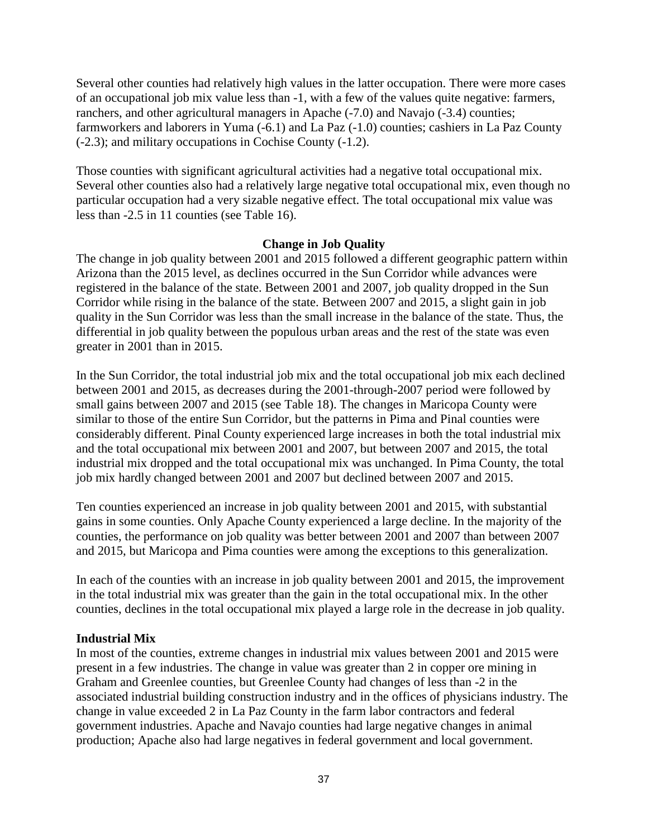Several other counties had relatively high values in the latter occupation. There were more cases of an occupational job mix value less than -1, with a few of the values quite negative: farmers, ranchers, and other agricultural managers in Apache (-7.0) and Navajo (-3.4) counties; farmworkers and laborers in Yuma (-6.1) and La Paz (-1.0) counties; cashiers in La Paz County (-2.3); and military occupations in Cochise County (-1.2).

Those counties with significant agricultural activities had a negative total occupational mix. Several other counties also had a relatively large negative total occupational mix, even though no particular occupation had a very sizable negative effect. The total occupational mix value was less than -2.5 in 11 counties (see Table 16).

#### **Change in Job Quality**

The change in job quality between 2001 and 2015 followed a different geographic pattern within Arizona than the 2015 level, as declines occurred in the Sun Corridor while advances were registered in the balance of the state. Between 2001 and 2007, job quality dropped in the Sun Corridor while rising in the balance of the state. Between 2007 and 2015, a slight gain in job quality in the Sun Corridor was less than the small increase in the balance of the state. Thus, the differential in job quality between the populous urban areas and the rest of the state was even greater in 2001 than in 2015.

In the Sun Corridor, the total industrial job mix and the total occupational job mix each declined between 2001 and 2015, as decreases during the 2001-through-2007 period were followed by small gains between 2007 and 2015 (see Table 18). The changes in Maricopa County were similar to those of the entire Sun Corridor, but the patterns in Pima and Pinal counties were considerably different. Pinal County experienced large increases in both the total industrial mix and the total occupational mix between 2001 and 2007, but between 2007 and 2015, the total industrial mix dropped and the total occupational mix was unchanged. In Pima County, the total job mix hardly changed between 2001 and 2007 but declined between 2007 and 2015.

Ten counties experienced an increase in job quality between 2001 and 2015, with substantial gains in some counties. Only Apache County experienced a large decline. In the majority of the counties, the performance on job quality was better between 2001 and 2007 than between 2007 and 2015, but Maricopa and Pima counties were among the exceptions to this generalization.

In each of the counties with an increase in job quality between 2001 and 2015, the improvement in the total industrial mix was greater than the gain in the total occupational mix. In the other counties, declines in the total occupational mix played a large role in the decrease in job quality.

#### **Industrial Mix**

In most of the counties, extreme changes in industrial mix values between 2001 and 2015 were present in a few industries. The change in value was greater than 2 in copper ore mining in Graham and Greenlee counties, but Greenlee County had changes of less than -2 in the associated industrial building construction industry and in the offices of physicians industry. The change in value exceeded 2 in La Paz County in the farm labor contractors and federal government industries. Apache and Navajo counties had large negative changes in animal production; Apache also had large negatives in federal government and local government.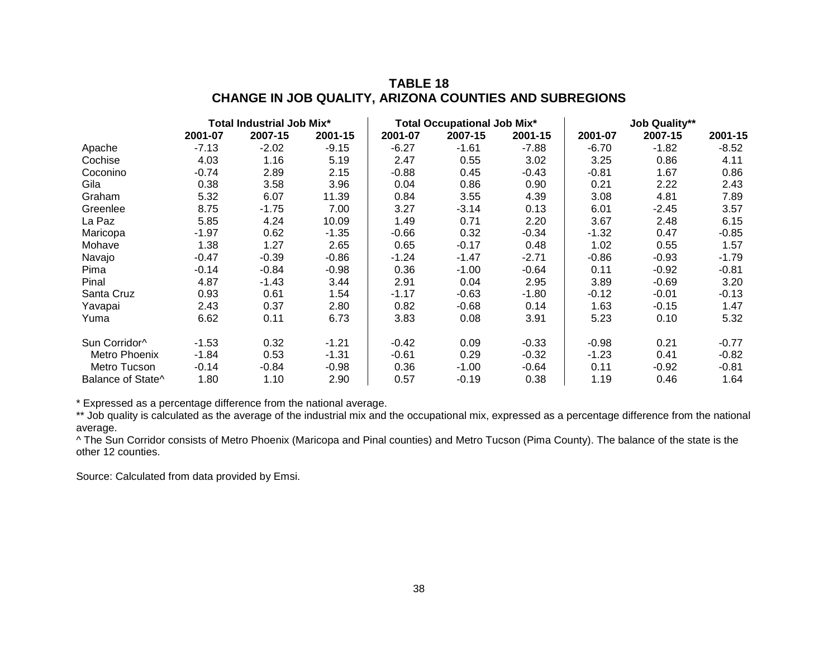### **TABLE 18 CHANGE IN JOB QUALITY, ARIZONA COUNTIES AND SUBREGIONS**

|                           | <b>Total Industrial Job Mix*</b> |         | <b>Total Occupational Job Mix*</b> |         |         | <b>Job Quality**</b> |         |         |         |
|---------------------------|----------------------------------|---------|------------------------------------|---------|---------|----------------------|---------|---------|---------|
|                           | 2001-07                          | 2007-15 | 2001-15                            | 2001-07 | 2007-15 | 2001-15              | 2001-07 | 2007-15 | 2001-15 |
| Apache                    | $-7.13$                          | $-2.02$ | $-9.15$                            | $-6.27$ | $-1.61$ | -7.88                | -6.70   | $-1.82$ | $-8.52$ |
| Cochise                   | 4.03                             | 1.16    | 5.19                               | 2.47    | 0.55    | 3.02                 | 3.25    | 0.86    | 4.11    |
| Coconino                  | $-0.74$                          | 2.89    | 2.15                               | $-0.88$ | 0.45    | $-0.43$              | $-0.81$ | 1.67    | 0.86    |
| Gila                      | 0.38                             | 3.58    | 3.96                               | 0.04    | 0.86    | 0.90                 | 0.21    | 2.22    | 2.43    |
| Graham                    | 5.32                             | 6.07    | 11.39                              | 0.84    | 3.55    | 4.39                 | 3.08    | 4.81    | 7.89    |
| Greenlee                  | 8.75                             | $-1.75$ | 7.00                               | 3.27    | $-3.14$ | 0.13                 | 6.01    | $-2.45$ | 3.57    |
| La Paz                    | 5.85                             | 4.24    | 10.09                              | 1.49    | 0.71    | 2.20                 | 3.67    | 2.48    | 6.15    |
| Maricopa                  | $-1.97$                          | 0.62    | $-1.35$                            | $-0.66$ | 0.32    | $-0.34$              | $-1.32$ | 0.47    | $-0.85$ |
| Mohave                    | 1.38                             | 1.27    | 2.65                               | 0.65    | $-0.17$ | 0.48                 | 1.02    | 0.55    | 1.57    |
| Navajo                    | $-0.47$                          | $-0.39$ | $-0.86$                            | $-1.24$ | $-1.47$ | $-2.71$              | $-0.86$ | $-0.93$ | $-1.79$ |
| Pima                      | $-0.14$                          | $-0.84$ | $-0.98$                            | 0.36    | $-1.00$ | $-0.64$              | 0.11    | $-0.92$ | $-0.81$ |
| Pinal                     | 4.87                             | $-1.43$ | 3.44                               | 2.91    | 0.04    | 2.95                 | 3.89    | $-0.69$ | 3.20    |
| Santa Cruz                | 0.93                             | 0.61    | 1.54                               | $-1.17$ | $-0.63$ | $-1.80$              | -0.12   | $-0.01$ | $-0.13$ |
| Yavapai                   | 2.43                             | 0.37    | 2.80                               | 0.82    | $-0.68$ | 0.14                 | 1.63    | $-0.15$ | 1.47    |
| Yuma                      | 6.62                             | 0.11    | 6.73                               | 3.83    | 0.08    | 3.91                 | 5.23    | 0.10    | 5.32    |
| Sun Corridor <sup>^</sup> | $-1.53$                          | 0.32    | $-1.21$                            | $-0.42$ | 0.09    | $-0.33$              | $-0.98$ | 0.21    | $-0.77$ |
| Metro Phoenix             | $-1.84$                          | 0.53    | $-1.31$                            | $-0.61$ | 0.29    | $-0.32$              | $-1.23$ | 0.41    | $-0.82$ |
| Metro Tucson              | $-0.14$                          | $-0.84$ | $-0.98$                            | 0.36    | $-1.00$ | $-0.64$              | 0.11    | $-0.92$ | $-0.81$ |
| Balance of State^         | 1.80                             | 1.10    | 2.90                               | 0.57    | $-0.19$ | 0.38                 | 1.19    | 0.46    | 1.64    |

\* Expressed as a percentage difference from the national average.

\*\* Job quality is calculated as the average of the industrial mix and the occupational mix, expressed as a percentage difference from the national average.

^ The Sun Corridor consists of Metro Phoenix (Maricopa and Pinal counties) and Metro Tucson (Pima County). The balance of the state is the other 12 counties.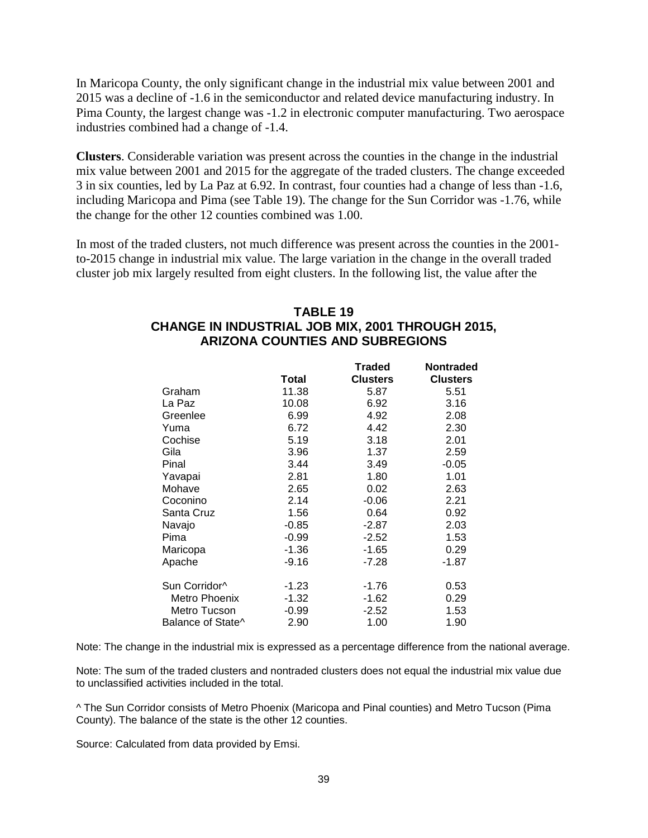In Maricopa County, the only significant change in the industrial mix value between 2001 and 2015 was a decline of -1.6 in the semiconductor and related device manufacturing industry. In Pima County, the largest change was -1.2 in electronic computer manufacturing. Two aerospace industries combined had a change of -1.4.

**Clusters**. Considerable variation was present across the counties in the change in the industrial mix value between 2001 and 2015 for the aggregate of the traded clusters. The change exceeded 3 in six counties, led by La Paz at 6.92. In contrast, four counties had a change of less than -1.6, including Maricopa and Pima (see Table 19). The change for the Sun Corridor was -1.76, while the change for the other 12 counties combined was 1.00.

In most of the traded clusters, not much difference was present across the counties in the 2001 to-2015 change in industrial mix value. The large variation in the change in the overall traded cluster job mix largely resulted from eight clusters. In the following list, the value after the

### **TABLE 19 CHANGE IN INDUSTRIAL JOB MIX, 2001 THROUGH 2015, ARIZONA COUNTIES AND SUBREGIONS**

|                               |         | <b>Traded</b>   | <b>Nontraded</b> |
|-------------------------------|---------|-----------------|------------------|
|                               | Total   | <b>Clusters</b> | <b>Clusters</b>  |
| Graham                        | 11.38   | 5.87            | 5.51             |
| La Paz                        | 10.08   | 6.92            | 3.16             |
| Greenlee                      | 6.99    | 4.92            | 2.08             |
| Yuma                          | 6.72    | 4.42            | 2.30             |
| Cochise                       | 5.19    | 3.18            | 2.01             |
| Gila                          | 3.96    | 1.37            | 2.59             |
| Pinal                         | 3.44    | 3.49            | $-0.05$          |
| Yavapai                       | 2.81    | 1.80            | 1.01             |
| Mohave                        | 2.65    | 0.02            | 2.63             |
| Coconino                      | 2.14    | $-0.06$         | 2.21             |
| Santa Cruz                    | 1.56    | 0.64            | 0.92             |
| Navajo                        | $-0.85$ | $-2.87$         | 2.03             |
| Pima                          | $-0.99$ | $-2.52$         | 1.53             |
| Maricopa                      | $-1.36$ | $-1.65$         | 0.29             |
| Apache                        | $-9.16$ | $-7.28$         | $-1.87$          |
| Sun Corridor^                 | $-1.23$ | $-1.76$         | 0.53             |
| Metro Phoenix                 | $-1.32$ | $-1.62$         | 0.29             |
| Metro Tucson                  | $-0.99$ | $-2.52$         | 1.53             |
| Balance of State <sup>^</sup> | 2.90    | 1.00            | 1.90             |

Note: The change in the industrial mix is expressed as a percentage difference from the national average.

Note: The sum of the traded clusters and nontraded clusters does not equal the industrial mix value due to unclassified activities included in the total.

^ The Sun Corridor consists of Metro Phoenix (Maricopa and Pinal counties) and Metro Tucson (Pima County). The balance of the state is the other 12 counties.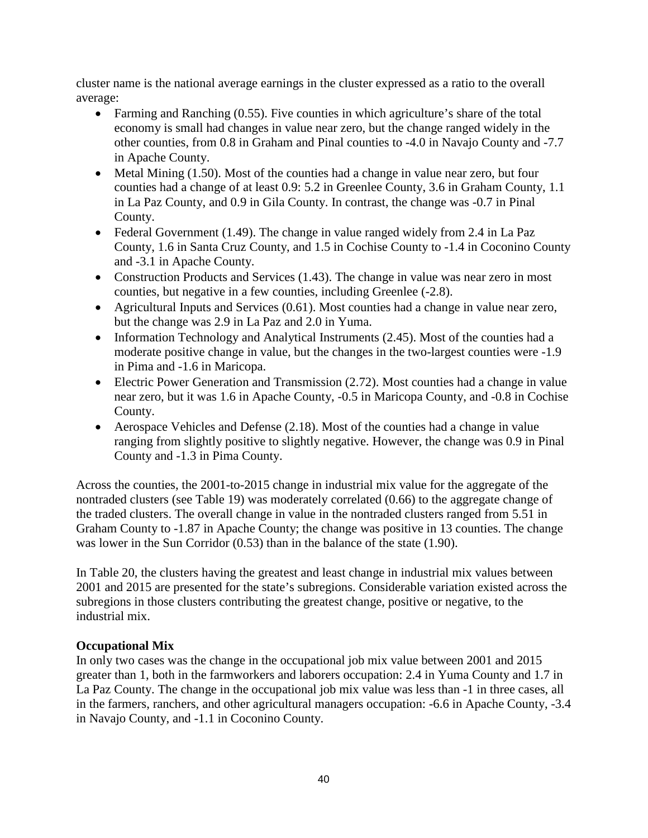cluster name is the national average earnings in the cluster expressed as a ratio to the overall average:

- Farming and Ranching (0.55). Five counties in which agriculture's share of the total economy is small had changes in value near zero, but the change ranged widely in the other counties, from 0.8 in Graham and Pinal counties to -4.0 in Navajo County and -7.7 in Apache County.
- Metal Mining (1.50). Most of the counties had a change in value near zero, but four counties had a change of at least 0.9: 5.2 in Greenlee County, 3.6 in Graham County, 1.1 in La Paz County, and 0.9 in Gila County. In contrast, the change was -0.7 in Pinal County.
- Federal Government (1.49). The change in value ranged widely from 2.4 in La Paz County, 1.6 in Santa Cruz County, and 1.5 in Cochise County to -1.4 in Coconino County and -3.1 in Apache County.
- Construction Products and Services (1.43). The change in value was near zero in most counties, but negative in a few counties, including Greenlee (-2.8).
- Agricultural Inputs and Services (0.61). Most counties had a change in value near zero, but the change was 2.9 in La Paz and 2.0 in Yuma.
- Information Technology and Analytical Instruments (2.45). Most of the counties had a moderate positive change in value, but the changes in the two-largest counties were -1.9 in Pima and -1.6 in Maricopa.
- Electric Power Generation and Transmission (2.72). Most counties had a change in value near zero, but it was 1.6 in Apache County, -0.5 in Maricopa County, and -0.8 in Cochise County.
- Aerospace Vehicles and Defense (2.18). Most of the counties had a change in value ranging from slightly positive to slightly negative. However, the change was 0.9 in Pinal County and -1.3 in Pima County.

Across the counties, the 2001-to-2015 change in industrial mix value for the aggregate of the nontraded clusters (see Table 19) was moderately correlated (0.66) to the aggregate change of the traded clusters. The overall change in value in the nontraded clusters ranged from 5.51 in Graham County to -1.87 in Apache County; the change was positive in 13 counties. The change was lower in the Sun Corridor (0.53) than in the balance of the state (1.90).

In Table 20, the clusters having the greatest and least change in industrial mix values between 2001 and 2015 are presented for the state's subregions. Considerable variation existed across the subregions in those clusters contributing the greatest change, positive or negative, to the industrial mix.

### **Occupational Mix**

In only two cases was the change in the occupational job mix value between 2001 and 2015 greater than 1, both in the farmworkers and laborers occupation: 2.4 in Yuma County and 1.7 in La Paz County. The change in the occupational job mix value was less than -1 in three cases, all in the farmers, ranchers, and other agricultural managers occupation: -6.6 in Apache County, -3.4 in Navajo County, and -1.1 in Coconino County.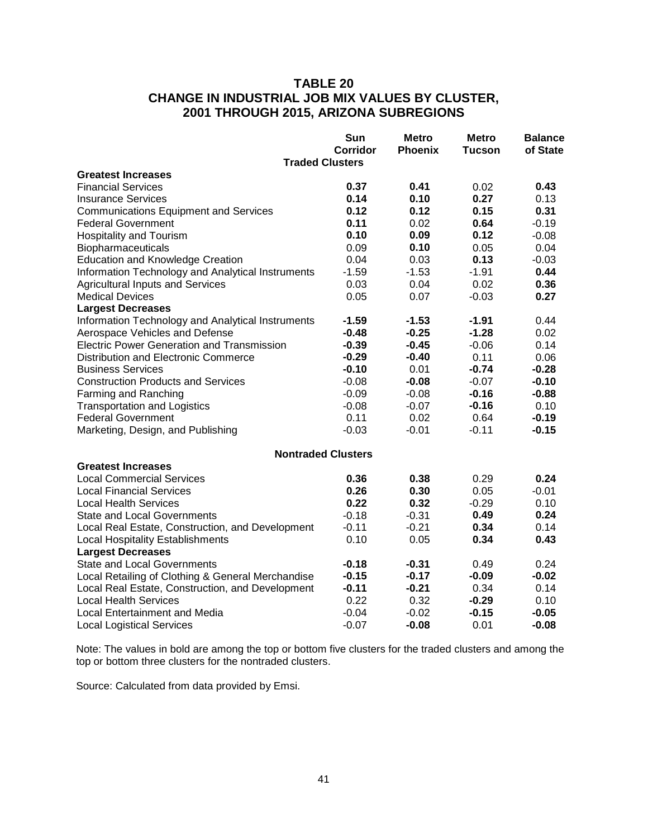# **TABLE 20 CHANGE IN INDUSTRIAL JOB MIX VALUES BY CLUSTER, 2001 THROUGH 2015, ARIZONA SUBREGIONS**

|                                                   | Sun             | <b>Metro</b>   | <b>Metro</b>  | <b>Balance</b> |
|---------------------------------------------------|-----------------|----------------|---------------|----------------|
|                                                   | <b>Corridor</b> | <b>Phoenix</b> | <b>Tucson</b> | of State       |
| <b>Traded Clusters</b>                            |                 |                |               |                |
| <b>Greatest Increases</b>                         |                 |                |               |                |
| <b>Financial Services</b>                         | 0.37            | 0.41           | 0.02          | 0.43           |
| <b>Insurance Services</b>                         | 0.14            | 0.10           | 0.27          | 0.13           |
| <b>Communications Equipment and Services</b>      | 0.12            | 0.12           | 0.15          | 0.31           |
| <b>Federal Government</b>                         | 0.11            | 0.02           | 0.64          | $-0.19$        |
| <b>Hospitality and Tourism</b>                    | 0.10            | 0.09           | 0.12          | $-0.08$        |
| Biopharmaceuticals                                | 0.09            | 0.10           | 0.05          | 0.04           |
| <b>Education and Knowledge Creation</b>           | 0.04            | 0.03           | 0.13          | $-0.03$        |
| Information Technology and Analytical Instruments | $-1.59$         | $-1.53$        | $-1.91$       | 0.44           |
| <b>Agricultural Inputs and Services</b>           | 0.03            | 0.04           | 0.02          | 0.36           |
| <b>Medical Devices</b>                            | 0.05            | 0.07           | $-0.03$       | 0.27           |
| <b>Largest Decreases</b>                          |                 |                |               |                |
| Information Technology and Analytical Instruments | $-1.59$         | $-1.53$        | $-1.91$       | 0.44           |
| Aerospace Vehicles and Defense                    | $-0.48$         | $-0.25$        | $-1.28$       | 0.02           |
| <b>Electric Power Generation and Transmission</b> | $-0.39$         | $-0.45$        | $-0.06$       | 0.14           |
| Distribution and Electronic Commerce              | $-0.29$         | $-0.40$        | 0.11          | 0.06           |
| <b>Business Services</b>                          | $-0.10$         | 0.01           | $-0.74$       | $-0.28$        |
| <b>Construction Products and Services</b>         | $-0.08$         | $-0.08$        | $-0.07$       | $-0.10$        |
| Farming and Ranching                              | $-0.09$         | $-0.08$        | $-0.16$       | $-0.88$        |
| <b>Transportation and Logistics</b>               | $-0.08$         | $-0.07$        | $-0.16$       | 0.10           |
| <b>Federal Government</b>                         | 0.11            | 0.02           | 0.64          | $-0.19$        |
| Marketing, Design, and Publishing                 | $-0.03$         | $-0.01$        | $-0.11$       | $-0.15$        |
| <b>Nontraded Clusters</b>                         |                 |                |               |                |
| <b>Greatest Increases</b>                         |                 |                |               |                |
| <b>Local Commercial Services</b>                  | 0.36            | 0.38           | 0.29          | 0.24           |
| <b>Local Financial Services</b>                   | 0.26            | 0.30           | 0.05          | $-0.01$        |
| <b>Local Health Services</b>                      | 0.22            | 0.32           | $-0.29$       | 0.10           |
| <b>State and Local Governments</b>                | $-0.18$         | $-0.31$        | 0.49          | 0.24           |
| Local Real Estate, Construction, and Development  | $-0.11$         | $-0.21$        | 0.34          | 0.14           |
| <b>Local Hospitality Establishments</b>           | 0.10            | 0.05           | 0.34          | 0.43           |
| <b>Largest Decreases</b>                          |                 |                |               |                |
| <b>State and Local Governments</b>                | $-0.18$         | $-0.31$        | 0.49          | 0.24           |
| Local Retailing of Clothing & General Merchandise | $-0.15$         | $-0.17$        | $-0.09$       | $-0.02$        |
| Local Real Estate, Construction, and Development  | $-0.11$         | $-0.21$        | 0.34          | 0.14           |
| <b>Local Health Services</b>                      | 0.22            | 0.32           | $-0.29$       | 0.10           |
| Local Entertainment and Media                     | $-0.04$         | $-0.02$        | $-0.15$       | $-0.05$        |
| <b>Local Logistical Services</b>                  | $-0.07$         | $-0.08$        | 0.01          | $-0.08$        |

Note: The values in bold are among the top or bottom five clusters for the traded clusters and among the top or bottom three clusters for the nontraded clusters.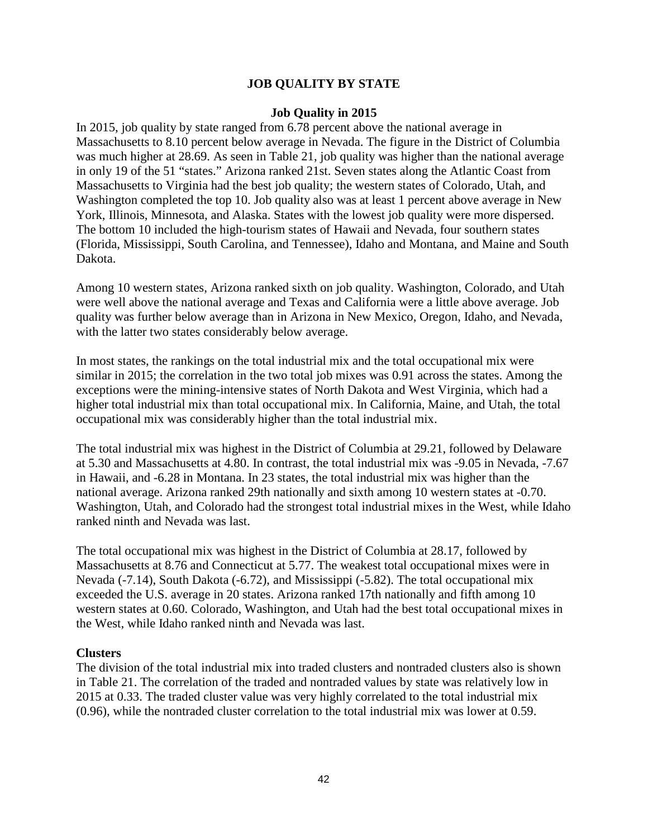### **JOB QUALITY BY STATE**

#### **Job Quality in 2015**

In 2015, job quality by state ranged from 6.78 percent above the national average in Massachusetts to 8.10 percent below average in Nevada. The figure in the District of Columbia was much higher at 28.69. As seen in Table 21, job quality was higher than the national average in only 19 of the 51 "states." Arizona ranked 21st. Seven states along the Atlantic Coast from Massachusetts to Virginia had the best job quality; the western states of Colorado, Utah, and Washington completed the top 10. Job quality also was at least 1 percent above average in New York, Illinois, Minnesota, and Alaska. States with the lowest job quality were more dispersed. The bottom 10 included the high-tourism states of Hawaii and Nevada, four southern states (Florida, Mississippi, South Carolina, and Tennessee), Idaho and Montana, and Maine and South Dakota.

Among 10 western states, Arizona ranked sixth on job quality. Washington, Colorado, and Utah were well above the national average and Texas and California were a little above average. Job quality was further below average than in Arizona in New Mexico, Oregon, Idaho, and Nevada, with the latter two states considerably below average.

In most states, the rankings on the total industrial mix and the total occupational mix were similar in 2015; the correlation in the two total job mixes was 0.91 across the states. Among the exceptions were the mining-intensive states of North Dakota and West Virginia, which had a higher total industrial mix than total occupational mix. In California, Maine, and Utah, the total occupational mix was considerably higher than the total industrial mix.

The total industrial mix was highest in the District of Columbia at 29.21, followed by Delaware at 5.30 and Massachusetts at 4.80. In contrast, the total industrial mix was -9.05 in Nevada, -7.67 in Hawaii, and -6.28 in Montana. In 23 states, the total industrial mix was higher than the national average. Arizona ranked 29th nationally and sixth among 10 western states at -0.70. Washington, Utah, and Colorado had the strongest total industrial mixes in the West, while Idaho ranked ninth and Nevada was last.

The total occupational mix was highest in the District of Columbia at 28.17, followed by Massachusetts at 8.76 and Connecticut at 5.77. The weakest total occupational mixes were in Nevada (-7.14), South Dakota (-6.72), and Mississippi (-5.82). The total occupational mix exceeded the U.S. average in 20 states. Arizona ranked 17th nationally and fifth among 10 western states at 0.60. Colorado, Washington, and Utah had the best total occupational mixes in the West, while Idaho ranked ninth and Nevada was last.

#### **Clusters**

The division of the total industrial mix into traded clusters and nontraded clusters also is shown in Table 21. The correlation of the traded and nontraded values by state was relatively low in 2015 at 0.33. The traded cluster value was very highly correlated to the total industrial mix (0.96), while the nontraded cluster correlation to the total industrial mix was lower at 0.59.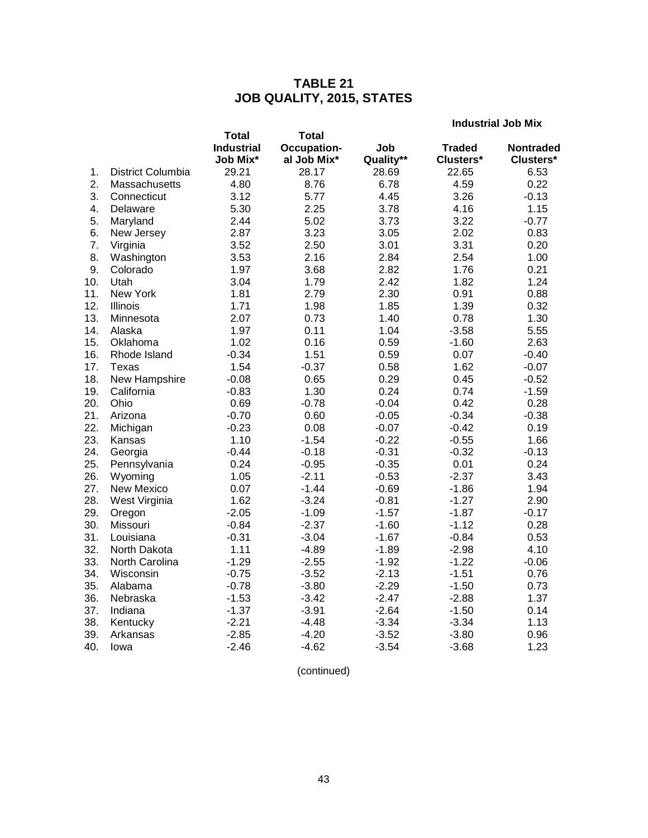# **TABLE 21 JOB QUALITY, 2015, STATES**

**Industrial Job Mix**

|     |                   | <b>Total</b>      | <b>Total</b> |           |               |                  |
|-----|-------------------|-------------------|--------------|-----------|---------------|------------------|
|     |                   | <b>Industrial</b> | Occupation-  | Job       | <b>Traded</b> | <b>Nontraded</b> |
|     |                   | Job Mix*          | al Job Mix*  | Quality** | Clusters*     | Clusters*        |
| 1.  | District Columbia | 29.21             | 28.17        | 28.69     | 22.65         | 6.53             |
| 2.  | Massachusetts     | 4.80              | 8.76         | 6.78      | 4.59          | 0.22             |
| 3.  | Connecticut       | 3.12              | 5.77         | 4.45      | 3.26          | $-0.13$          |
| 4.  | Delaware          | 5.30              | 2.25         | 3.78      | 4.16          | 1.15             |
| 5.  | Maryland          | 2.44              | 5.02         | 3.73      | 3.22          | $-0.77$          |
| 6.  | New Jersey        | 2.87              | 3.23         | 3.05      | 2.02          | 0.83             |
| 7.  | Virginia          | 3.52              | 2.50         | 3.01      | 3.31          | 0.20             |
| 8.  | Washington        | 3.53              | 2.16         | 2.84      | 2.54          | 1.00             |
| 9.  | Colorado          | 1.97              | 3.68         | 2.82      | 1.76          | 0.21             |
| 10. | Utah              | 3.04              | 1.79         | 2.42      | 1.82          | 1.24             |
| 11. | New York          | 1.81              | 2.79         | 2.30      | 0.91          | 0.88             |
| 12. | Illinois          | 1.71              | 1.98         | 1.85      | 1.39          | 0.32             |
| 13. | Minnesota         | 2.07              | 0.73         | 1.40      | 0.78          | 1.30             |
| 14. | Alaska            | 1.97              | 0.11         | 1.04      | $-3.58$       | 5.55             |
| 15. | Oklahoma          | 1.02              | 0.16         | 0.59      | $-1.60$       | 2.63             |
| 16. | Rhode Island      | $-0.34$           | 1.51         | 0.59      | 0.07          | $-0.40$          |
| 17. | Texas             | 1.54              | $-0.37$      | 0.58      | 1.62          | $-0.07$          |
| 18. | New Hampshire     | $-0.08$           | 0.65         | 0.29      | 0.45          | $-0.52$          |
| 19. | California        | $-0.83$           | 1.30         | 0.24      | 0.74          | $-1.59$          |
| 20. | Ohio              | 0.69              | $-0.78$      | $-0.04$   | 0.42          | 0.28             |
| 21. | Arizona           | $-0.70$           | 0.60         | $-0.05$   | $-0.34$       | $-0.38$          |
| 22. | Michigan          | $-0.23$           | 0.08         | $-0.07$   | $-0.42$       | 0.19             |
| 23. | Kansas            | 1.10              | $-1.54$      | $-0.22$   | $-0.55$       | 1.66             |
| 24. | Georgia           | $-0.44$           | $-0.18$      | $-0.31$   | $-0.32$       | $-0.13$          |
| 25. | Pennsylvania      | 0.24              | $-0.95$      | $-0.35$   | 0.01          | 0.24             |
| 26. | Wyoming           | 1.05              | $-2.11$      | $-0.53$   | $-2.37$       | 3.43             |
| 27. | <b>New Mexico</b> | 0.07              | $-1.44$      | $-0.69$   | $-1.86$       | 1.94             |
| 28. | West Virginia     | 1.62              | $-3.24$      | $-0.81$   | $-1.27$       | 2.90             |
| 29. | Oregon            | $-2.05$           | $-1.09$      | $-1.57$   | $-1.87$       | $-0.17$          |
| 30. | Missouri          | $-0.84$           | $-2.37$      | $-1.60$   | $-1.12$       | 0.28             |
| 31. | Louisiana         | $-0.31$           | $-3.04$      | $-1.67$   | $-0.84$       | 0.53             |
| 32. | North Dakota      | 1.11              | $-4.89$      | $-1.89$   | $-2.98$       | 4.10             |
| 33. | North Carolina    | $-1.29$           | $-2.55$      | $-1.92$   | $-1.22$       | $-0.06$          |
| 34. | Wisconsin         | $-0.75$           | $-3.52$      | $-2.13$   | $-1.51$       | 0.76             |
| 35. | Alabama           | $-0.78$           | $-3.80$      | $-2.29$   | $-1.50$       | 0.73             |
| 36. | Nebraska          | $-1.53$           | $-3.42$      | $-2.47$   | $-2.88$       | 1.37             |
| 37. | Indiana           | $-1.37$           | $-3.91$      | $-2.64$   | $-1.50$       | 0.14             |
| 38. | Kentucky          | $-2.21$           | $-4.48$      | $-3.34$   | $-3.34$       | 1.13             |
| 39. | Arkansas          | $-2.85$           | $-4.20$      | $-3.52$   | $-3.80$       | 0.96             |
| 40. | Iowa              | $-2.46$           | $-4.62$      | $-3.54$   | $-3.68$       | 1.23             |

(continued)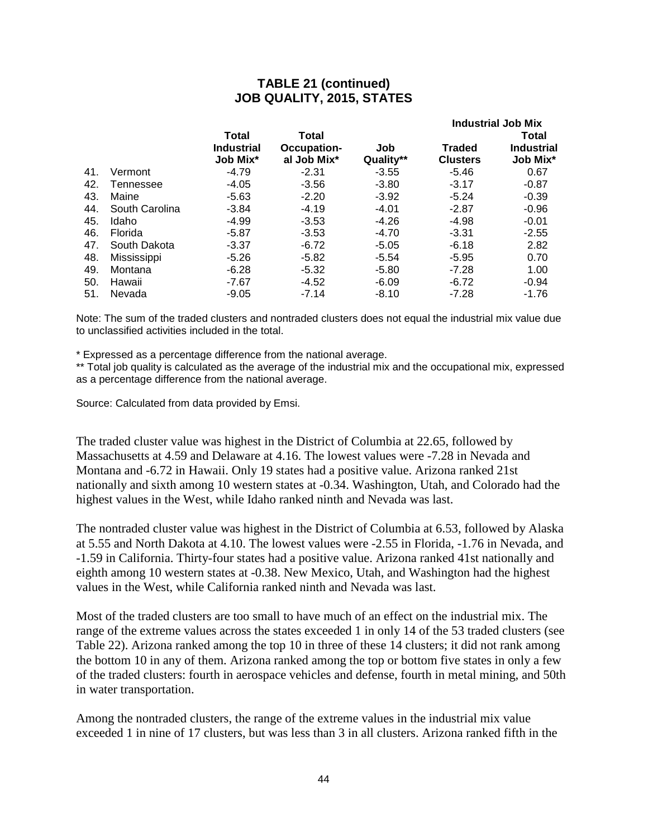### **TABLE 21 (continued) JOB QUALITY, 2015, STATES**

|     |                    |                               |                            |                  | <b>Industrial Job Mix</b> |                               |  |  |
|-----|--------------------|-------------------------------|----------------------------|------------------|---------------------------|-------------------------------|--|--|
|     |                    | <b>Total</b>                  | <b>Total</b>               |                  |                           | <b>Total</b>                  |  |  |
|     |                    | <b>Industrial</b><br>Job Mix* | Occupation-<br>al Job Mix* | Job<br>Quality** | Traded<br><b>Clusters</b> | <b>Industrial</b><br>Job Mix* |  |  |
| 41. | Vermont            | $-4.79$                       | $-2.31$                    | $-3.55$          | $-5.46$                   | 0.67                          |  |  |
| 42. | Tennessee          | $-4.05$                       | $-3.56$                    | $-3.80$          | $-3.17$                   | $-0.87$                       |  |  |
| 43. | Maine              | $-5.63$                       | $-2.20$                    | $-3.92$          | $-5.24$                   | $-0.39$                       |  |  |
| 44. | South Carolina     | $-3.84$                       | $-4.19$                    | $-4.01$          | $-2.87$                   | $-0.96$                       |  |  |
| 45. | Idaho              | -4.99                         | $-3.53$                    | $-4.26$          | -4.98                     | $-0.01$                       |  |  |
| 46. | Florida            | $-5.87$                       | $-3.53$                    | $-4.70$          | $-3.31$                   | $-2.55$                       |  |  |
| 47. | South Dakota       | $-3.37$                       | $-6.72$                    | $-5.05$          | $-6.18$                   | 2.82                          |  |  |
| 48. | <b>Mississippi</b> | $-5.26$                       | $-5.82$                    | $-5.54$          | $-5.95$                   | 0.70                          |  |  |
| 49. | Montana            | $-6.28$                       | $-5.32$                    | $-5.80$          | $-7.28$                   | 1.00                          |  |  |
| 50. | Hawaii             | $-7.67$                       | $-4.52$                    | $-6.09$          | $-6.72$                   | $-0.94$                       |  |  |
| 51. | Nevada             | $-9.05$                       | $-7.14$                    | $-8.10$          | -7.28                     | -1.76                         |  |  |
|     |                    |                               |                            |                  |                           |                               |  |  |

Note: The sum of the traded clusters and nontraded clusters does not equal the industrial mix value due to unclassified activities included in the total.

\* Expressed as a percentage difference from the national average.

\*\* Total job quality is calculated as the average of the industrial mix and the occupational mix, expressed as a percentage difference from the national average.

Source: Calculated from data provided by Emsi.

The traded cluster value was highest in the District of Columbia at 22.65, followed by Massachusetts at 4.59 and Delaware at 4.16. The lowest values were -7.28 in Nevada and Montana and -6.72 in Hawaii. Only 19 states had a positive value. Arizona ranked 21st nationally and sixth among 10 western states at -0.34. Washington, Utah, and Colorado had the highest values in the West, while Idaho ranked ninth and Nevada was last.

The nontraded cluster value was highest in the District of Columbia at 6.53, followed by Alaska at 5.55 and North Dakota at 4.10. The lowest values were -2.55 in Florida, -1.76 in Nevada, and -1.59 in California. Thirty-four states had a positive value. Arizona ranked 41st nationally and eighth among 10 western states at -0.38. New Mexico, Utah, and Washington had the highest values in the West, while California ranked ninth and Nevada was last.

Most of the traded clusters are too small to have much of an effect on the industrial mix. The range of the extreme values across the states exceeded 1 in only 14 of the 53 traded clusters (see Table 22). Arizona ranked among the top 10 in three of these 14 clusters; it did not rank among the bottom 10 in any of them. Arizona ranked among the top or bottom five states in only a few of the traded clusters: fourth in aerospace vehicles and defense, fourth in metal mining, and 50th in water transportation.

Among the nontraded clusters, the range of the extreme values in the industrial mix value exceeded 1 in nine of 17 clusters, but was less than 3 in all clusters. Arizona ranked fifth in the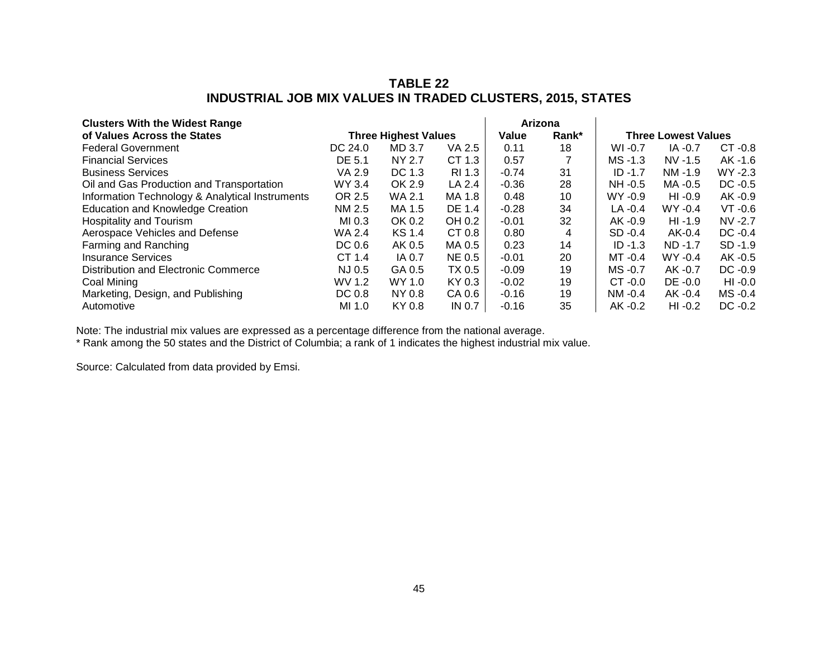### **TABLE 22 INDUSTRIAL JOB MIX VALUES IN TRADED CLUSTERS, 2015, STATES**

| <b>Clusters With the Widest Range</b>           |         |                             |               |         | Arizona |            |                            |            |
|-------------------------------------------------|---------|-----------------------------|---------------|---------|---------|------------|----------------------------|------------|
| of Values Across the States                     |         | <b>Three Highest Values</b> |               | Value   | Rank*   |            | <b>Three Lowest Values</b> |            |
| <b>Federal Government</b>                       | DC 24.0 | MD 3.7                      | VA 2.5        | 0.11    | 18      | $WI -0.7$  | $IA -0.7$                  | $CT -0.8$  |
| <b>Financial Services</b>                       | DE 5.1  | NY 2.7                      | CT 1.3        | 0.57    |         | $MS - 1.3$ | $NV$ -1.5                  | AK -1.6    |
| <b>Business Services</b>                        | VA 2.9  | DC 1.3                      | RI 1.3        | $-0.74$ | 31      | $ID -1.7$  | $NM - 1.9$                 | $WY - 2.3$ |
| Oil and Gas Production and Transportation       | WY 3.4  | OK 2.9                      | LA 2.4        | $-0.36$ | 28      | $NH -0.5$  | MA -0.5                    | $DC -0.5$  |
| Information Technology & Analytical Instruments | OR 2.5  | WA 2.1                      | MA 1.8        | 0.48    | 10      | $WY - 0.9$ | $HI -0.9$                  | $AK -0.9$  |
| <b>Education and Knowledge Creation</b>         | NM 2.5  | MA 1.5                      | DE 1.4        | $-0.28$ | 34      | $LA -0.4$  | $WY - 0.4$                 | $VT -0.6$  |
| Hospitality and Tourism                         | MI 0.3  | OK 0.2                      | OH 0.2        | $-0.01$ | 32      | AK -0.9    | $HI -1.9$                  | $NV -2.7$  |
| Aerospace Vehicles and Defense                  | WA 2.4  | KS 1.4                      | CT 0.8        | 0.80    | 4       | $SD -0.4$  | $AK-0.4$                   | $DC -0.4$  |
| Farming and Ranching                            | DC 0.6  | AK 0.5                      | MA 0.5        | 0.23    | 14      | $ID - 1.3$ | ND-1.7                     | $SD -1.9$  |
| Insurance Services                              | CT 1.4  | IA 0.7                      | <b>NE 0.5</b> | $-0.01$ | 20      | $MT -0.4$  | $WY - 0.4$                 | AK -0.5    |
| Distribution and Electronic Commerce            | NJ 0.5  | GA 0.5                      | TX 0.5        | $-0.09$ | 19      | $MS - 0.7$ | AK -0.7                    | $DC -0.9$  |
| Coal Mining                                     | WV 1.2  | WY 1.0                      | KY 0.3        | $-0.02$ | 19      | $CT -0.0$  | $DE -0.0$                  | $HI -0.0$  |
| Marketing, Design, and Publishing               | DC 0.8  | NY 0.8                      | CA 0.6        | $-0.16$ | 19      | $NM - 0.4$ | $AK -0.4$                  | MS-0.4     |
| Automotive                                      | MI 1.0  | KY 0.8                      | IN 0.7        | $-0.16$ | 35      | $AK -0.2$  | $HI -0.2$                  | $DC -0.2$  |

Note: The industrial mix values are expressed as a percentage difference from the national average.

\* Rank among the 50 states and the District of Columbia; a rank of 1 indicates the highest industrial mix value.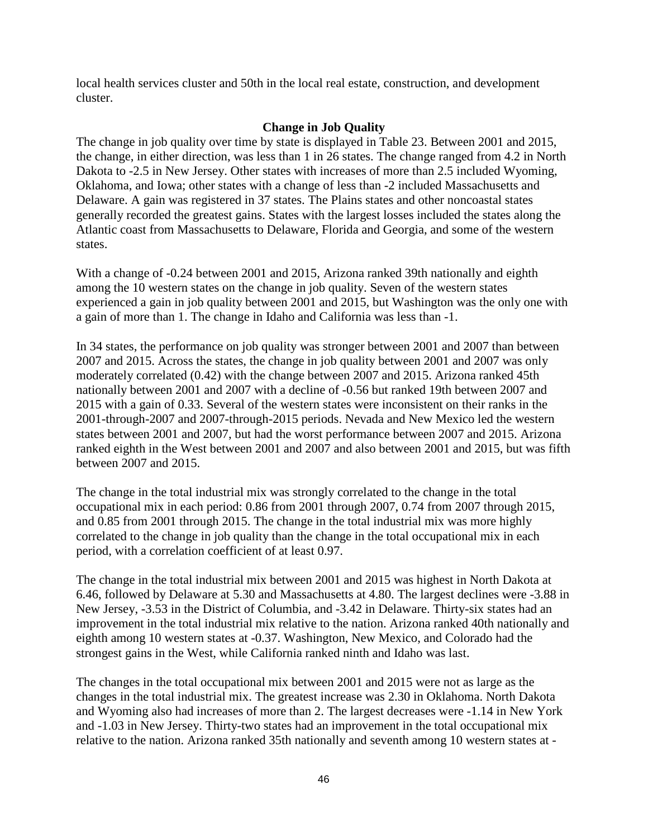local health services cluster and 50th in the local real estate, construction, and development cluster.

#### **Change in Job Quality**

The change in job quality over time by state is displayed in Table 23. Between 2001 and 2015, the change, in either direction, was less than 1 in 26 states. The change ranged from 4.2 in North Dakota to -2.5 in New Jersey. Other states with increases of more than 2.5 included Wyoming, Oklahoma, and Iowa; other states with a change of less than -2 included Massachusetts and Delaware. A gain was registered in 37 states. The Plains states and other noncoastal states generally recorded the greatest gains. States with the largest losses included the states along the Atlantic coast from Massachusetts to Delaware, Florida and Georgia, and some of the western states.

With a change of -0.24 between 2001 and 2015, Arizona ranked 39th nationally and eighth among the 10 western states on the change in job quality. Seven of the western states experienced a gain in job quality between 2001 and 2015, but Washington was the only one with a gain of more than 1. The change in Idaho and California was less than -1.

In 34 states, the performance on job quality was stronger between 2001 and 2007 than between 2007 and 2015. Across the states, the change in job quality between 2001 and 2007 was only moderately correlated (0.42) with the change between 2007 and 2015. Arizona ranked 45th nationally between 2001 and 2007 with a decline of -0.56 but ranked 19th between 2007 and 2015 with a gain of 0.33. Several of the western states were inconsistent on their ranks in the 2001-through-2007 and 2007-through-2015 periods. Nevada and New Mexico led the western states between 2001 and 2007, but had the worst performance between 2007 and 2015. Arizona ranked eighth in the West between 2001 and 2007 and also between 2001 and 2015, but was fifth between 2007 and 2015.

The change in the total industrial mix was strongly correlated to the change in the total occupational mix in each period: 0.86 from 2001 through 2007, 0.74 from 2007 through 2015, and 0.85 from 2001 through 2015. The change in the total industrial mix was more highly correlated to the change in job quality than the change in the total occupational mix in each period, with a correlation coefficient of at least 0.97.

The change in the total industrial mix between 2001 and 2015 was highest in North Dakota at 6.46, followed by Delaware at 5.30 and Massachusetts at 4.80. The largest declines were -3.88 in New Jersey, -3.53 in the District of Columbia, and -3.42 in Delaware. Thirty-six states had an improvement in the total industrial mix relative to the nation. Arizona ranked 40th nationally and eighth among 10 western states at -0.37. Washington, New Mexico, and Colorado had the strongest gains in the West, while California ranked ninth and Idaho was last.

The changes in the total occupational mix between 2001 and 2015 were not as large as the changes in the total industrial mix. The greatest increase was 2.30 in Oklahoma. North Dakota and Wyoming also had increases of more than 2. The largest decreases were -1.14 in New York and -1.03 in New Jersey. Thirty-two states had an improvement in the total occupational mix relative to the nation. Arizona ranked 35th nationally and seventh among 10 western states at -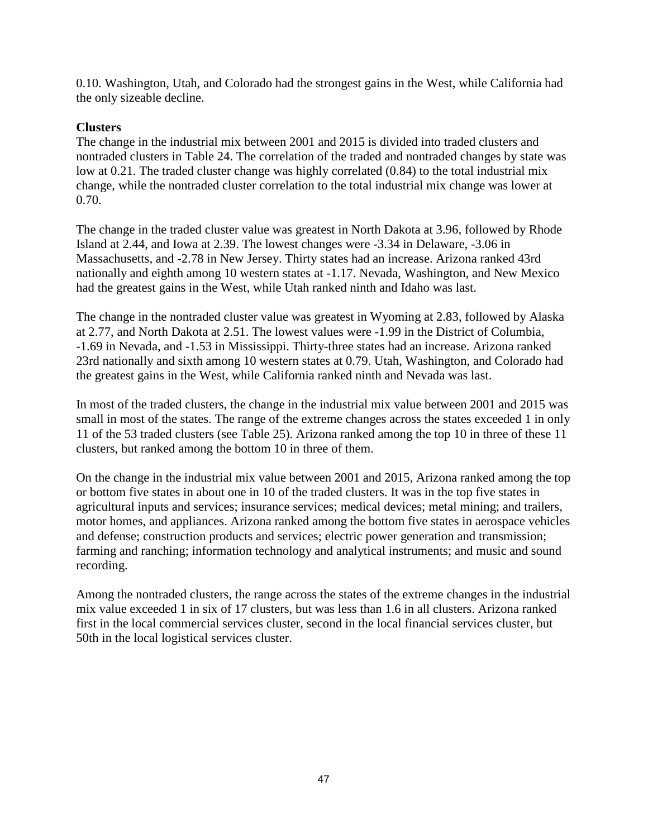0.10. Washington, Utah, and Colorado had the strongest gains in the West, while California had the only sizeable decline.

### **Clusters**

The change in the industrial mix between 2001 and 2015 is divided into traded clusters and nontraded clusters in Table 24. The correlation of the traded and nontraded changes by state was low at 0.21. The traded cluster change was highly correlated (0.84) to the total industrial mix change, while the nontraded cluster correlation to the total industrial mix change was lower at 0.70.

The change in the traded cluster value was greatest in North Dakota at 3.96, followed by Rhode Island at 2.44, and Iowa at 2.39. The lowest changes were -3.34 in Delaware, -3.06 in Massachusetts, and -2.78 in New Jersey. Thirty states had an increase. Arizona ranked 43rd nationally and eighth among 10 western states at -1.17. Nevada, Washington, and New Mexico had the greatest gains in the West, while Utah ranked ninth and Idaho was last.

The change in the nontraded cluster value was greatest in Wyoming at 2.83, followed by Alaska at 2.77, and North Dakota at 2.51. The lowest values were -1.99 in the District of Columbia, -1.69 in Nevada, and -1.53 in Mississippi. Thirty-three states had an increase. Arizona ranked 23rd nationally and sixth among 10 western states at 0.79. Utah, Washington, and Colorado had the greatest gains in the West, while California ranked ninth and Nevada was last.

In most of the traded clusters, the change in the industrial mix value between 2001 and 2015 was small in most of the states. The range of the extreme changes across the states exceeded 1 in only 11 of the 53 traded clusters (see Table 25). Arizona ranked among the top 10 in three of these 11 clusters, but ranked among the bottom 10 in three of them.

On the change in the industrial mix value between 2001 and 2015, Arizona ranked among the top or bottom five states in about one in 10 of the traded clusters. It was in the top five states in agricultural inputs and services; insurance services; medical devices; metal mining; and trailers, motor homes, and appliances. Arizona ranked among the bottom five states in aerospace vehicles and defense; construction products and services; electric power generation and transmission; farming and ranching; information technology and analytical instruments; and music and sound recording.

Among the nontraded clusters, the range across the states of the extreme changes in the industrial mix value exceeded 1 in six of 17 clusters, but was less than 1.6 in all clusters. Arizona ranked first in the local commercial services cluster, second in the local financial services cluster, but 50th in the local logistical services cluster.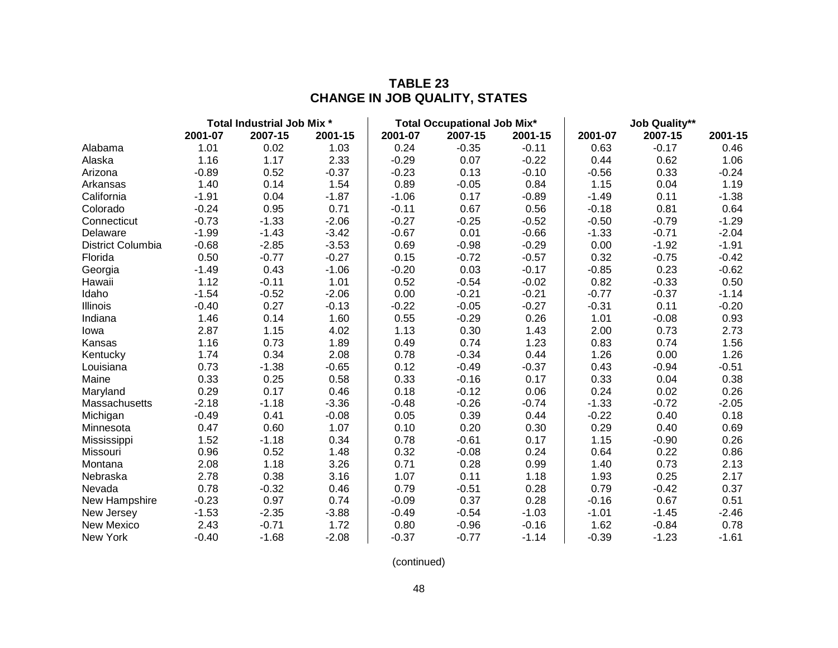|                   | Total Industrial Job Mix * |         |         |         | <b>Total Occupational Job Mix*</b> |         |         | <b>Job Quality**</b> |         |  |
|-------------------|----------------------------|---------|---------|---------|------------------------------------|---------|---------|----------------------|---------|--|
|                   | 2001-07                    | 2007-15 | 2001-15 | 2001-07 | 2007-15                            | 2001-15 | 2001-07 | 2007-15              | 2001-15 |  |
| Alabama           | 1.01                       | 0.02    | 1.03    | 0.24    | $-0.35$                            | $-0.11$ | 0.63    | $-0.17$              | 0.46    |  |
| Alaska            | 1.16                       | 1.17    | 2.33    | $-0.29$ | 0.07                               | $-0.22$ | 0.44    | 0.62                 | 1.06    |  |
| Arizona           | $-0.89$                    | 0.52    | $-0.37$ | $-0.23$ | 0.13                               | $-0.10$ | $-0.56$ | 0.33                 | $-0.24$ |  |
| Arkansas          | 1.40                       | 0.14    | 1.54    | 0.89    | $-0.05$                            | 0.84    | 1.15    | 0.04                 | 1.19    |  |
| California        | $-1.91$                    | 0.04    | $-1.87$ | $-1.06$ | 0.17                               | $-0.89$ | $-1.49$ | 0.11                 | $-1.38$ |  |
| Colorado          | $-0.24$                    | 0.95    | 0.71    | $-0.11$ | 0.67                               | 0.56    | $-0.18$ | 0.81                 | 0.64    |  |
| Connecticut       | $-0.73$                    | $-1.33$ | $-2.06$ | $-0.27$ | $-0.25$                            | $-0.52$ | $-0.50$ | $-0.79$              | $-1.29$ |  |
| Delaware          | $-1.99$                    | $-1.43$ | $-3.42$ | $-0.67$ | 0.01                               | $-0.66$ | $-1.33$ | $-0.71$              | $-2.04$ |  |
| District Columbia | $-0.68$                    | $-2.85$ | $-3.53$ | 0.69    | $-0.98$                            | $-0.29$ | 0.00    | $-1.92$              | $-1.91$ |  |
| Florida           | 0.50                       | $-0.77$ | $-0.27$ | 0.15    | $-0.72$                            | $-0.57$ | 0.32    | $-0.75$              | $-0.42$ |  |
| Georgia           | $-1.49$                    | 0.43    | $-1.06$ | $-0.20$ | 0.03                               | $-0.17$ | $-0.85$ | 0.23                 | $-0.62$ |  |
| Hawaii            | 1.12                       | $-0.11$ | 1.01    | 0.52    | $-0.54$                            | $-0.02$ | 0.82    | $-0.33$              | 0.50    |  |
| Idaho             | $-1.54$                    | $-0.52$ | $-2.06$ | 0.00    | $-0.21$                            | $-0.21$ | $-0.77$ | $-0.37$              | $-1.14$ |  |
| Illinois          | $-0.40$                    | 0.27    | $-0.13$ | $-0.22$ | $-0.05$                            | $-0.27$ | $-0.31$ | 0.11                 | $-0.20$ |  |
| Indiana           | 1.46                       | 0.14    | 1.60    | 0.55    | $-0.29$                            | 0.26    | 1.01    | $-0.08$              | 0.93    |  |
| lowa              | 2.87                       | 1.15    | 4.02    | 1.13    | 0.30                               | 1.43    | 2.00    | 0.73                 | 2.73    |  |
| Kansas            | 1.16                       | 0.73    | 1.89    | 0.49    | 0.74                               | 1.23    | 0.83    | 0.74                 | 1.56    |  |
| Kentucky          | 1.74                       | 0.34    | 2.08    | 0.78    | $-0.34$                            | 0.44    | 1.26    | 0.00                 | 1.26    |  |
| Louisiana         | 0.73                       | $-1.38$ | $-0.65$ | 0.12    | $-0.49$                            | $-0.37$ | 0.43    | $-0.94$              | $-0.51$ |  |
| Maine             | 0.33                       | 0.25    | 0.58    | 0.33    | $-0.16$                            | 0.17    | 0.33    | 0.04                 | 0.38    |  |
| Maryland          | 0.29                       | 0.17    | 0.46    | 0.18    | $-0.12$                            | 0.06    | 0.24    | 0.02                 | 0.26    |  |
| Massachusetts     | $-2.18$                    | $-1.18$ | $-3.36$ | $-0.48$ | $-0.26$                            | $-0.74$ | $-1.33$ | $-0.72$              | $-2.05$ |  |
| Michigan          | $-0.49$                    | 0.41    | $-0.08$ | 0.05    | 0.39                               | 0.44    | $-0.22$ | 0.40                 | 0.18    |  |
| Minnesota         | 0.47                       | 0.60    | 1.07    | 0.10    | 0.20                               | 0.30    | 0.29    | 0.40                 | 0.69    |  |
| Mississippi       | 1.52                       | $-1.18$ | 0.34    | 0.78    | $-0.61$                            | 0.17    | 1.15    | $-0.90$              | 0.26    |  |
| Missouri          | 0.96                       | 0.52    | 1.48    | 0.32    | $-0.08$                            | 0.24    | 0.64    | 0.22                 | 0.86    |  |
| Montana           | 2.08                       | 1.18    | 3.26    | 0.71    | 0.28                               | 0.99    | 1.40    | 0.73                 | 2.13    |  |
| Nebraska          | 2.78                       | 0.38    | 3.16    | 1.07    | 0.11                               | 1.18    | 1.93    | 0.25                 | 2.17    |  |
| Nevada            | 0.78                       | $-0.32$ | 0.46    | 0.79    | $-0.51$                            | 0.28    | 0.79    | $-0.42$              | 0.37    |  |
| New Hampshire     | $-0.23$                    | 0.97    | 0.74    | $-0.09$ | 0.37                               | 0.28    | $-0.16$ | 0.67                 | 0.51    |  |
| New Jersey        | $-1.53$                    | $-2.35$ | $-3.88$ | $-0.49$ | $-0.54$                            | $-1.03$ | $-1.01$ | $-1.45$              | $-2.46$ |  |
| <b>New Mexico</b> | 2.43                       | $-0.71$ | 1.72    | 0.80    | $-0.96$                            | $-0.16$ | 1.62    | $-0.84$              | 0.78    |  |
| New York          | $-0.40$                    | $-1.68$ | $-2.08$ | $-0.37$ | $-0.77$                            | $-1.14$ | $-0.39$ | $-1.23$              | $-1.61$ |  |

# **TABLE 23 CHANGE IN JOB QUALITY, STATES**

(continued)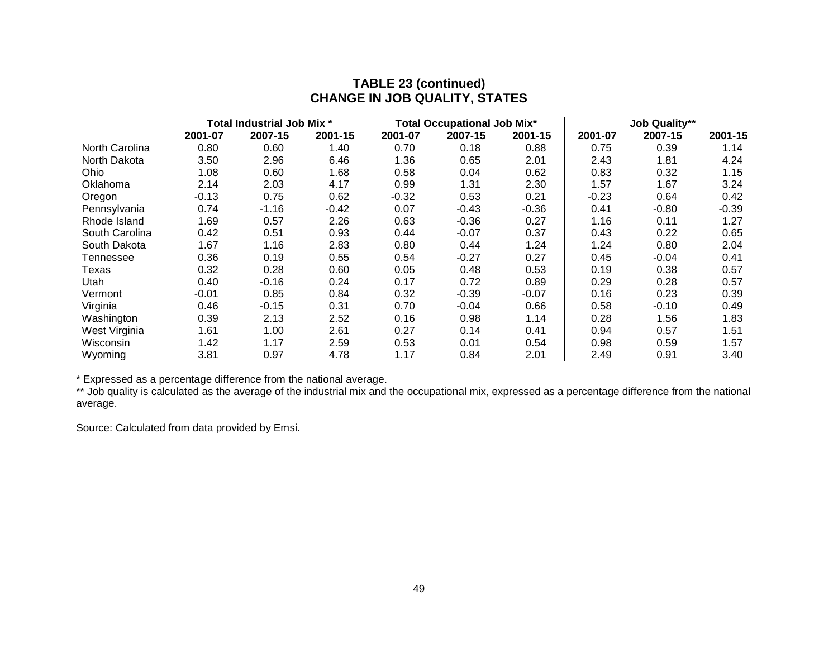### **TABLE 23 (continued) CHANGE IN JOB QUALITY, STATES**

|                | Total Industrial Job Mix * |         |         |         | <b>Total Occupational Job Mix*</b> |         | <b>Job Quality**</b> |         |         |
|----------------|----------------------------|---------|---------|---------|------------------------------------|---------|----------------------|---------|---------|
|                | 2001-07                    | 2007-15 | 2001-15 | 2001-07 | 2007-15                            | 2001-15 | 2001-07              | 2007-15 | 2001-15 |
| North Carolina | 0.80                       | 0.60    | 1.40    | 0.70    | 0.18                               | 0.88    | 0.75                 | 0.39    | 1.14    |
| North Dakota   | 3.50                       | 2.96    | 6.46    | 1.36    | 0.65                               | 2.01    | 2.43                 | 1.81    | 4.24    |
| <b>Ohio</b>    | 1.08                       | 0.60    | 1.68    | 0.58    | 0.04                               | 0.62    | 0.83                 | 0.32    | 1.15    |
| Oklahoma       | 2.14                       | 2.03    | 4.17    | 0.99    | 1.31                               | 2.30    | 1.57                 | 1.67    | 3.24    |
| Oregon         | $-0.13$                    | 0.75    | 0.62    | $-0.32$ | 0.53                               | 0.21    | $-0.23$              | 0.64    | 0.42    |
| Pennsylvania   | 0.74                       | $-1.16$ | $-0.42$ | 0.07    | $-0.43$                            | $-0.36$ | 0.41                 | $-0.80$ | $-0.39$ |
| Rhode Island   | 1.69                       | 0.57    | 2.26    | 0.63    | $-0.36$                            | 0.27    | 1.16                 | 0.11    | 1.27    |
| South Carolina | 0.42                       | 0.51    | 0.93    | 0.44    | $-0.07$                            | 0.37    | 0.43                 | 0.22    | 0.65    |
| South Dakota   | 1.67                       | 1.16    | 2.83    | 0.80    | 0.44                               | 1.24    | 1.24                 | 0.80    | 2.04    |
| Tennessee      | 0.36                       | 0.19    | 0.55    | 0.54    | $-0.27$                            | 0.27    | 0.45                 | $-0.04$ | 0.41    |
| Texas          | 0.32                       | 0.28    | 0.60    | 0.05    | 0.48                               | 0.53    | 0.19                 | 0.38    | 0.57    |
| Utah           | 0.40                       | $-0.16$ | 0.24    | 0.17    | 0.72                               | 0.89    | 0.29                 | 0.28    | 0.57    |
| Vermont        | $-0.01$                    | 0.85    | 0.84    | 0.32    | $-0.39$                            | $-0.07$ | 0.16                 | 0.23    | 0.39    |
| Virginia       | 0.46                       | $-0.15$ | 0.31    | 0.70    | $-0.04$                            | 0.66    | 0.58                 | $-0.10$ | 0.49    |
| Washington     | 0.39                       | 2.13    | 2.52    | 0.16    | 0.98                               | 1.14    | 0.28                 | 1.56    | 1.83    |
| West Virginia  | 1.61                       | 1.00    | 2.61    | 0.27    | 0.14                               | 0.41    | 0.94                 | 0.57    | 1.51    |
| Wisconsin      | 1.42                       | 1.17    | 2.59    | 0.53    | 0.01                               | 0.54    | 0.98                 | 0.59    | 1.57    |
| Wyoming        | 3.81                       | 0.97    | 4.78    | 1.17    | 0.84                               | 2.01    | 2.49                 | 0.91    | 3.40    |

\* Expressed as a percentage difference from the national average.

\*\* Job quality is calculated as the average of the industrial mix and the occupational mix, expressed as a percentage difference from the national average.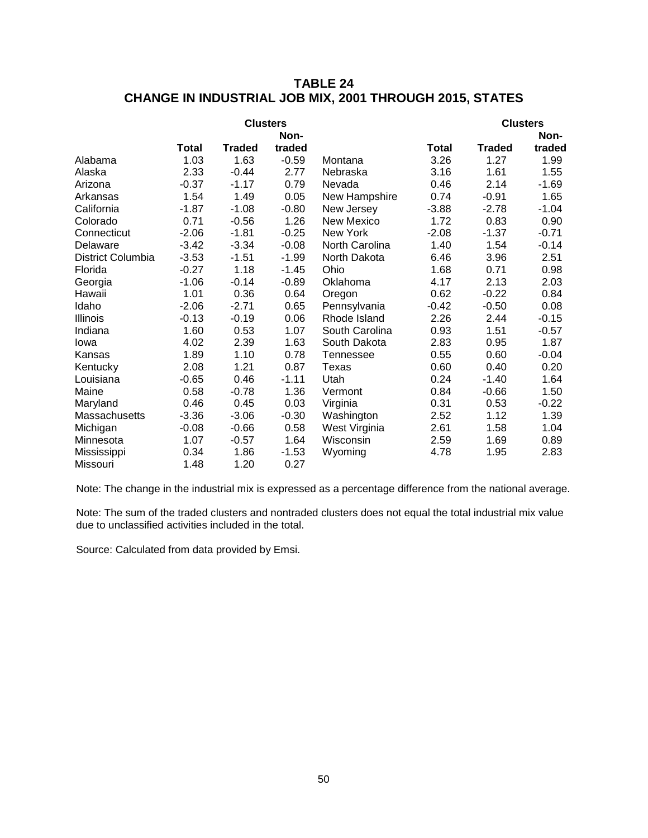### **TABLE 24 CHANGE IN INDUSTRIAL JOB MIX, 2001 THROUGH 2015, STATES**

|                   |              | <b>Clusters</b> | Non-    |                   |              |               | <b>Clusters</b><br>Non- |
|-------------------|--------------|-----------------|---------|-------------------|--------------|---------------|-------------------------|
|                   | <b>Total</b> | <b>Traded</b>   | traded  |                   | <b>Total</b> | <b>Traded</b> | traded                  |
| Alabama           | 1.03         | 1.63            | $-0.59$ | Montana           | 3.26         | 1.27          | 1.99                    |
| Alaska            | 2.33         | $-0.44$         | 2.77    | Nebraska          | 3.16         | 1.61          | 1.55                    |
| Arizona           | $-0.37$      | $-1.17$         | 0.79    | Nevada            | 0.46         | 2.14          | $-1.69$                 |
| Arkansas          | 1.54         | 1.49            | 0.05    | New Hampshire     | 0.74         | $-0.91$       | 1.65                    |
| California        | $-1.87$      | $-1.08$         | $-0.80$ | New Jersey        | $-3.88$      | $-2.78$       | $-1.04$                 |
| Colorado          | 0.71         | $-0.56$         | 1.26    | <b>New Mexico</b> | 1.72         | 0.83          | 0.90                    |
| Connecticut       | $-2.06$      | $-1.81$         | $-0.25$ | New York          | $-2.08$      | $-1.37$       | $-0.71$                 |
| Delaware          | $-3.42$      | $-3.34$         | $-0.08$ | North Carolina    | 1.40         | 1.54          | $-0.14$                 |
| District Columbia | $-3.53$      | $-1.51$         | $-1.99$ | North Dakota      | 6.46         | 3.96          | 2.51                    |
| Florida           | $-0.27$      | 1.18            | $-1.45$ | Ohio              | 1.68         | 0.71          | 0.98                    |
| Georgia           | $-1.06$      | $-0.14$         | $-0.89$ | Oklahoma          | 4.17         | 2.13          | 2.03                    |
| Hawaii            | 1.01         | 0.36            | 0.64    | Oregon            | 0.62         | $-0.22$       | 0.84                    |
| Idaho             | $-2.06$      | $-2.71$         | 0.65    | Pennsylvania      | $-0.42$      | $-0.50$       | 0.08                    |
| <b>Illinois</b>   | $-0.13$      | $-0.19$         | 0.06    | Rhode Island      | 2.26         | 2.44          | $-0.15$                 |
| Indiana           | 1.60         | 0.53            | 1.07    | South Carolina    | 0.93         | 1.51          | $-0.57$                 |
| lowa              | 4.02         | 2.39            | 1.63    | South Dakota      | 2.83         | 0.95          | 1.87                    |
| Kansas            | 1.89         | 1.10            | 0.78    | Tennessee         | 0.55         | 0.60          | $-0.04$                 |
| Kentucky          | 2.08         | 1.21            | 0.87    | Texas             | 0.60         | 0.40          | 0.20                    |
| Louisiana         | $-0.65$      | 0.46            | $-1.11$ | Utah              | 0.24         | $-1.40$       | 1.64                    |
| Maine             | 0.58         | $-0.78$         | 1.36    | Vermont           | 0.84         | $-0.66$       | 1.50                    |
| Maryland          | 0.46         | 0.45            | 0.03    | Virginia          | 0.31         | 0.53          | $-0.22$                 |
| Massachusetts     | $-3.36$      | $-3.06$         | $-0.30$ | Washington        | 2.52         | 1.12          | 1.39                    |
| Michigan          | $-0.08$      | $-0.66$         | 0.58    | West Virginia     | 2.61         | 1.58          | 1.04                    |
| Minnesota         | 1.07         | $-0.57$         | 1.64    | Wisconsin         | 2.59         | 1.69          | 0.89                    |
| Mississippi       | 0.34         | 1.86            | $-1.53$ | Wyoming           | 4.78         | 1.95          | 2.83                    |
| Missouri          | 1.48         | 1.20            | 0.27    |                   |              |               |                         |

Note: The change in the industrial mix is expressed as a percentage difference from the national average.

Note: The sum of the traded clusters and nontraded clusters does not equal the total industrial mix value due to unclassified activities included in the total.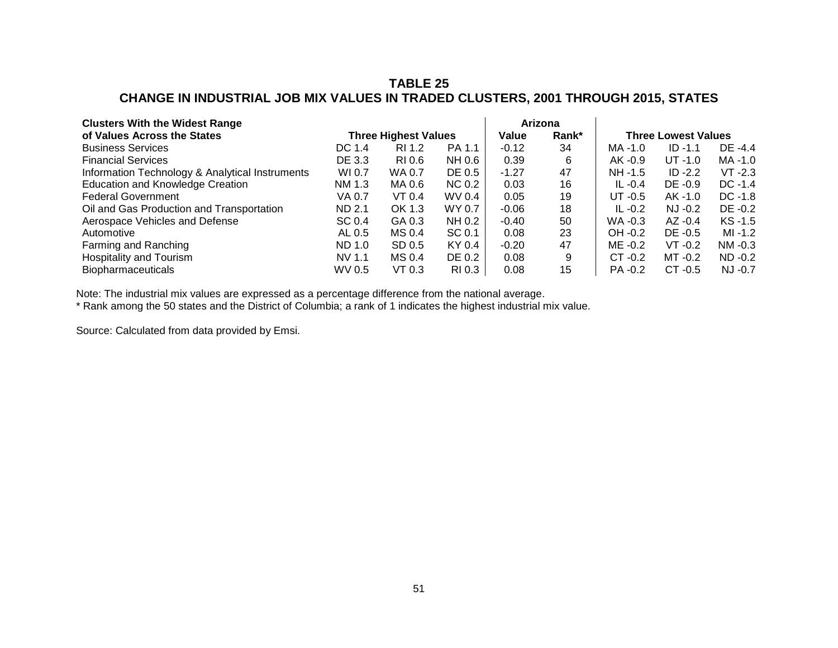### **TABLE 25 CHANGE IN INDUSTRIAL JOB MIX VALUES IN TRADED CLUSTERS, 2001 THROUGH 2015, STATES**

| <b>Clusters With the Widest Range</b>           |                             | Arizona |               |         |       |            |                            |            |
|-------------------------------------------------|-----------------------------|---------|---------------|---------|-------|------------|----------------------------|------------|
| of Values Across the States                     | <b>Three Highest Values</b> |         |               | Value   | Rank* |            | <b>Three Lowest Values</b> |            |
| <b>Business Services</b>                        | DC 1.4                      | RI 1.2  | PA 1.1        | $-0.12$ | 34    | MA -1.0    | $ID - 1.1$                 | DE -4.4    |
| <b>Financial Services</b>                       | DE 3.3                      | RI 0.6  | NH 0.6        | 0.39    | 6     | AK -0.9    | $UT -1.0$                  | MA -1.0    |
| Information Technology & Analytical Instruments | WI 0.7                      | WA 0.7  | DE 0.5        | $-1.27$ | 47    | NH -1.5    | $ID -2.2$                  | $VT -2.3$  |
| <b>Education and Knowledge Creation</b>         | NM 1.3                      | MA 0.6  | <b>NC 0.2</b> | 0.03    | 16    | IL $-0.4$  | $DE -0.9$                  | $DC -1.4$  |
| <b>Federal Government</b>                       | VA 0.7                      | VT 0.4  | WV 0.4        | 0.05    | 19    | $UT -0.5$  | $AK -1.0$                  | $DC -1.8$  |
| Oil and Gas Production and Transportation       | ND 2.1                      | OK 1.3  | WY 0.7        | $-0.06$ | 18    | IL $-0.2$  | $NJ -0.2$                  | DE -0.2    |
| Aerospace Vehicles and Defense                  | SC 0.4                      | GA 0.3  | NH 0.2        | $-0.40$ | 50    | $WA - 0.3$ | $AZ -0.4$                  | $KS -1.5$  |
| Automotive                                      | AL 0.5                      | MS 0.4  | SC 0.1        | 0.08    | 23    | OH -0.2    | DE -0.5                    | MI -1.2    |
| Farming and Ranching                            | ND 1.0                      | SD 0.5  | KY 0.4        | $-0.20$ | 47    | ME -0.2    | $VT -0.2$                  | $NM - 0.3$ |
| <b>Hospitality and Tourism</b>                  | NV 1.1                      | MS 0.4  | DE 0.2        | 0.08    | 9     | $CT -0.2$  | MT -0.2                    | $ND -0.2$  |
| <b>Biopharmaceuticals</b>                       | WV 0.5                      | VT 0.3  | RI 0.3        | 0.08    | 15    | PA -0.2    | $CT -0.5$                  | NJ -0.7    |

Note: The industrial mix values are expressed as a percentage difference from the national average.

\* Rank among the 50 states and the District of Columbia; a rank of 1 indicates the highest industrial mix value.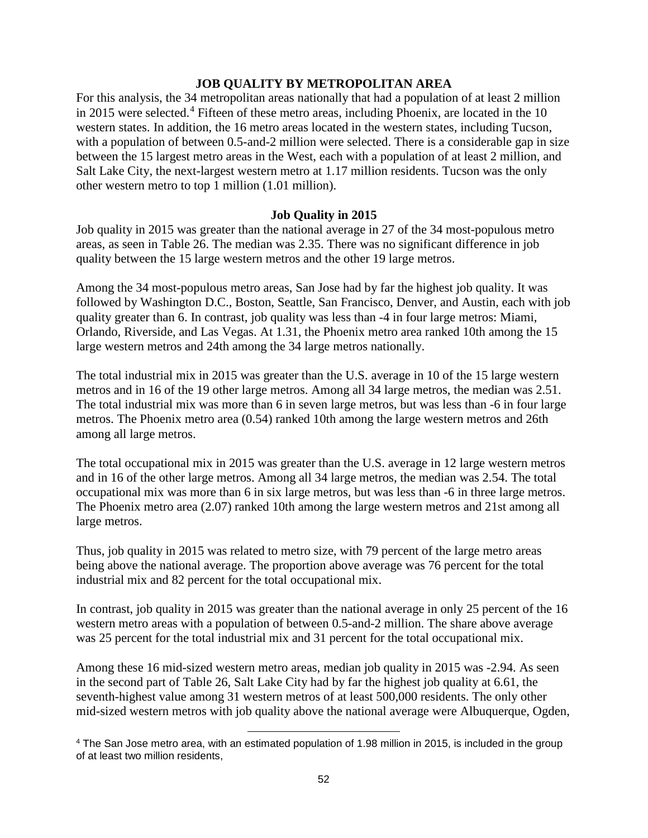### **JOB QUALITY BY METROPOLITAN AREA**

For this analysis, the 34 metropolitan areas nationally that had a population of at least 2 million in 2015 were selected.<sup>[4](#page-53-0)</sup> Fifteen of these metro areas, including Phoenix, are located in the 10 western states. In addition, the 16 metro areas located in the western states, including Tucson, with a population of between 0.5-and-2 million were selected. There is a considerable gap in size between the 15 largest metro areas in the West, each with a population of at least 2 million, and Salt Lake City, the next-largest western metro at 1.17 million residents. Tucson was the only other western metro to top 1 million (1.01 million).

#### **Job Quality in 2015**

Job quality in 2015 was greater than the national average in 27 of the 34 most-populous metro areas, as seen in Table 26. The median was 2.35. There was no significant difference in job quality between the 15 large western metros and the other 19 large metros.

Among the 34 most-populous metro areas, San Jose had by far the highest job quality. It was followed by Washington D.C., Boston, Seattle, San Francisco, Denver, and Austin, each with job quality greater than 6. In contrast, job quality was less than -4 in four large metros: Miami, Orlando, Riverside, and Las Vegas. At 1.31, the Phoenix metro area ranked 10th among the 15 large western metros and 24th among the 34 large metros nationally.

The total industrial mix in 2015 was greater than the U.S. average in 10 of the 15 large western metros and in 16 of the 19 other large metros. Among all 34 large metros, the median was 2.51. The total industrial mix was more than 6 in seven large metros, but was less than -6 in four large metros. The Phoenix metro area (0.54) ranked 10th among the large western metros and 26th among all large metros.

The total occupational mix in 2015 was greater than the U.S. average in 12 large western metros and in 16 of the other large metros. Among all 34 large metros, the median was 2.54. The total occupational mix was more than 6 in six large metros, but was less than -6 in three large metros. The Phoenix metro area (2.07) ranked 10th among the large western metros and 21st among all large metros.

Thus, job quality in 2015 was related to metro size, with 79 percent of the large metro areas being above the national average. The proportion above average was 76 percent for the total industrial mix and 82 percent for the total occupational mix.

In contrast, job quality in 2015 was greater than the national average in only 25 percent of the 16 western metro areas with a population of between 0.5-and-2 million. The share above average was 25 percent for the total industrial mix and 31 percent for the total occupational mix.

Among these 16 mid-sized western metro areas, median job quality in 2015 was -2.94. As seen in the second part of Table 26, Salt Lake City had by far the highest job quality at 6.61, the seventh-highest value among 31 western metros of at least 500,000 residents. The only other mid-sized western metros with job quality above the national average were Albuquerque, Ogden,

l

<span id="page-53-0"></span><sup>4</sup> The San Jose metro area, with an estimated population of 1.98 million in 2015, is included in the group of at least two million residents,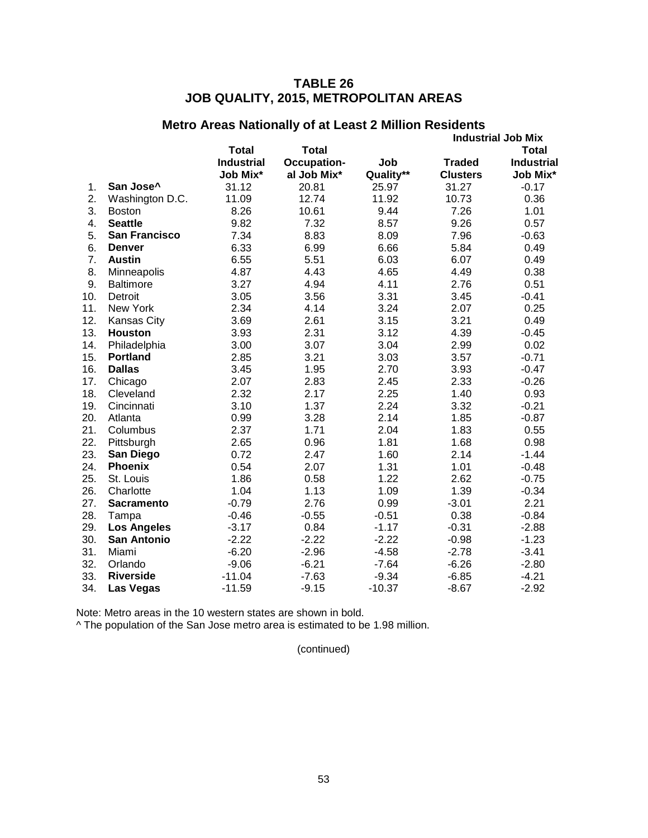# **TABLE 26 JOB QUALITY, 2015, METROPOLITAN AREAS**

|     |                      |                   |                    |           |                 | <b>Industrial Job Mix</b> |
|-----|----------------------|-------------------|--------------------|-----------|-----------------|---------------------------|
|     |                      | <b>Total</b>      | <b>Total</b>       |           |                 | Total                     |
|     |                      | <b>Industrial</b> | <b>Occupation-</b> | Job       | <b>Traded</b>   | <b>Industrial</b>         |
|     |                      | Job Mix*          | al Job Mix*        | Quality** | <b>Clusters</b> | Job Mix*                  |
| 1.  | San Jose^            | 31.12             | 20.81              | 25.97     | 31.27           | $-0.17$                   |
| 2.  | Washington D.C.      | 11.09             | 12.74              | 11.92     | 10.73           | 0.36                      |
| 3.  | <b>Boston</b>        | 8.26              | 10.61              | 9.44      | 7.26            | 1.01                      |
| 4.  | <b>Seattle</b>       | 9.82              | 7.32               | 8.57      | 9.26            | 0.57                      |
| 5.  | <b>San Francisco</b> | 7.34              | 8.83               | 8.09      | 7.96            | $-0.63$                   |
| 6.  | <b>Denver</b>        | 6.33              | 6.99               | 6.66      | 5.84            | 0.49                      |
| 7.  | <b>Austin</b>        | 6.55              | 5.51               | 6.03      | 6.07            | 0.49                      |
| 8.  | Minneapolis          | 4.87              | 4.43               | 4.65      | 4.49            | 0.38                      |
| 9.  | <b>Baltimore</b>     | 3.27              | 4.94               | 4.11      | 2.76            | 0.51                      |
| 10. | Detroit              | 3.05              | 3.56               | 3.31      | 3.45            | $-0.41$                   |
| 11. | New York             | 2.34              | 4.14               | 3.24      | 2.07            | 0.25                      |
| 12. | <b>Kansas City</b>   | 3.69              | 2.61               | 3.15      | 3.21            | 0.49                      |
| 13. | <b>Houston</b>       | 3.93              | 2.31               | 3.12      | 4.39            | $-0.45$                   |
| 14. | Philadelphia         | 3.00              | 3.07               | 3.04      | 2.99            | 0.02                      |
| 15. | <b>Portland</b>      | 2.85              | 3.21               | 3.03      | 3.57            | $-0.71$                   |
| 16. | <b>Dallas</b>        | 3.45              | 1.95               | 2.70      | 3.93            | $-0.47$                   |
| 17. | Chicago              | 2.07              | 2.83               | 2.45      | 2.33            | $-0.26$                   |
| 18. | Cleveland            | 2.32              | 2.17               | 2.25      | 1.40            | 0.93                      |
| 19. | Cincinnati           | 3.10              | 1.37               | 2.24      | 3.32            | $-0.21$                   |
| 20. | Atlanta              | 0.99              | 3.28               | 2.14      | 1.85            | $-0.87$                   |
| 21. | Columbus             | 2.37              | 1.71               | 2.04      | 1.83            | 0.55                      |
| 22. | Pittsburgh           | 2.65              | 0.96               | 1.81      | 1.68            | 0.98                      |
| 23. | San Diego            | 0.72              | 2.47               | 1.60      | 2.14            | $-1.44$                   |
| 24. | <b>Phoenix</b>       | 0.54              | 2.07               | 1.31      | 1.01            | $-0.48$                   |
| 25. | St. Louis            | 1.86              | 0.58               | 1.22      | 2.62            | $-0.75$                   |
| 26. | Charlotte            | 1.04              | 1.13               | 1.09      | 1.39            | $-0.34$                   |
| 27. | <b>Sacramento</b>    | $-0.79$           | 2.76               | 0.99      | $-3.01$         | 2.21                      |
| 28. | Tampa                | $-0.46$           | $-0.55$            | $-0.51$   | 0.38            | $-0.84$                   |
| 29. | <b>Los Angeles</b>   | $-3.17$           | 0.84               | $-1.17$   | $-0.31$         | $-2.88$                   |
| 30. | <b>San Antonio</b>   | $-2.22$           | $-2.22$            | $-2.22$   | $-0.98$         | $-1.23$                   |
| 31. | Miami                | $-6.20$           | $-2.96$            | $-4.58$   | $-2.78$         | $-3.41$                   |
| 32. | Orlando              | $-9.06$           | $-6.21$            | $-7.64$   | $-6.26$         | $-2.80$                   |
| 33. | <b>Riverside</b>     | $-11.04$          | $-7.63$            | $-9.34$   | $-6.85$         | $-4.21$                   |
| 34. | <b>Las Vegas</b>     | $-11.59$          | $-9.15$            | $-10.37$  | $-8.67$         | $-2.92$                   |
|     |                      |                   |                    |           |                 |                           |

# **Metro Areas Nationally of at Least 2 Million Residents**

Note: Metro areas in the 10 western states are shown in bold.

^ The population of the San Jose metro area is estimated to be 1.98 million.

(continued)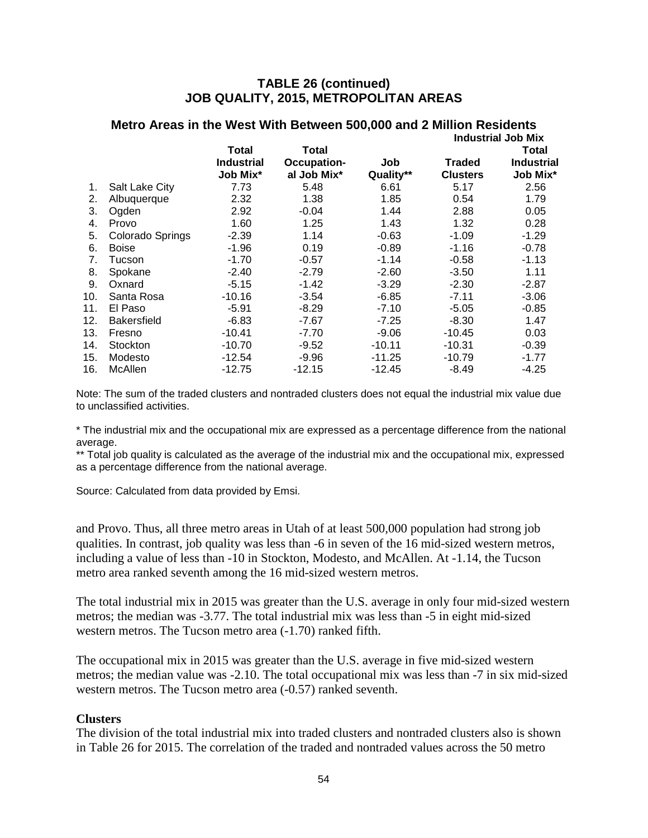### **TABLE 26 (continued) JOB QUALITY, 2015, METROPOLITAN AREAS**

|     |                    |                               |                                   |                  |                                  | <b>Industrial Job Mix</b>     |
|-----|--------------------|-------------------------------|-----------------------------------|------------------|----------------------------------|-------------------------------|
|     |                    | Total                         | Total                             |                  |                                  | Total                         |
|     |                    | <b>Industrial</b><br>Job Mix* | <b>Occupation-</b><br>al Job Mix* | Job<br>Quality** | <b>Traded</b><br><b>Clusters</b> | <b>Industrial</b><br>Job Mix* |
| 1.  | Salt Lake City     | 7.73                          | 5.48                              | 6.61             | 5.17                             | 2.56                          |
| 2.  | Albuquerque        | 2.32                          | 1.38                              | 1.85             | 0.54                             | 1.79                          |
| 3.  | Ogden              | 2.92                          | $-0.04$                           | 1.44             | 2.88                             | 0.05                          |
| 4.  | Provo              | 1.60                          | 1.25                              | 1.43             | 1.32                             | 0.28                          |
| 5.  | Colorado Springs   | $-2.39$                       | 1.14                              | $-0.63$          | $-1.09$                          | $-1.29$                       |
| 6.  | <b>Boise</b>       | $-1.96$                       | 0.19                              | $-0.89$          | $-1.16$                          | $-0.78$                       |
| 7.  | Tucson             | $-1.70$                       | $-0.57$                           | $-1.14$          | $-0.58$                          | $-1.13$                       |
| 8.  | Spokane            | $-2.40$                       | $-2.79$                           | $-2.60$          | $-3.50$                          | 1.11                          |
| 9.  | Oxnard             | $-5.15$                       | $-1.42$                           | $-3.29$          | $-2.30$                          | $-2.87$                       |
| 10. | Santa Rosa         | $-10.16$                      | $-3.54$                           | $-6.85$          | $-7.11$                          | $-3.06$                       |
| 11. | El Paso            | $-5.91$                       | $-8.29$                           | $-7.10$          | $-5.05$                          | $-0.85$                       |
| 12. | <b>Bakersfield</b> | $-6.83$                       | $-7.67$                           | $-7.25$          | $-8.30$                          | 1.47                          |
| 13. | Fresno             | $-10.41$                      | $-7.70$                           | $-9.06$          | $-10.45$                         | 0.03                          |
| 14. | Stockton           | $-10.70$                      | $-9.52$                           | $-10.11$         | $-10.31$                         | $-0.39$                       |
| 15. | Modesto            | $-12.54$                      | $-9.96$                           | $-11.25$         | $-10.79$                         | $-1.77$                       |
| 16. | McAllen            | $-12.75$                      | $-12.15$                          | -12.45           | $-8.49$                          | $-4.25$                       |
|     |                    |                               |                                   |                  |                                  |                               |

# **Metro Areas in the West With Between 500,000 and 2 Million Residents**

Note: The sum of the traded clusters and nontraded clusters does not equal the industrial mix value due to unclassified activities.

\* The industrial mix and the occupational mix are expressed as a percentage difference from the national average.

\*\* Total job quality is calculated as the average of the industrial mix and the occupational mix, expressed as a percentage difference from the national average.

Source: Calculated from data provided by Emsi.

and Provo. Thus, all three metro areas in Utah of at least 500,000 population had strong job qualities. In contrast, job quality was less than -6 in seven of the 16 mid-sized western metros, including a value of less than -10 in Stockton, Modesto, and McAllen. At -1.14, the Tucson metro area ranked seventh among the 16 mid-sized western metros.

The total industrial mix in 2015 was greater than the U.S. average in only four mid-sized western metros; the median was -3.77. The total industrial mix was less than -5 in eight mid-sized western metros. The Tucson metro area (-1.70) ranked fifth.

The occupational mix in 2015 was greater than the U.S. average in five mid-sized western metros; the median value was -2.10. The total occupational mix was less than -7 in six mid-sized western metros. The Tucson metro area  $(-0.57)$  ranked seventh.

#### **Clusters**

The division of the total industrial mix into traded clusters and nontraded clusters also is shown in Table 26 for 2015. The correlation of the traded and nontraded values across the 50 metro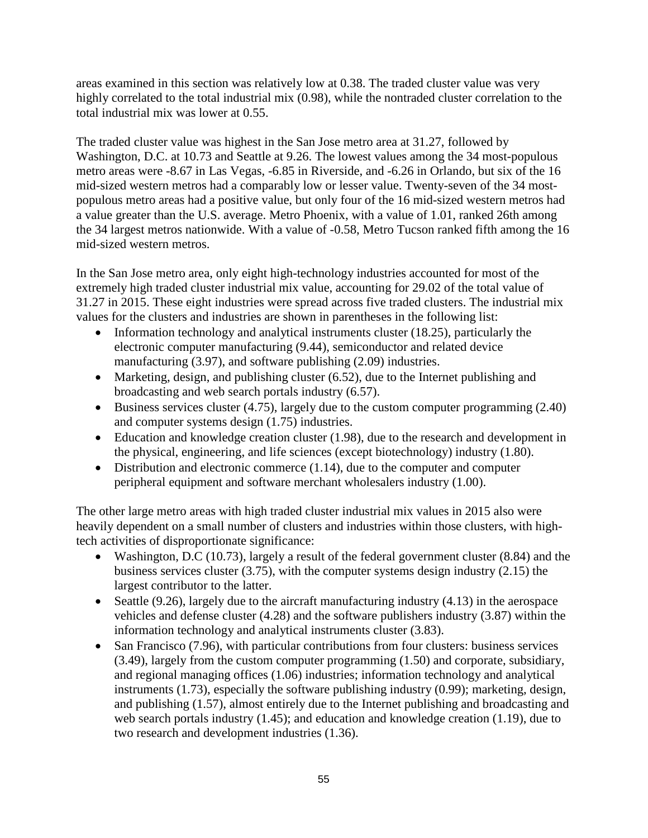areas examined in this section was relatively low at 0.38. The traded cluster value was very highly correlated to the total industrial mix (0.98), while the nontraded cluster correlation to the total industrial mix was lower at 0.55.

The traded cluster value was highest in the San Jose metro area at 31.27, followed by Washington, D.C. at 10.73 and Seattle at 9.26. The lowest values among the 34 most-populous metro areas were -8.67 in Las Vegas, -6.85 in Riverside, and -6.26 in Orlando, but six of the 16 mid-sized western metros had a comparably low or lesser value. Twenty-seven of the 34 mostpopulous metro areas had a positive value, but only four of the 16 mid-sized western metros had a value greater than the U.S. average. Metro Phoenix, with a value of 1.01, ranked 26th among the 34 largest metros nationwide. With a value of -0.58, Metro Tucson ranked fifth among the 16 mid-sized western metros.

In the San Jose metro area, only eight high-technology industries accounted for most of the extremely high traded cluster industrial mix value, accounting for 29.02 of the total value of 31.27 in 2015. These eight industries were spread across five traded clusters. The industrial mix values for the clusters and industries are shown in parentheses in the following list:

- Information technology and analytical instruments cluster (18.25), particularly the electronic computer manufacturing (9.44), semiconductor and related device manufacturing (3.97), and software publishing (2.09) industries.
- Marketing, design, and publishing cluster (6.52), due to the Internet publishing and broadcasting and web search portals industry (6.57).
- Business services cluster (4.75), largely due to the custom computer programming (2.40) and computer systems design (1.75) industries.
- Education and knowledge creation cluster (1.98), due to the research and development in the physical, engineering, and life sciences (except biotechnology) industry (1.80).
- Distribution and electronic commerce (1.14), due to the computer and computer peripheral equipment and software merchant wholesalers industry (1.00).

The other large metro areas with high traded cluster industrial mix values in 2015 also were heavily dependent on a small number of clusters and industries within those clusters, with hightech activities of disproportionate significance:

- Washington, D.C (10.73), largely a result of the federal government cluster (8.84) and the business services cluster (3.75), with the computer systems design industry (2.15) the largest contributor to the latter.
- Seattle (9.26), largely due to the aircraft manufacturing industry (4.13) in the aerospace vehicles and defense cluster (4.28) and the software publishers industry (3.87) within the information technology and analytical instruments cluster (3.83).
- San Francisco (7.96), with particular contributions from four clusters: business services (3.49), largely from the custom computer programming (1.50) and corporate, subsidiary, and regional managing offices (1.06) industries; information technology and analytical instruments (1.73), especially the software publishing industry (0.99); marketing, design, and publishing (1.57), almost entirely due to the Internet publishing and broadcasting and web search portals industry (1.45); and education and knowledge creation (1.19), due to two research and development industries (1.36).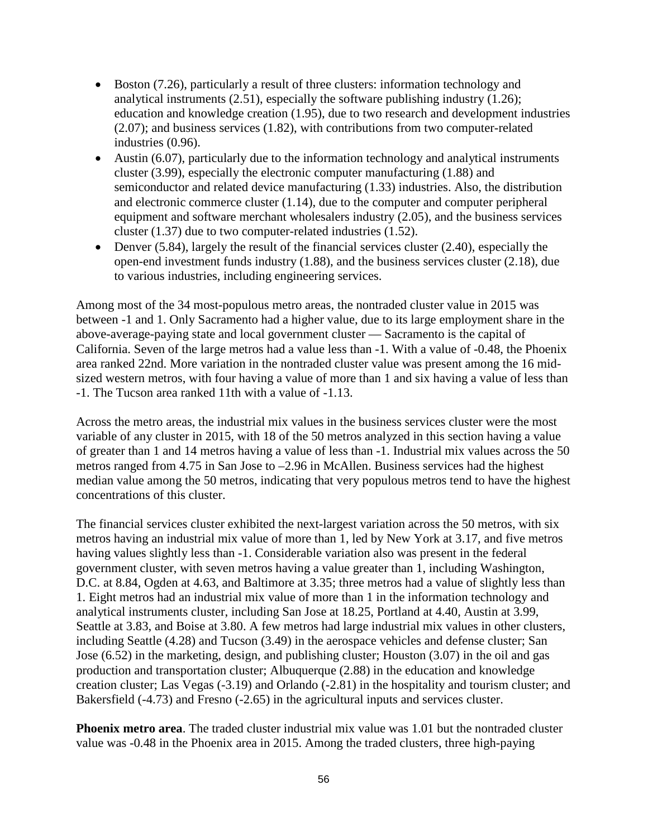- Boston (7.26), particularly a result of three clusters: information technology and analytical instruments (2.51), especially the software publishing industry (1.26); education and knowledge creation (1.95), due to two research and development industries (2.07); and business services (1.82), with contributions from two computer-related industries (0.96).
- Austin (6.07), particularly due to the information technology and analytical instruments cluster (3.99), especially the electronic computer manufacturing (1.88) and semiconductor and related device manufacturing (1.33) industries. Also, the distribution and electronic commerce cluster (1.14), due to the computer and computer peripheral equipment and software merchant wholesalers industry (2.05), and the business services cluster (1.37) due to two computer-related industries (1.52).
- Denver  $(5.84)$ , largely the result of the financial services cluster  $(2.40)$ , especially the open-end investment funds industry (1.88), and the business services cluster (2.18), due to various industries, including engineering services.

Among most of the 34 most-populous metro areas, the nontraded cluster value in 2015 was between -1 and 1. Only Sacramento had a higher value, due to its large employment share in the above-average-paying state and local government cluster — Sacramento is the capital of California. Seven of the large metros had a value less than -1. With a value of -0.48, the Phoenix area ranked 22nd. More variation in the nontraded cluster value was present among the 16 midsized western metros, with four having a value of more than 1 and six having a value of less than -1. The Tucson area ranked 11th with a value of -1.13.

Across the metro areas, the industrial mix values in the business services cluster were the most variable of any cluster in 2015, with 18 of the 50 metros analyzed in this section having a value of greater than 1 and 14 metros having a value of less than -1. Industrial mix values across the 50 metros ranged from 4.75 in San Jose to –2.96 in McAllen. Business services had the highest median value among the 50 metros, indicating that very populous metros tend to have the highest concentrations of this cluster.

The financial services cluster exhibited the next-largest variation across the 50 metros, with six metros having an industrial mix value of more than 1, led by New York at 3.17, and five metros having values slightly less than -1. Considerable variation also was present in the federal government cluster, with seven metros having a value greater than 1, including Washington, D.C. at 8.84, Ogden at 4.63, and Baltimore at 3.35; three metros had a value of slightly less than 1. Eight metros had an industrial mix value of more than 1 in the information technology and analytical instruments cluster, including San Jose at 18.25, Portland at 4.40, Austin at 3.99, Seattle at 3.83, and Boise at 3.80. A few metros had large industrial mix values in other clusters, including Seattle (4.28) and Tucson (3.49) in the aerospace vehicles and defense cluster; San Jose (6.52) in the marketing, design, and publishing cluster; Houston (3.07) in the oil and gas production and transportation cluster; Albuquerque (2.88) in the education and knowledge creation cluster; Las Vegas (-3.19) and Orlando (-2.81) in the hospitality and tourism cluster; and Bakersfield (-4.73) and Fresno (-2.65) in the agricultural inputs and services cluster.

**Phoenix metro area**. The traded cluster industrial mix value was 1.01 but the nontraded cluster value was -0.48 in the Phoenix area in 2015. Among the traded clusters, three high-paying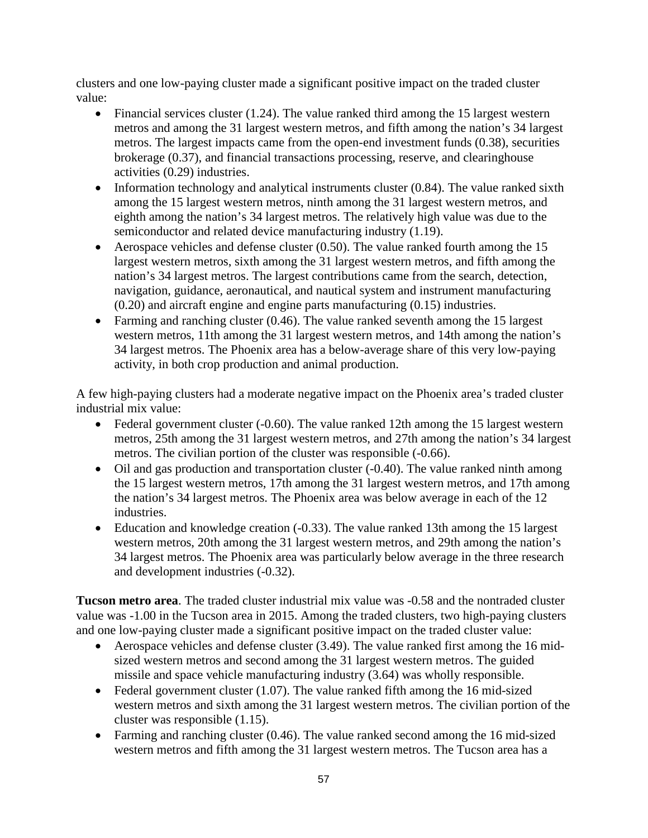clusters and one low-paying cluster made a significant positive impact on the traded cluster value:

- Financial services cluster  $(1.24)$ . The value ranked third among the 15 largest western metros and among the 31 largest western metros, and fifth among the nation's 34 largest metros. The largest impacts came from the open-end investment funds (0.38), securities brokerage (0.37), and financial transactions processing, reserve, and clearinghouse activities (0.29) industries.
- Information technology and analytical instruments cluster (0.84). The value ranked sixth among the 15 largest western metros, ninth among the 31 largest western metros, and eighth among the nation's 34 largest metros. The relatively high value was due to the semiconductor and related device manufacturing industry (1.19).
- Aerospace vehicles and defense cluster (0.50). The value ranked fourth among the 15 largest western metros, sixth among the 31 largest western metros, and fifth among the nation's 34 largest metros. The largest contributions came from the search, detection, navigation, guidance, aeronautical, and nautical system and instrument manufacturing (0.20) and aircraft engine and engine parts manufacturing (0.15) industries.
- Farming and ranching cluster (0.46). The value ranked seventh among the 15 largest western metros, 11th among the 31 largest western metros, and 14th among the nation's 34 largest metros. The Phoenix area has a below-average share of this very low-paying activity, in both crop production and animal production.

A few high-paying clusters had a moderate negative impact on the Phoenix area's traded cluster industrial mix value:

- Federal government cluster (-0.60). The value ranked 12th among the 15 largest western metros, 25th among the 31 largest western metros, and 27th among the nation's 34 largest metros. The civilian portion of the cluster was responsible (-0.66).
- Oil and gas production and transportation cluster (-0.40). The value ranked ninth among the 15 largest western metros, 17th among the 31 largest western metros, and 17th among the nation's 34 largest metros. The Phoenix area was below average in each of the 12 industries.
- Education and knowledge creation (-0.33). The value ranked 13th among the 15 largest western metros, 20th among the 31 largest western metros, and 29th among the nation's 34 largest metros. The Phoenix area was particularly below average in the three research and development industries (-0.32).

**Tucson metro area**. The traded cluster industrial mix value was -0.58 and the nontraded cluster value was -1.00 in the Tucson area in 2015. Among the traded clusters, two high-paying clusters and one low-paying cluster made a significant positive impact on the traded cluster value:

- Aerospace vehicles and defense cluster (3.49). The value ranked first among the 16 midsized western metros and second among the 31 largest western metros. The guided missile and space vehicle manufacturing industry (3.64) was wholly responsible.
- Federal government cluster  $(1.07)$ . The value ranked fifth among the 16 mid-sized western metros and sixth among the 31 largest western metros. The civilian portion of the cluster was responsible (1.15).
- Farming and ranching cluster (0.46). The value ranked second among the 16 mid-sized western metros and fifth among the 31 largest western metros. The Tucson area has a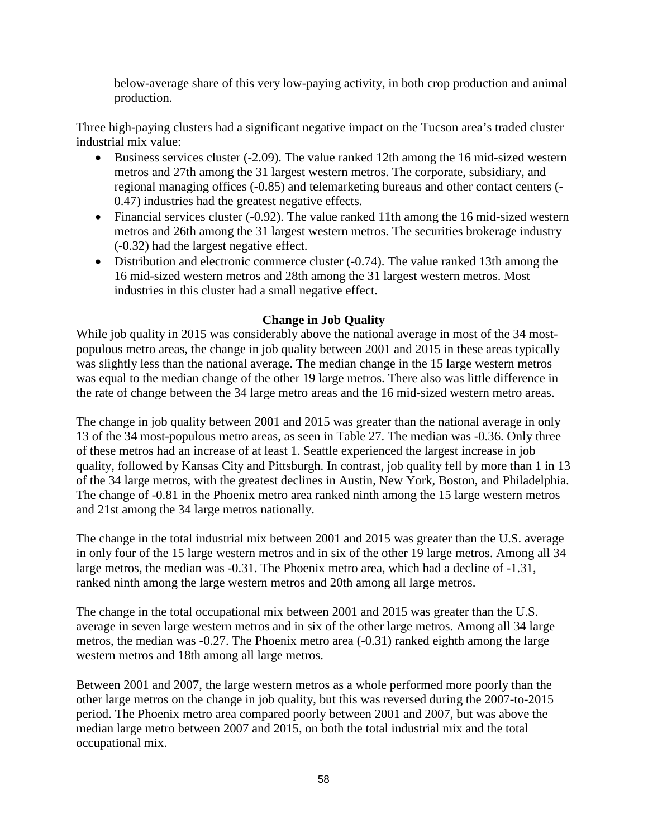below-average share of this very low-paying activity, in both crop production and animal production.

Three high-paying clusters had a significant negative impact on the Tucson area's traded cluster industrial mix value:

- Business services cluster (-2.09). The value ranked 12th among the 16 mid-sized western metros and 27th among the 31 largest western metros. The corporate, subsidiary, and regional managing offices (-0.85) and telemarketing bureaus and other contact centers (- 0.47) industries had the greatest negative effects.
- Financial services cluster (-0.92). The value ranked 11th among the 16 mid-sized western metros and 26th among the 31 largest western metros. The securities brokerage industry (-0.32) had the largest negative effect.
- Distribution and electronic commerce cluster (-0.74). The value ranked 13th among the 16 mid-sized western metros and 28th among the 31 largest western metros. Most industries in this cluster had a small negative effect.

### **Change in Job Quality**

While job quality in 2015 was considerably above the national average in most of the 34 mostpopulous metro areas, the change in job quality between 2001 and 2015 in these areas typically was slightly less than the national average. The median change in the 15 large western metros was equal to the median change of the other 19 large metros. There also was little difference in the rate of change between the 34 large metro areas and the 16 mid-sized western metro areas.

The change in job quality between 2001 and 2015 was greater than the national average in only 13 of the 34 most-populous metro areas, as seen in Table 27. The median was -0.36. Only three of these metros had an increase of at least 1. Seattle experienced the largest increase in job quality, followed by Kansas City and Pittsburgh. In contrast, job quality fell by more than 1 in 13 of the 34 large metros, with the greatest declines in Austin, New York, Boston, and Philadelphia. The change of -0.81 in the Phoenix metro area ranked ninth among the 15 large western metros and 21st among the 34 large metros nationally.

The change in the total industrial mix between 2001 and 2015 was greater than the U.S. average in only four of the 15 large western metros and in six of the other 19 large metros. Among all 34 large metros, the median was -0.31. The Phoenix metro area, which had a decline of -1.31, ranked ninth among the large western metros and 20th among all large metros.

The change in the total occupational mix between 2001 and 2015 was greater than the U.S. average in seven large western metros and in six of the other large metros. Among all 34 large metros, the median was -0.27. The Phoenix metro area (-0.31) ranked eighth among the large western metros and 18th among all large metros.

Between 2001 and 2007, the large western metros as a whole performed more poorly than the other large metros on the change in job quality, but this was reversed during the 2007-to-2015 period. The Phoenix metro area compared poorly between 2001 and 2007, but was above the median large metro between 2007 and 2015, on both the total industrial mix and the total occupational mix.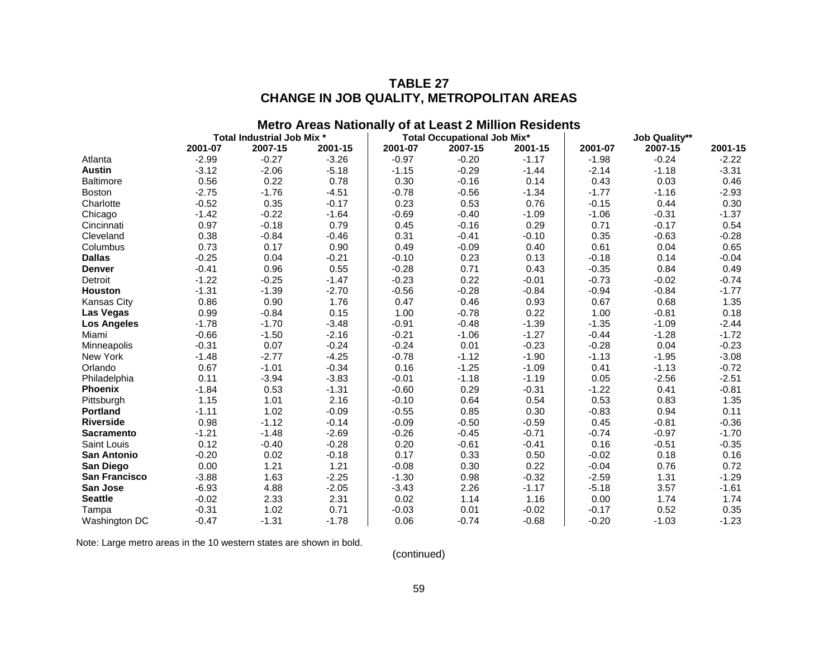# **TABLE 27 CHANGE IN JOB QUALITY, METROPOLITAN AREAS**

|                      |         |                            |         |         | <b>Metro Areas Nationally of at Least 2 Million Residents</b> |         |         |                      |         |
|----------------------|---------|----------------------------|---------|---------|---------------------------------------------------------------|---------|---------|----------------------|---------|
|                      |         | Total Industrial Job Mix * |         |         | <b>Total Occupational Job Mix*</b>                            |         |         | <b>Job Quality**</b> |         |
|                      | 2001-07 | 2007-15                    | 2001-15 | 2001-07 | 2007-15                                                       | 2001-15 | 2001-07 | 2007-15              | 2001-15 |
| Atlanta              | $-2.99$ | $-0.27$                    | $-3.26$ | $-0.97$ | $-0.20$                                                       | $-1.17$ | $-1.98$ | $-0.24$              | $-2.22$ |
| <b>Austin</b>        | $-3.12$ | $-2.06$                    | $-5.18$ | $-1.15$ | $-0.29$                                                       | $-1.44$ | $-2.14$ | $-1.18$              | $-3.31$ |
| <b>Baltimore</b>     | 0.56    | 0.22                       | 0.78    | 0.30    | $-0.16$                                                       | 0.14    | 0.43    | 0.03                 | 0.46    |
| <b>Boston</b>        | $-2.75$ | $-1.76$                    | $-4.51$ | $-0.78$ | $-0.56$                                                       | $-1.34$ | $-1.77$ | $-1.16$              | $-2.93$ |
| Charlotte            | $-0.52$ | 0.35                       | $-0.17$ | 0.23    | 0.53                                                          | 0.76    | $-0.15$ | 0.44                 | 0.30    |
| Chicago              | $-1.42$ | $-0.22$                    | $-1.64$ | $-0.69$ | $-0.40$                                                       | $-1.09$ | $-1.06$ | $-0.31$              | $-1.37$ |
| Cincinnati           | 0.97    | $-0.18$                    | 0.79    | 0.45    | $-0.16$                                                       | 0.29    | 0.71    | $-0.17$              | 0.54    |
| Cleveland            | 0.38    | $-0.84$                    | $-0.46$ | 0.31    | $-0.41$                                                       | $-0.10$ | 0.35    | $-0.63$              | $-0.28$ |
| Columbus             | 0.73    | 0.17                       | 0.90    | 0.49    | $-0.09$                                                       | 0.40    | 0.61    | 0.04                 | 0.65    |
| <b>Dallas</b>        | $-0.25$ | 0.04                       | $-0.21$ | $-0.10$ | 0.23                                                          | 0.13    | $-0.18$ | 0.14                 | $-0.04$ |
| <b>Denver</b>        | $-0.41$ | 0.96                       | 0.55    | $-0.28$ | 0.71                                                          | 0.43    | $-0.35$ | 0.84                 | 0.49    |
| Detroit              | $-1.22$ | $-0.25$                    | $-1.47$ | $-0.23$ | 0.22                                                          | $-0.01$ | $-0.73$ | $-0.02$              | $-0.74$ |
| <b>Houston</b>       | $-1.31$ | $-1.39$                    | $-2.70$ | $-0.56$ | $-0.28$                                                       | $-0.84$ | $-0.94$ | $-0.84$              | $-1.77$ |
| <b>Kansas City</b>   | 0.86    | 0.90                       | 1.76    | 0.47    | 0.46                                                          | 0.93    | 0.67    | 0.68                 | 1.35    |
| Las Vegas            | 0.99    | $-0.84$                    | 0.15    | 1.00    | $-0.78$                                                       | 0.22    | 1.00    | $-0.81$              | 0.18    |
| <b>Los Angeles</b>   | $-1.78$ | $-1.70$                    | $-3.48$ | $-0.91$ | $-0.48$                                                       | $-1.39$ | $-1.35$ | $-1.09$              | $-2.44$ |
| Miami                | $-0.66$ | $-1.50$                    | $-2.16$ | $-0.21$ | $-1.06$                                                       | $-1.27$ | $-0.44$ | $-1.28$              | $-1.72$ |
| Minneapolis          | $-0.31$ | 0.07                       | $-0.24$ | $-0.24$ | 0.01                                                          | $-0.23$ | $-0.28$ | 0.04                 | $-0.23$ |
| New York             | $-1.48$ | $-2.77$                    | $-4.25$ | $-0.78$ | $-1.12$                                                       | $-1.90$ | $-1.13$ | $-1.95$              | $-3.08$ |
| Orlando              | 0.67    | $-1.01$                    | $-0.34$ | 0.16    | $-1.25$                                                       | $-1.09$ | 0.41    | $-1.13$              | $-0.72$ |
| Philadelphia         | 0.11    | $-3.94$                    | $-3.83$ | $-0.01$ | $-1.18$                                                       | $-1.19$ | 0.05    | $-2.56$              | $-2.51$ |
| <b>Phoenix</b>       | $-1.84$ | 0.53                       | $-1.31$ | $-0.60$ | 0.29                                                          | $-0.31$ | $-1.22$ | 0.41                 | $-0.81$ |
| Pittsburgh           | 1.15    | 1.01                       | 2.16    | $-0.10$ | 0.64                                                          | 0.54    | 0.53    | 0.83                 | 1.35    |
| <b>Portland</b>      | $-1.11$ | 1.02                       | $-0.09$ | $-0.55$ | 0.85                                                          | 0.30    | $-0.83$ | 0.94                 | 0.11    |
| <b>Riverside</b>     | 0.98    | $-1.12$                    | $-0.14$ | $-0.09$ | $-0.50$                                                       | $-0.59$ | 0.45    | $-0.81$              | $-0.36$ |
| <b>Sacramento</b>    | $-1.21$ | $-1.48$                    | $-2.69$ | $-0.26$ | $-0.45$                                                       | $-0.71$ | $-0.74$ | $-0.97$              | $-1.70$ |
| Saint Louis          | 0.12    | $-0.40$                    | $-0.28$ | 0.20    | $-0.61$                                                       | $-0.41$ | 0.16    | $-0.51$              | $-0.35$ |
| San Antonio          | $-0.20$ | 0.02                       | $-0.18$ | 0.17    | 0.33                                                          | 0.50    | $-0.02$ | 0.18                 | 0.16    |
| San Diego            | 0.00    | 1.21                       | 1.21    | $-0.08$ | 0.30                                                          | 0.22    | $-0.04$ | 0.76                 | 0.72    |
| <b>San Francisco</b> | $-3.88$ | 1.63                       | $-2.25$ | $-1.30$ | 0.98                                                          | $-0.32$ | $-2.59$ | 1.31                 | $-1.29$ |
| San Jose             | $-6.93$ | 4.88                       | $-2.05$ | $-3.43$ | 2.26                                                          | $-1.17$ | $-5.18$ | 3.57                 | $-1.61$ |
| <b>Seattle</b>       | $-0.02$ | 2.33                       | 2.31    | 0.02    | 1.14                                                          | 1.16    | 0.00    | 1.74                 | 1.74    |
| Tampa                | $-0.31$ | 1.02                       | 0.71    | $-0.03$ | 0.01                                                          | $-0.02$ | $-0.17$ | 0.52                 | 0.35    |
| Washington DC        | $-0.47$ | $-1.31$                    | $-1.78$ | 0.06    | $-0.74$                                                       | $-0.68$ | $-0.20$ | $-1.03$              | $-1.23$ |

Note: Large metro areas in the 10 western states are shown in bold.

(continued)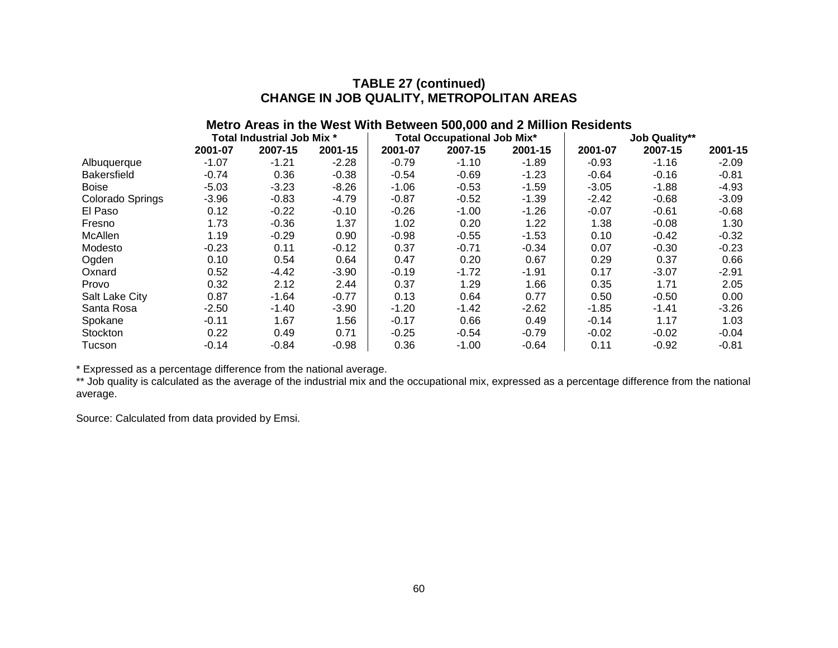### **TABLE 27 (continued) CHANGE IN JOB QUALITY, METROPOLITAN AREAS**

# **Metro Areas in the West With Between 500,000 and 2 Million Residents Total Industrial Job Mix \* Total Occupational Job Mix\* Job Quality\*\* 2001-07 2007-15 2001-15 2001-07 2007-15 2001-15 2001-07 2007-15 2001-15** Albuquerque -1.07 -1.21 -2.28 -0.79 -1.10 -1.89 -0.93 -1.16 -2.09 Bakersfield -0.74 0.36 -0.38 | -0.54 -0.69 -1.23 | -0.64 -0.16 -0.81 Boise -5.03 -3.23 -8.26 | -1.06 -0.53 -1.59 | -3.05 -1.88 -4.93 Colorado Springs -3.96 -0.83 -4.79 -0.87 -0.52 -1.39 -2.42 -0.68 -3.09

| El Paso        | 0.12    | $-0.22$ | $-0.10$ | $-0.26$ | $-1.00$ | $-1.26$ | $-0.07$ | $-0.61$ | $-0.68$ |
|----------------|---------|---------|---------|---------|---------|---------|---------|---------|---------|
| Fresno         | 1.73    | $-0.36$ | 1.37    | 1.02    | 0.20    | 1.22    | 1.38    | $-0.08$ | 1.30    |
| McAllen        | 1.19    | $-0.29$ | 0.90    | $-0.98$ | $-0.55$ | $-1.53$ | 0.10    | $-0.42$ | $-0.32$ |
| Modesto        | $-0.23$ | 0.11    | $-0.12$ | 0.37    | $-0.71$ | $-0.34$ | 0.07    | $-0.30$ | $-0.23$ |
| Ogden          | 0.10    | 0.54    | 0.64    | 0.47    | 0.20    | 0.67    | 0.29    | 0.37    | 0.66    |
| Oxnard         | 0.52    | $-4.42$ | $-3.90$ | $-0.19$ | $-1.72$ | $-1.91$ | 0.17    | $-3.07$ | $-2.91$ |
| Provo          | 0.32    | 2.12    | 2.44    | 0.37    | 1.29    | 1.66    | 0.35    | 1.71    | 2.05    |
| Salt Lake City | 0.87    | $-1.64$ | $-0.77$ | 0.13    | 0.64    | 0.77    | 0.50    | $-0.50$ | 0.00    |
| Santa Rosa     | $-2.50$ | $-1.40$ | $-3.90$ | $-1.20$ | $-1.42$ | $-2.62$ | $-1.85$ | $-1.41$ | $-3.26$ |
| Spokane        | $-0.11$ | 1.67    | 1.56    | $-0.17$ | 0.66    | 0.49    | $-0.14$ | 1.17    | 1.03    |
| Stockton       | 0.22    | 0.49    | 0.71    | $-0.25$ | $-0.54$ | $-0.79$ | $-0.02$ | $-0.02$ | $-0.04$ |
| Tucson         | $-0.14$ | $-0.84$ | $-0.98$ | 0.36    | $-1.00$ | $-0.64$ | 0.11    | $-0.92$ | $-0.81$ |

\* Expressed as a percentage difference from the national average.

\*\* Job quality is calculated as the average of the industrial mix and the occupational mix, expressed as a percentage difference from the national average.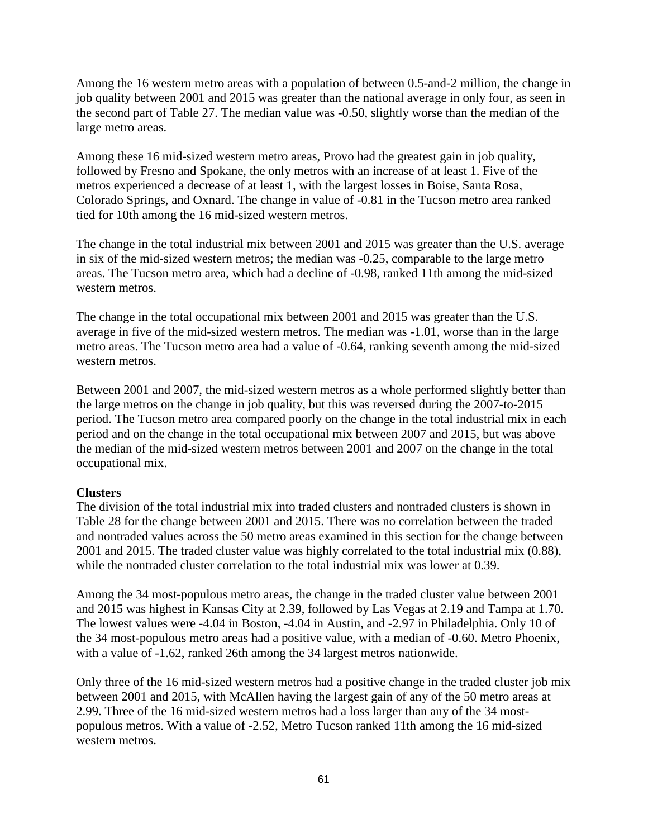Among the 16 western metro areas with a population of between 0.5-and-2 million, the change in job quality between 2001 and 2015 was greater than the national average in only four, as seen in the second part of Table 27. The median value was -0.50, slightly worse than the median of the large metro areas.

Among these 16 mid-sized western metro areas, Provo had the greatest gain in job quality, followed by Fresno and Spokane, the only metros with an increase of at least 1. Five of the metros experienced a decrease of at least 1, with the largest losses in Boise, Santa Rosa, Colorado Springs, and Oxnard. The change in value of -0.81 in the Tucson metro area ranked tied for 10th among the 16 mid-sized western metros.

The change in the total industrial mix between 2001 and 2015 was greater than the U.S. average in six of the mid-sized western metros; the median was -0.25, comparable to the large metro areas. The Tucson metro area, which had a decline of -0.98, ranked 11th among the mid-sized western metros.

The change in the total occupational mix between 2001 and 2015 was greater than the U.S. average in five of the mid-sized western metros. The median was -1.01, worse than in the large metro areas. The Tucson metro area had a value of -0.64, ranking seventh among the mid-sized western metros.

Between 2001 and 2007, the mid-sized western metros as a whole performed slightly better than the large metros on the change in job quality, but this was reversed during the 2007-to-2015 period. The Tucson metro area compared poorly on the change in the total industrial mix in each period and on the change in the total occupational mix between 2007 and 2015, but was above the median of the mid-sized western metros between 2001 and 2007 on the change in the total occupational mix.

#### **Clusters**

The division of the total industrial mix into traded clusters and nontraded clusters is shown in Table 28 for the change between 2001 and 2015. There was no correlation between the traded and nontraded values across the 50 metro areas examined in this section for the change between 2001 and 2015. The traded cluster value was highly correlated to the total industrial mix (0.88), while the nontraded cluster correlation to the total industrial mix was lower at 0.39.

Among the 34 most-populous metro areas, the change in the traded cluster value between 2001 and 2015 was highest in Kansas City at 2.39, followed by Las Vegas at 2.19 and Tampa at 1.70. The lowest values were -4.04 in Boston, -4.04 in Austin, and -2.97 in Philadelphia. Only 10 of the 34 most-populous metro areas had a positive value, with a median of -0.60. Metro Phoenix, with a value of -1.62, ranked 26th among the 34 largest metros nationwide.

Only three of the 16 mid-sized western metros had a positive change in the traded cluster job mix between 2001 and 2015, with McAllen having the largest gain of any of the 50 metro areas at 2.99. Three of the 16 mid-sized western metros had a loss larger than any of the 34 mostpopulous metros. With a value of -2.52, Metro Tucson ranked 11th among the 16 mid-sized western metros.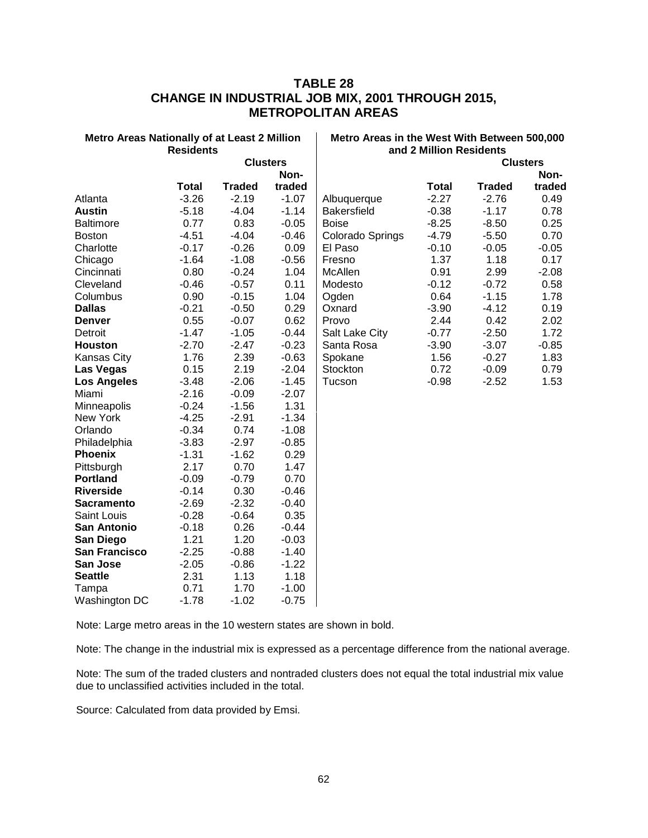### **TABLE 28 CHANGE IN INDUSTRIAL JOB MIX, 2001 THROUGH 2015, METROPOLITAN AREAS**

| <b>Metro Areas Nationally of at Least 2 Million</b> | <b>Residents</b> |                 |         | Metro Areas in the West With Between 500,000<br>and 2 Million Residents |              |               |                 |  |  |
|-----------------------------------------------------|------------------|-----------------|---------|-------------------------------------------------------------------------|--------------|---------------|-----------------|--|--|
|                                                     |                  | <b>Clusters</b> |         |                                                                         |              |               | <b>Clusters</b> |  |  |
|                                                     |                  |                 | Non-    |                                                                         |              |               | Non-            |  |  |
|                                                     | Total            | <b>Traded</b>   | traded  |                                                                         | <b>Total</b> | <b>Traded</b> | traded          |  |  |
| Atlanta                                             | $-3.26$          | $-2.19$         | $-1.07$ | Albuquerque                                                             | $-2.27$      | $-2.76$       | 0.49            |  |  |
| <b>Austin</b>                                       | $-5.18$          | $-4.04$         | $-1.14$ | <b>Bakersfield</b>                                                      | $-0.38$      | $-1.17$       | 0.78            |  |  |
| <b>Baltimore</b>                                    | 0.77             | 0.83            | $-0.05$ | <b>Boise</b>                                                            | $-8.25$      | $-8.50$       | 0.25            |  |  |
| <b>Boston</b>                                       | $-4.51$          | $-4.04$         | $-0.46$ | Colorado Springs                                                        | $-4.79$      | $-5.50$       | 0.70            |  |  |
| Charlotte                                           | $-0.17$          | $-0.26$         | 0.09    | El Paso                                                                 | $-0.10$      | $-0.05$       | $-0.05$         |  |  |
| Chicago                                             | $-1.64$          | $-1.08$         | $-0.56$ | Fresno                                                                  | 1.37         | 1.18          | 0.17            |  |  |
| Cincinnati                                          | 0.80             | $-0.24$         | 1.04    | McAllen                                                                 | 0.91         | 2.99          | $-2.08$         |  |  |
| Cleveland                                           | $-0.46$          | $-0.57$         | 0.11    | Modesto                                                                 | $-0.12$      | $-0.72$       | 0.58            |  |  |
| Columbus                                            | 0.90             | $-0.15$         | 1.04    | Ogden                                                                   | 0.64         | $-1.15$       | 1.78            |  |  |
| <b>Dallas</b>                                       | $-0.21$          | $-0.50$         | 0.29    | Oxnard                                                                  | $-3.90$      | $-4.12$       | 0.19            |  |  |
| <b>Denver</b>                                       | 0.55             | $-0.07$         | 0.62    | Provo                                                                   | 2.44         | 0.42          | 2.02            |  |  |
| Detroit                                             | $-1.47$          | $-1.05$         | $-0.44$ | Salt Lake City                                                          | $-0.77$      | $-2.50$       | 1.72            |  |  |
| <b>Houston</b>                                      | $-2.70$          | $-2.47$         | $-0.23$ | Santa Rosa                                                              | $-3.90$      | $-3.07$       | $-0.85$         |  |  |
| Kansas City                                         | 1.76             | 2.39            | $-0.63$ | Spokane                                                                 | 1.56         | $-0.27$       | 1.83            |  |  |
| Las Vegas                                           | 0.15             | 2.19            | $-2.04$ | Stockton                                                                | 0.72         | $-0.09$       | 0.79            |  |  |
| <b>Los Angeles</b>                                  | $-3.48$          | $-2.06$         | $-1.45$ | Tucson                                                                  | $-0.98$      | $-2.52$       | 1.53            |  |  |
| Miami                                               | $-2.16$          | $-0.09$         | $-2.07$ |                                                                         |              |               |                 |  |  |
| Minneapolis                                         | $-0.24$          | $-1.56$         | 1.31    |                                                                         |              |               |                 |  |  |
| New York                                            | $-4.25$          | $-2.91$         | $-1.34$ |                                                                         |              |               |                 |  |  |
| Orlando                                             | $-0.34$          | 0.74            | $-1.08$ |                                                                         |              |               |                 |  |  |
| Philadelphia                                        | $-3.83$          | $-2.97$         | $-0.85$ |                                                                         |              |               |                 |  |  |
| <b>Phoenix</b>                                      | $-1.31$          | $-1.62$         | 0.29    |                                                                         |              |               |                 |  |  |
| Pittsburgh                                          | 2.17             | 0.70            | 1.47    |                                                                         |              |               |                 |  |  |
| <b>Portland</b>                                     | $-0.09$          | $-0.79$         | 0.70    |                                                                         |              |               |                 |  |  |
| <b>Riverside</b>                                    | $-0.14$          | 0.30            | $-0.46$ |                                                                         |              |               |                 |  |  |
| <b>Sacramento</b>                                   | $-2.69$          | $-2.32$         | $-0.40$ |                                                                         |              |               |                 |  |  |
| Saint Louis                                         | $-0.28$          | $-0.64$         | 0.35    |                                                                         |              |               |                 |  |  |
| San Antonio                                         | $-0.18$          | 0.26            | $-0.44$ |                                                                         |              |               |                 |  |  |
| San Diego                                           | 1.21             | 1.20            | $-0.03$ |                                                                         |              |               |                 |  |  |
| <b>San Francisco</b>                                | $-2.25$          | $-0.88$         | $-1.40$ |                                                                         |              |               |                 |  |  |
| San Jose                                            | $-2.05$          | $-0.86$         | $-1.22$ |                                                                         |              |               |                 |  |  |
| <b>Seattle</b>                                      | 2.31             | 1.13            | 1.18    |                                                                         |              |               |                 |  |  |
| Tampa                                               | 0.71             | 1.70            | $-1.00$ |                                                                         |              |               |                 |  |  |
| Washington DC                                       | $-1.78$          | $-1.02$         | $-0.75$ |                                                                         |              |               |                 |  |  |

Note: Large metro areas in the 10 western states are shown in bold.

Note: The change in the industrial mix is expressed as a percentage difference from the national average.

Note: The sum of the traded clusters and nontraded clusters does not equal the total industrial mix value due to unclassified activities included in the total.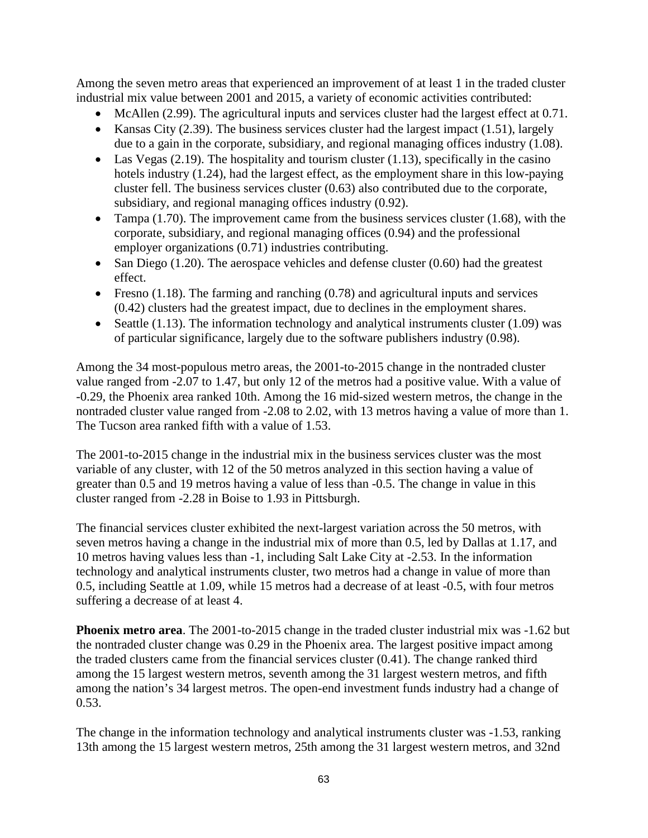Among the seven metro areas that experienced an improvement of at least 1 in the traded cluster industrial mix value between 2001 and 2015, a variety of economic activities contributed:

- McAllen (2.99). The agricultural inputs and services cluster had the largest effect at 0.71.
- Kansas City (2.39). The business services cluster had the largest impact (1.51), largely due to a gain in the corporate, subsidiary, and regional managing offices industry (1.08).
- Las Vegas (2.19). The hospitality and tourism cluster (1.13), specifically in the casino hotels industry (1.24), had the largest effect, as the employment share in this low-paying cluster fell. The business services cluster (0.63) also contributed due to the corporate, subsidiary, and regional managing offices industry (0.92).
- Tampa  $(1.70)$ . The improvement came from the business services cluster  $(1.68)$ , with the corporate, subsidiary, and regional managing offices (0.94) and the professional employer organizations (0.71) industries contributing.
- San Diego (1.20). The aerospace vehicles and defense cluster  $(0.60)$  had the greatest effect.
- Fresno  $(1.18)$ . The farming and ranching  $(0.78)$  and agricultural inputs and services (0.42) clusters had the greatest impact, due to declines in the employment shares.
- Seattle (1.13). The information technology and analytical instruments cluster (1.09) was of particular significance, largely due to the software publishers industry (0.98).

Among the 34 most-populous metro areas, the 2001-to-2015 change in the nontraded cluster value ranged from -2.07 to 1.47, but only 12 of the metros had a positive value. With a value of -0.29, the Phoenix area ranked 10th. Among the 16 mid-sized western metros, the change in the nontraded cluster value ranged from -2.08 to 2.02, with 13 metros having a value of more than 1. The Tucson area ranked fifth with a value of 1.53.

The 2001-to-2015 change in the industrial mix in the business services cluster was the most variable of any cluster, with 12 of the 50 metros analyzed in this section having a value of greater than 0.5 and 19 metros having a value of less than -0.5. The change in value in this cluster ranged from -2.28 in Boise to 1.93 in Pittsburgh.

The financial services cluster exhibited the next-largest variation across the 50 metros, with seven metros having a change in the industrial mix of more than 0.5, led by Dallas at 1.17, and 10 metros having values less than -1, including Salt Lake City at -2.53. In the information technology and analytical instruments cluster, two metros had a change in value of more than 0.5, including Seattle at 1.09, while 15 metros had a decrease of at least -0.5, with four metros suffering a decrease of at least 4.

**Phoenix metro area**. The 2001-to-2015 change in the traded cluster industrial mix was -1.62 but the nontraded cluster change was 0.29 in the Phoenix area. The largest positive impact among the traded clusters came from the financial services cluster (0.41). The change ranked third among the 15 largest western metros, seventh among the 31 largest western metros, and fifth among the nation's 34 largest metros. The open-end investment funds industry had a change of 0.53.

The change in the information technology and analytical instruments cluster was -1.53, ranking 13th among the 15 largest western metros, 25th among the 31 largest western metros, and 32nd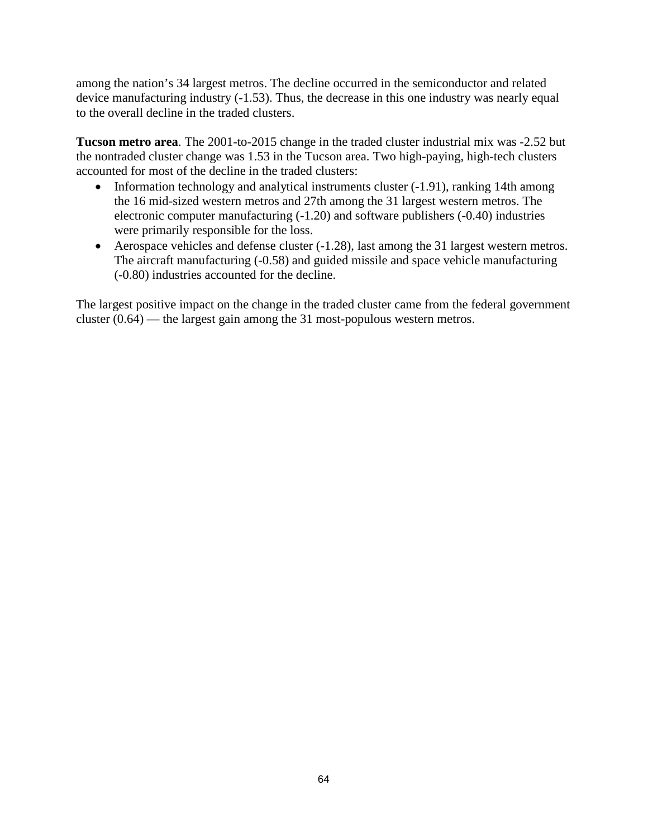among the nation's 34 largest metros. The decline occurred in the semiconductor and related device manufacturing industry (-1.53). Thus, the decrease in this one industry was nearly equal to the overall decline in the traded clusters.

**Tucson metro area**. The 2001-to-2015 change in the traded cluster industrial mix was -2.52 but the nontraded cluster change was 1.53 in the Tucson area. Two high-paying, high-tech clusters accounted for most of the decline in the traded clusters:

- Information technology and analytical instruments cluster (-1.91), ranking 14th among the 16 mid-sized western metros and 27th among the 31 largest western metros. The electronic computer manufacturing (-1.20) and software publishers (-0.40) industries were primarily responsible for the loss.
- Aerospace vehicles and defense cluster (-1.28), last among the 31 largest western metros. The aircraft manufacturing (-0.58) and guided missile and space vehicle manufacturing (-0.80) industries accounted for the decline.

The largest positive impact on the change in the traded cluster came from the federal government cluster (0.64) — the largest gain among the 31 most-populous western metros.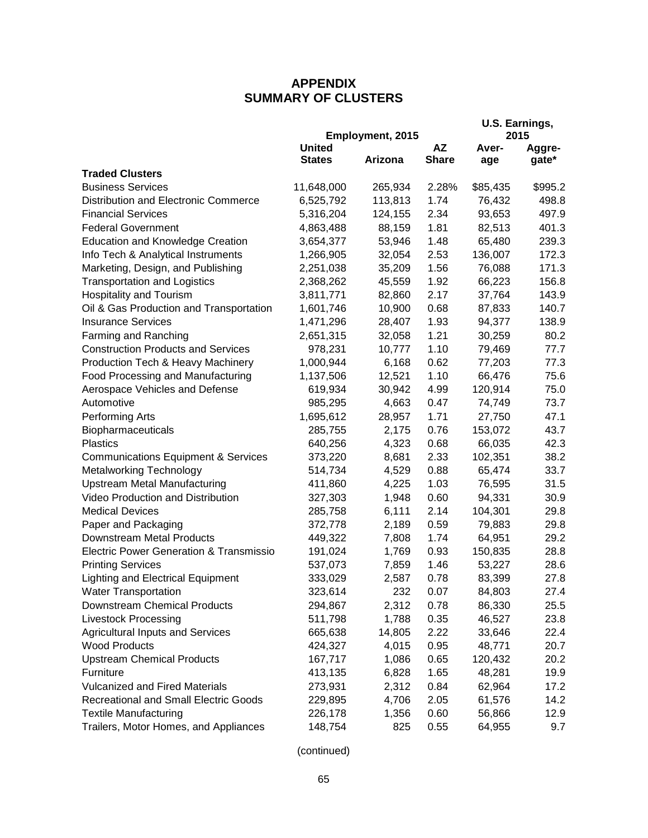## **APPENDIX SUMMARY OF CLUSTERS**

|                                                |               | Employment, 2015 |              | U.S. Earnings,<br>2015 |         |  |
|------------------------------------------------|---------------|------------------|--------------|------------------------|---------|--|
|                                                | <b>United</b> |                  | AZ           | Aver-                  | Aggre-  |  |
|                                                | <b>States</b> | Arizona          | <b>Share</b> | age                    | gate*   |  |
| <b>Traded Clusters</b>                         |               |                  |              |                        |         |  |
| <b>Business Services</b>                       | 11,648,000    | 265,934          | 2.28%        | \$85,435               | \$995.2 |  |
| Distribution and Electronic Commerce           | 6,525,792     | 113,813          | 1.74         | 76,432                 | 498.8   |  |
| <b>Financial Services</b>                      | 5,316,204     | 124,155          | 2.34         | 93,653                 | 497.9   |  |
| <b>Federal Government</b>                      | 4,863,488     | 88,159           | 1.81         | 82,513                 | 401.3   |  |
| <b>Education and Knowledge Creation</b>        | 3,654,377     | 53,946           | 1.48         | 65,480                 | 239.3   |  |
| Info Tech & Analytical Instruments             | 1,266,905     | 32,054           | 2.53         | 136,007                | 172.3   |  |
| Marketing, Design, and Publishing              | 2,251,038     | 35,209           | 1.56         | 76,088                 | 171.3   |  |
| <b>Transportation and Logistics</b>            | 2,368,262     | 45,559           | 1.92         | 66,223                 | 156.8   |  |
| <b>Hospitality and Tourism</b>                 | 3,811,771     | 82,860           | 2.17         | 37,764                 | 143.9   |  |
| Oil & Gas Production and Transportation        | 1,601,746     | 10,900           | 0.68         | 87,833                 | 140.7   |  |
| <b>Insurance Services</b>                      | 1,471,296     | 28,407           | 1.93         | 94,377                 | 138.9   |  |
| Farming and Ranching                           | 2,651,315     | 32,058           | 1.21         | 30,259                 | 80.2    |  |
| <b>Construction Products and Services</b>      | 978,231       | 10,777           | 1.10         | 79,469                 | 77.7    |  |
| Production Tech & Heavy Machinery              | 1,000,944     | 6,168            | 0.62         | 77,203                 | 77.3    |  |
| Food Processing and Manufacturing              | 1,137,506     | 12,521           | 1.10         | 66,476                 | 75.6    |  |
| Aerospace Vehicles and Defense                 | 619,934       | 30,942           | 4.99         | 120,914                | 75.0    |  |
| Automotive                                     | 985,295       | 4,663            | 0.47         | 74,749                 | 73.7    |  |
| Performing Arts                                | 1,695,612     | 28,957           | 1.71         | 27,750                 | 47.1    |  |
| Biopharmaceuticals                             | 285,755       | 2,175            | 0.76         | 153,072                | 43.7    |  |
| <b>Plastics</b>                                | 640,256       | 4,323            | 0.68         | 66,035                 | 42.3    |  |
| <b>Communications Equipment &amp; Services</b> | 373,220       | 8,681            | 2.33         | 102,351                | 38.2    |  |
| <b>Metalworking Technology</b>                 | 514,734       | 4,529            | 0.88         | 65,474                 | 33.7    |  |
| <b>Upstream Metal Manufacturing</b>            | 411,860       | 4,225            | 1.03         | 76,595                 | 31.5    |  |
| <b>Video Production and Distribution</b>       | 327,303       | 1,948            | 0.60         | 94,331                 | 30.9    |  |
| <b>Medical Devices</b>                         | 285,758       | 6,111            | 2.14         | 104,301                | 29.8    |  |
| Paper and Packaging                            | 372,778       | 2,189            | 0.59         | 79,883                 | 29.8    |  |
| Downstream Metal Products                      | 449,322       | 7,808            | 1.74         | 64,951                 | 29.2    |  |
| Electric Power Generation & Transmissio        | 191,024       | 1,769            | 0.93         | 150,835                | 28.8    |  |
| <b>Printing Services</b>                       | 537,073       | 7,859            | 1.46         | 53,227                 | 28.6    |  |
| <b>Lighting and Electrical Equipment</b>       | 333,029       | 2,587            | 0.78         | 83,399                 | 27.8    |  |
| Water Transportation                           | 323,614       | 232              | 0.07         | 84,803                 | 27.4    |  |
| Downstream Chemical Products                   | 294,867       | 2,312            | 0.78         | 86,330                 | 25.5    |  |
| <b>Livestock Processing</b>                    | 511,798       | 1,788            | 0.35         | 46,527                 | 23.8    |  |
| <b>Agricultural Inputs and Services</b>        | 665,638       | 14,805           | 2.22         | 33,646                 | 22.4    |  |
| <b>Wood Products</b>                           | 424,327       | 4,015            | 0.95         | 48,771                 | 20.7    |  |
| <b>Upstream Chemical Products</b>              | 167,717       | 1,086            | 0.65         | 120,432                | 20.2    |  |
| Furniture                                      | 413,135       | 6,828            | 1.65         | 48,281                 | 19.9    |  |
| <b>Vulcanized and Fired Materials</b>          | 273,931       | 2,312            | 0.84         | 62,964                 | 17.2    |  |
| <b>Recreational and Small Electric Goods</b>   | 229,895       | 4,706            | 2.05         | 61,576                 | 14.2    |  |
| <b>Textile Manufacturing</b>                   | 226,178       | 1,356            | 0.60         | 56,866                 | 12.9    |  |
| Trailers, Motor Homes, and Appliances          | 148,754       | 825              | 0.55         | 64,955                 | 9.7     |  |

(continued)